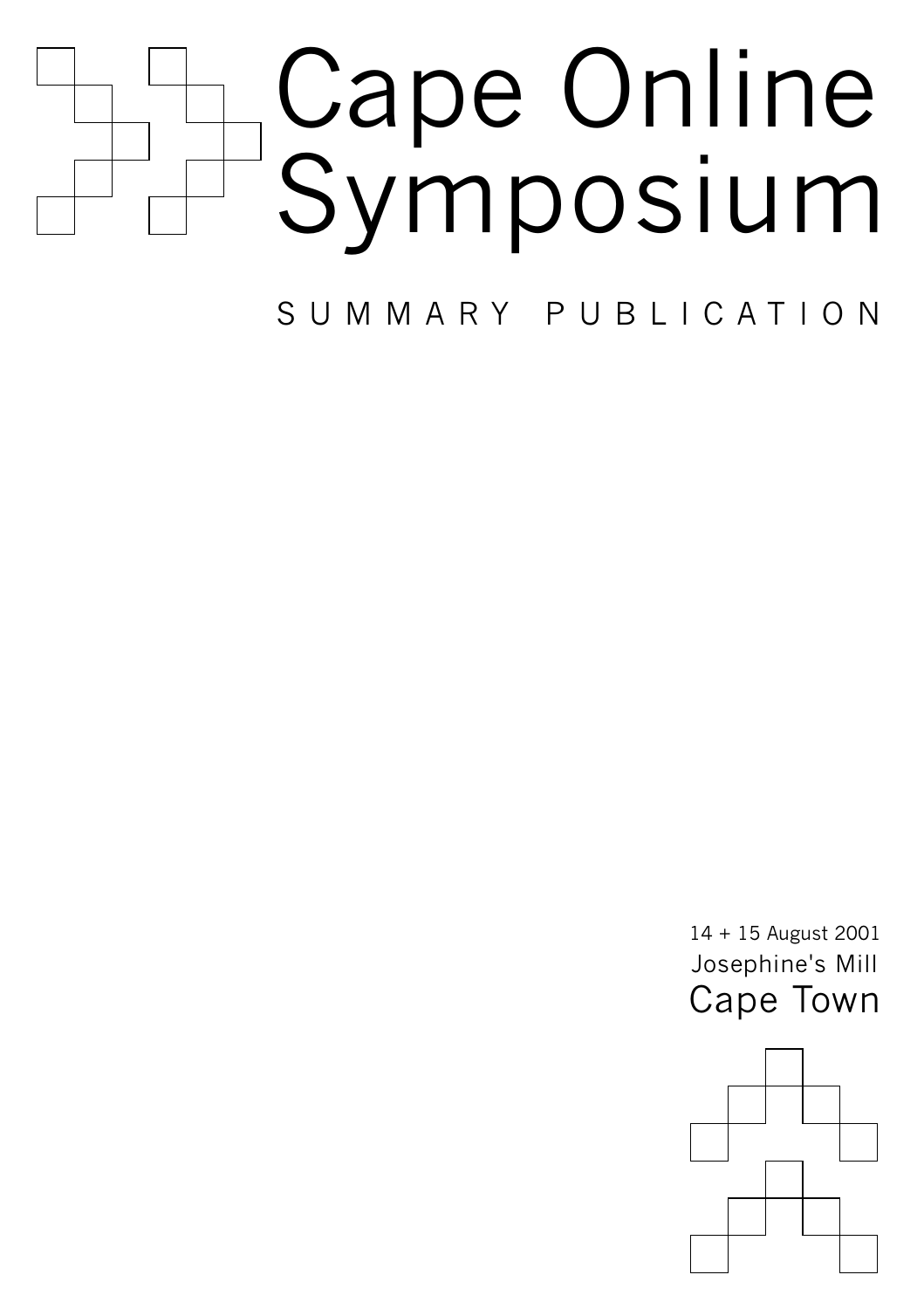

SUMMARY PUBLICATION SUMMARY PUBLICATION CONTINUES.

Josephine's Mill

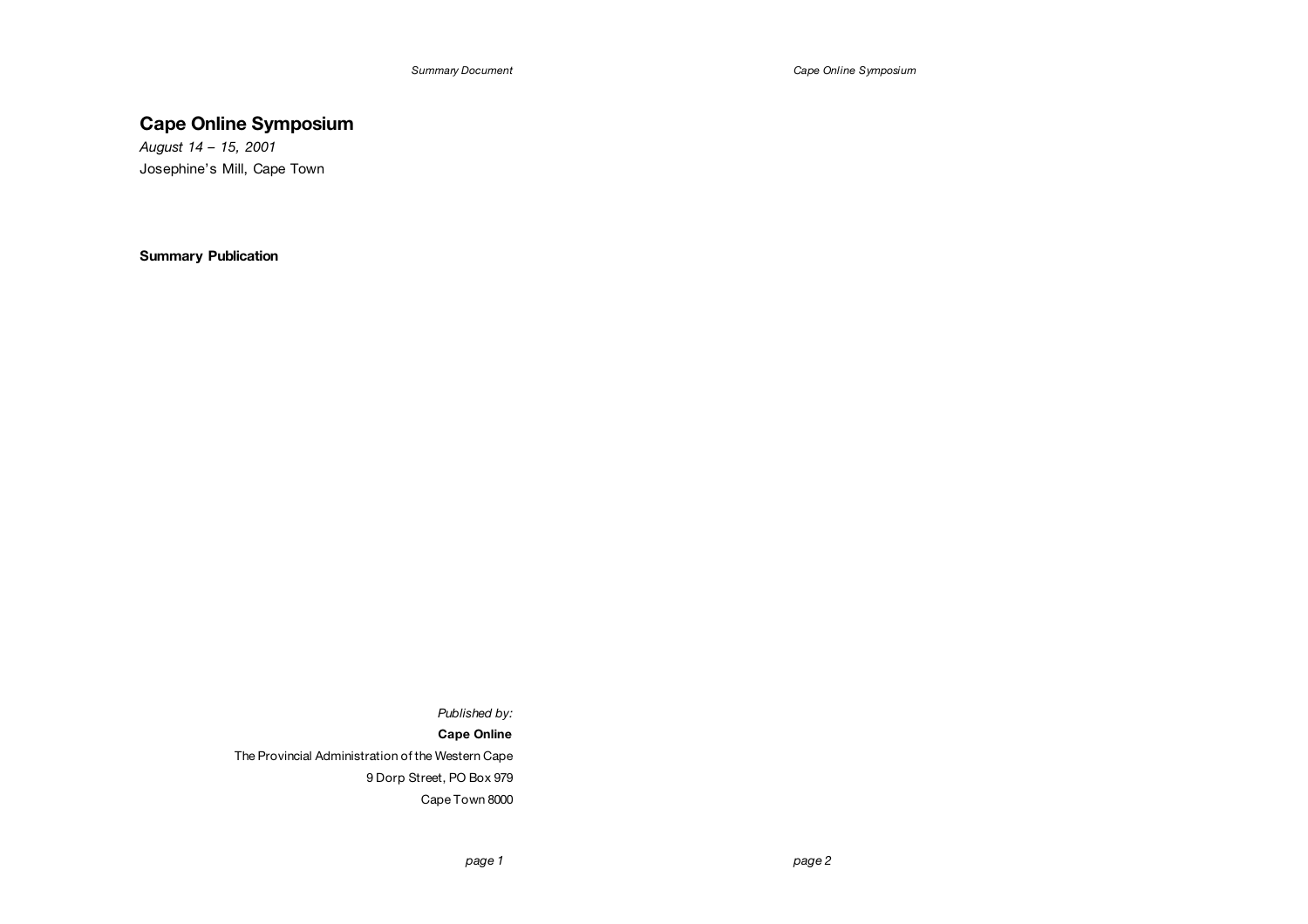*Cape Online Symposium*

# **Cape Online Symposium**

*August 14 – 15, 2001*  Josephine's Mill, Cape Town

**Summary Publication** 

*Published by:* 

**Cape Online** 

The Provincial Administration of the Western Cape 9 Dorp Street, PO Box 979 Cape Town 8000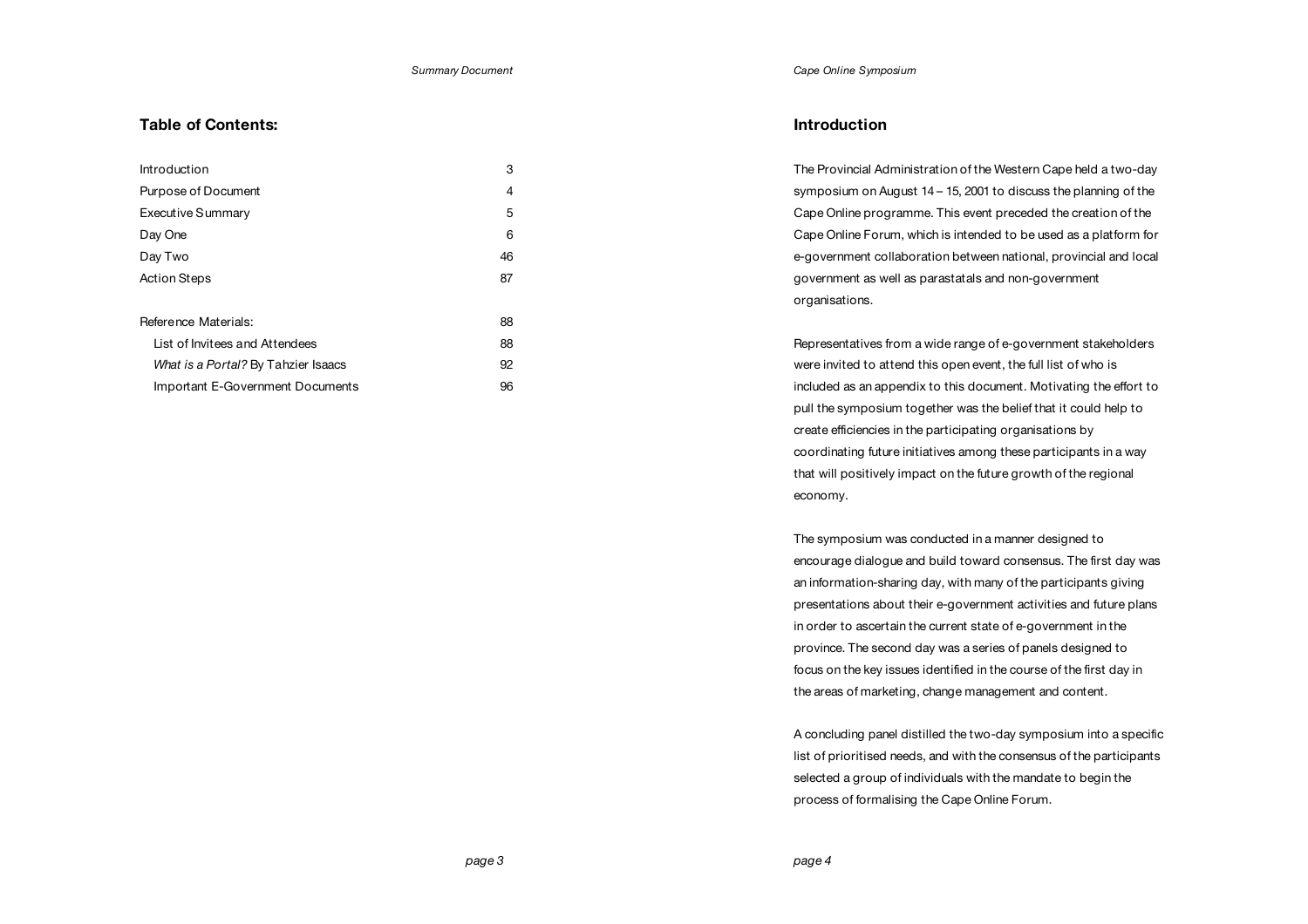### *Cape Online Symposium*

# **Table of Contents:**

| Introduction                        | 3  |
|-------------------------------------|----|
| Purpose of Document                 | 4  |
| Executive Summary                   | 5  |
| Day One                             | 6  |
| Day Two                             | 46 |
| <b>Action Steps</b>                 | 87 |
| Reference Materials:                | 88 |
| List of Invitees and Attendees      | 88 |
| What is a Portal? By Tahzier Isaacs | 92 |
| Important E-Government Documents    | 96 |

# **Introduction**

The Provincial Administration of the Western Cape held a two-day symposium on August 14 – 15, 2001 to discuss the planning of the Cape Online programme. This event preceded the creation of the Cape Online Forum, which is intended to be used as a platform for e-government collaboration between national, provincial and local government as well as parastatals and non-government organisations.

Representatives from a wide range of e-government stakeholders were invited to attend this open event, the full list of who is included as an appendix to this document. Motivating the effort to pull the symposium together was the belief that it could help to create efficiencies in the participating organisations by coordinating future initiatives among these participants in a way that will positively impact on the future growth of the regional economy.

The symposium was conducted in a manner designed to encourage dialogue and build toward consensus. The first day was an information-sharing day, with many of the participants giving presentations about their e-government activities and future plans in order to ascertain the current state of e-government in the province. The second day was a series of panels designed to focus on the key issues identified in the course of the first day in the areas of marketing, change management and content.

A concluding panel distilled the two-day symposium into a specific list of prioritised needs, and with the consensus of the participants selected a group of individuals with the mandate to begin the process of formalising the Cape Online Forum.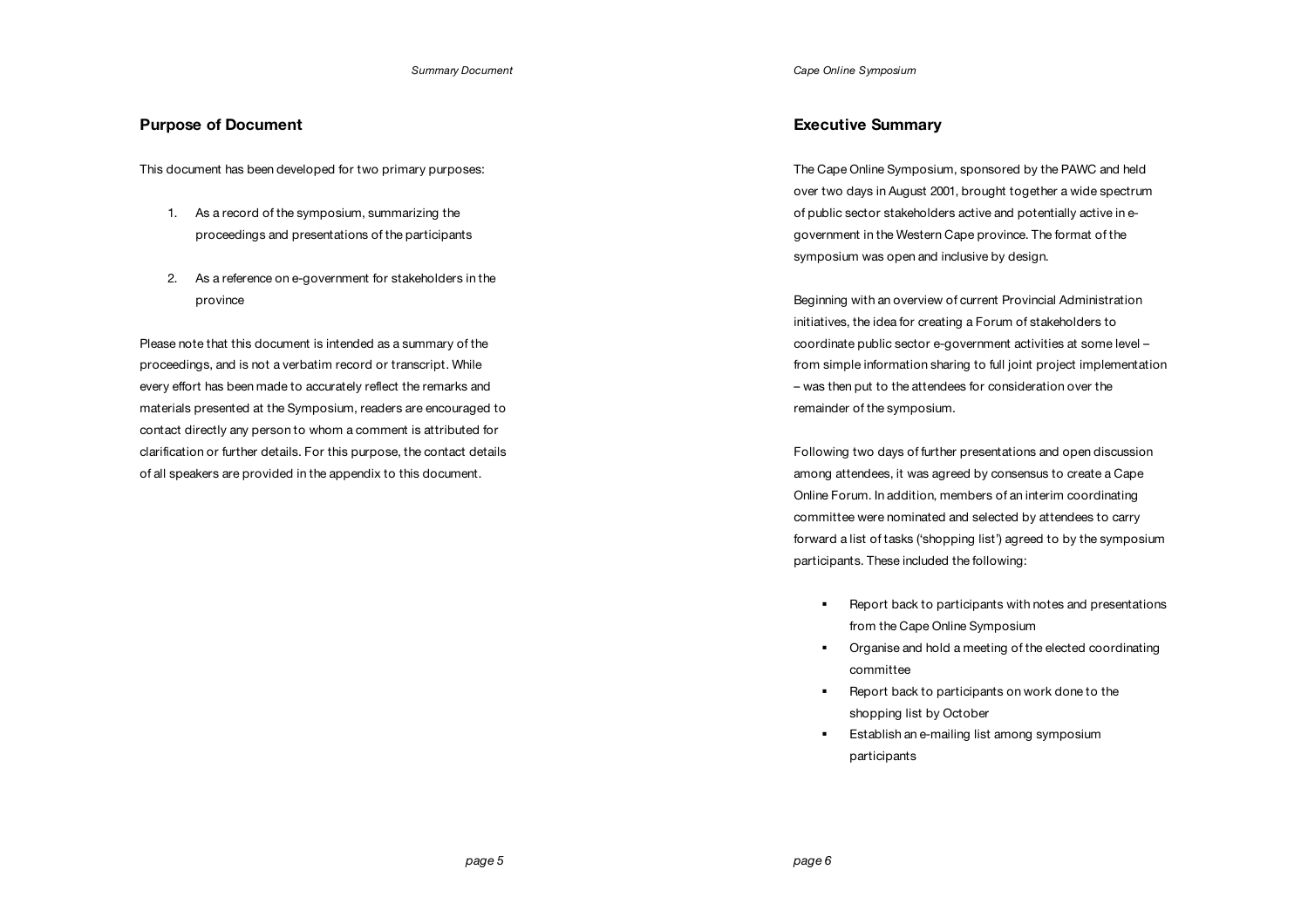# **Purpose of Document**

This document has been developed for two primary purposes:

- 1. As a record of the symposium, summarizing the proceedings and presentations of the participants
- 2. As a reference on e-government for stakeholders in the province

Please note that this document is intended as a summary of the proceedings, and is not a verbatim record or transcript. While every effort has been made to accurately reflect the remarks and materials presented at the Symposium, readers are encouraged to contact directly any person to whom a comment is attributed for clarification or further details. For this purpose, the contact details of all speakers are provided in the appendix to this document.

*Cape Online Symposium*

# **Executive Summary**

The Cape Online Symposium, sponsored by the PAWC and held over two days in August 2001, brought together a wide spectrum of public sector stakeholders active and potentially active in egovernment in the Western Cape province. The format of the symposium was open and inclusive by design.

Beginning with an overview of current Provincial Administration initiatives, the idea for creating a Forum of stakeholders to coordinate public sector e-government activities at some level – from simple information sharing to full joint project implementation – was then put to the attendees for consideration over the remainder of the symposium.

Following two days of further presentations and open discussion among attendees, it was agreed by consensus to create a Cape Online Forum. In addition, members of an interim coordinating committee were nominated and selected by attendees to carry forward a list of tasks ('shopping list') agreed to by the symposium participants. These included the following:

- ! Report back to participants with notes and presentations from the Cape Online Symposium
- ! Organise and hold a meeting of the elected coordinating committee
- ! Report back to participants on work done to the shopping list by October
- **Establish an e-mailing list among symposium** participants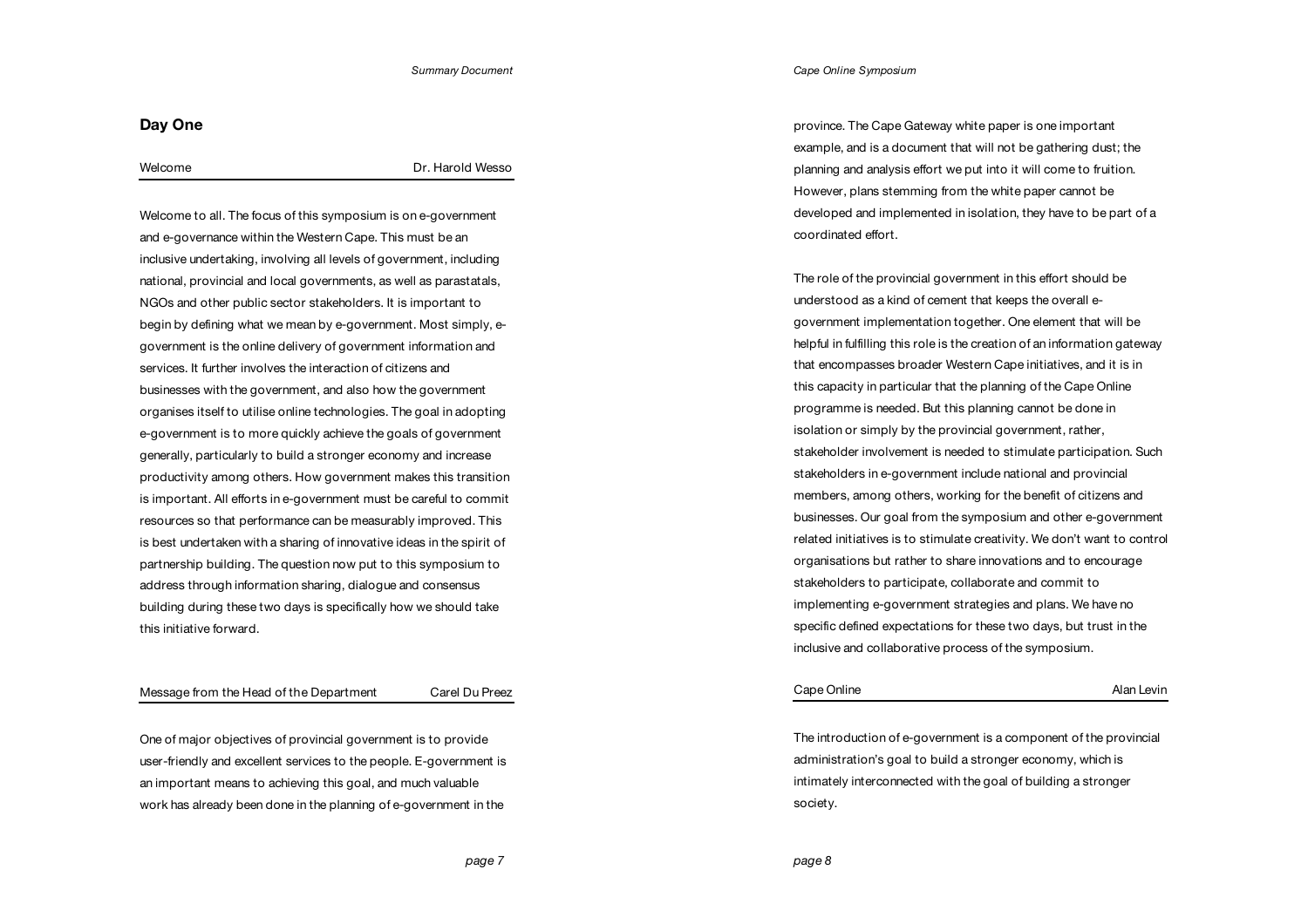# **Day One**

# Welcome Dr. Harold Wesso

Welcome to all. The focus of this symposium is on e-government and e-governance within the Western Cape. This must be an inclusive undertaking, involving all levels of government, including national, provincial and local governments, as well as parastatals, NGOs and other public sector stakeholders. It is important to begin by defining what we mean by e-government. Most simply, egovernment is the online delivery of government information and services. It further involves the interaction of citizens and businesses with the government, and also how the government organises itself to utilise online technologies. The goal in adopting e-government is to more quickly achieve the goals of government generally, particularly to build a stronger economy and increase productivity among others. How government makes this transition is important. All efforts in e-government must be careful to commit resources so that performance can be measurably improved. This is best undertaken with a sharing of innovative ideas in the spirit of partnership building. The question now put to this symposium to address through information sharing, dialogue and consensus building during these two days is specifically how we should take this initiative forward.

## Message from the Head of the Department Carel Du Preez

One of major objectives of provincial government is to provide user-friendly and excellent services to the people. E-government is an important means to achieving this goal, and much valuable work has already been done in the planning of e-government in the

*Cape Online Symposium*

province. The Cape Gateway white paper is one important example, and is a document that will not be gathering dust; the planning and analysis effort we put into it will come to fruition. However, plans stemming from the white paper cannot be developed and implemented in isolation, they have to be part of a coordinated effort.

The role of the provincial government in this effort should be understood as a kind of cement that keeps the overall egovernment implementation together. One element that will be helpful in fulfilling this role is the creation of an information gateway that encompasses broader Western Cape initiatives, and it is in this capacity in particular that the planning of the Cape Online programme is needed. But this planning cannot be done in isolation or simply by the provincial government, rather, stakeholder involvement is needed to stimulate participation. Such stakeholders in e-government include national and provincial members, among others, working for the benefit of citizens and businesses. Our goal from the symposium and other e-government related initiatives is to stimulate creativity. We don't want to control organisations but rather to share innovations and to encourage stakeholders to participate, collaborate and commit to implementing e-government strategies and plans. We have no specific defined expectations for these two days, but trust in the inclusive and collaborative process of the symposium.

| Cape Online | Alan Levin |
|-------------|------------|
|             |            |

The introduction of e-government is a component of the provincial administration's goal to build a stronger economy, which is intimately interconnected with the goal of building a stronger society.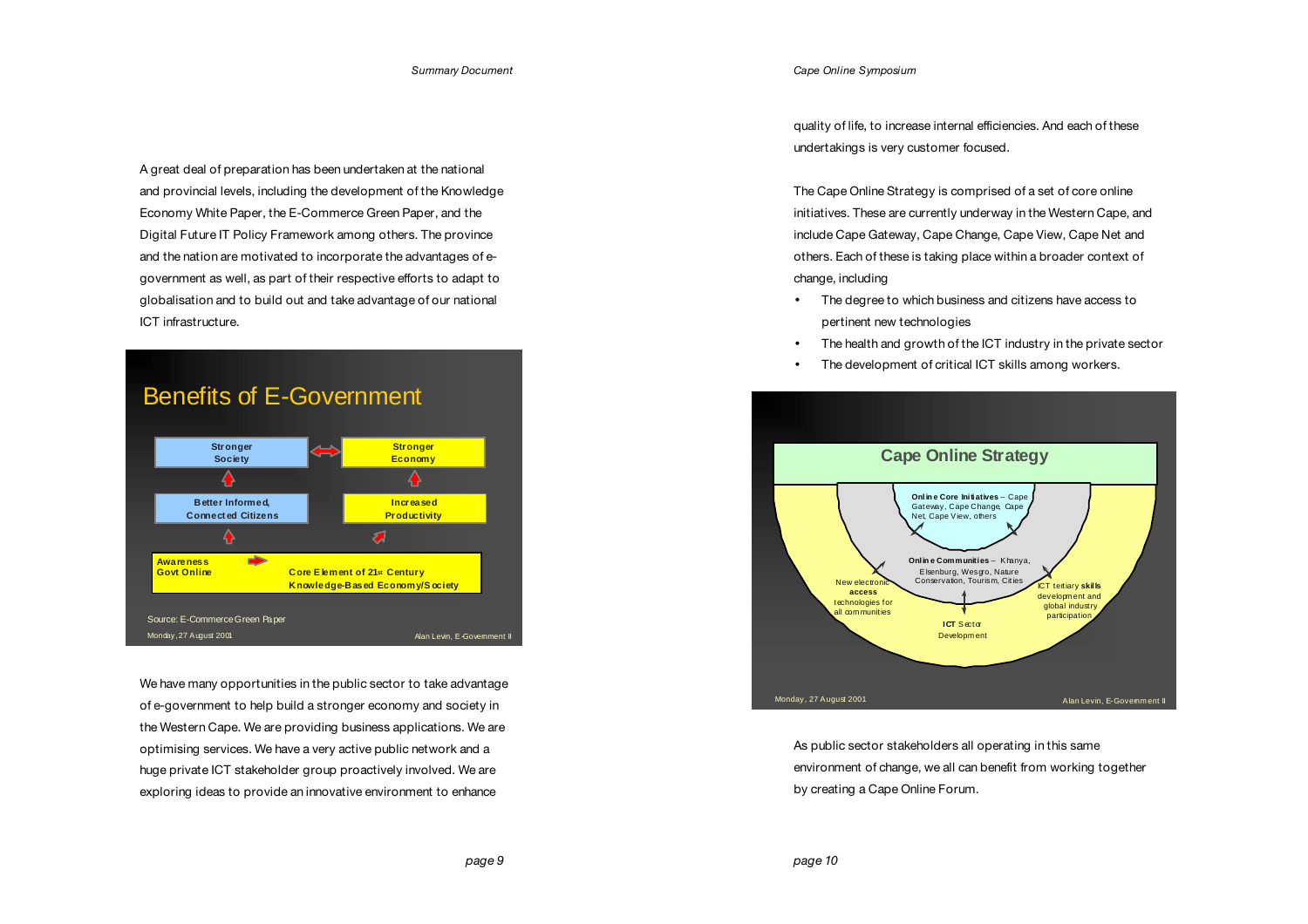A great deal of preparation has been undertaken at the national and provincial levels, including the development of the Knowledge Economy White Paper, the E-Commerce Green Paper, and the Digital Future IT Policy Framework among others. The province and the nation are motivated to incorporate the advantages of egovernment as well, as part of their respective efforts to adapt to globalisation and to build out and take advantage of our national ICT infrastructure.



We have many opportunities in the public sector to take advantage of e-government to help build a stronger economy and society in the Western Cape. We are providing business applications. We are optimising services. We have a very active public network and a huge private ICT stakeholder group proactively involved. We are exploring ideas to provide an innovative environment to enhance

*Cape Online Symposium*

quality of life, to increase internal efficiencies. And each of these undertakings is very customer focused.

The Cape Online Strategy is comprised of a set of core online initiatives. These are currently underway in the Western Cape, and include Cape Gateway, Cape Change, Cape View, Cape Net and others. Each of these is taking place within a broader context of change, including

- The degree to which business and citizens have access to pertinent new technologies
- The health and growth of the ICT industry in the private sector
- The development of critical ICT skills among workers.



As public sector stakeholders all operating in this same environment of change, we all can benefit from working together by creating a Cape Online Forum.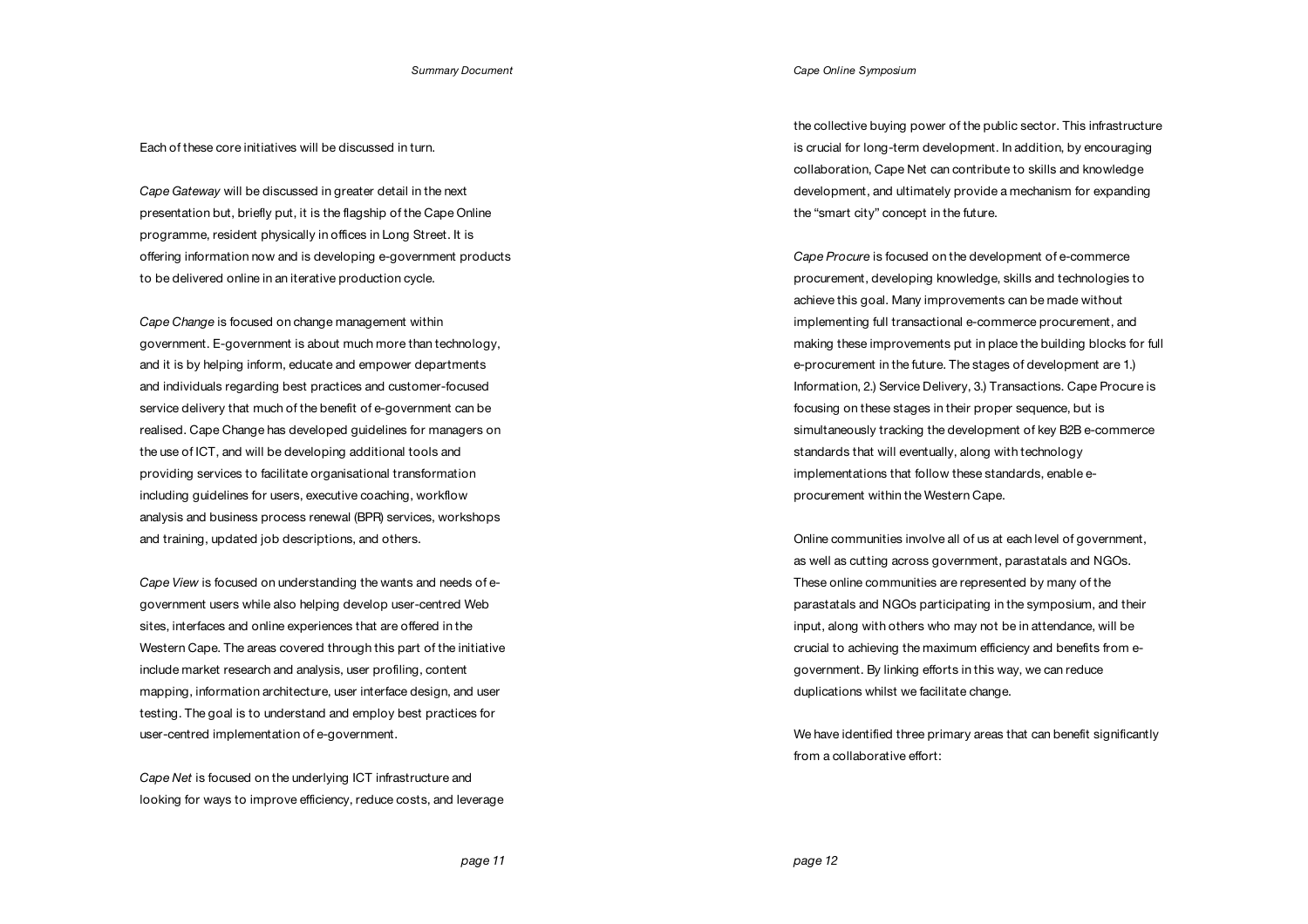Each of these core initiatives will be discussed in turn.

*Cape Gateway* will be discussed in greater detail in the next presentation but, briefly put, it is the flagship of the Cape Online programme, resident physically in offices in Long Street. It is offering information now and is developing e-government products to be delivered online in an iterative production cycle.

*Cape Change* is focused on change management within government. E-government is about much more than technology, and it is by helping inform, educate and empower departments and individuals regarding best practices and customer-focused service delivery that much of the benefit of e-government can be realised. Cape Change has developed guidelines for managers on the use of ICT, and will be developing additional tools and providing services to facilitate organisational transformation including guidelines for users, executive coaching, workflow analysis and business process renewal (BPR) services, workshops and training, updated job descriptions, and others.

*Cape View* is focused on understanding the wants and needs of egovernment users while also helping develop user-centred Web sites, interfaces and online experiences that are offered in the Western Cape. The areas covered through this part of the initiative include market research and analysis, user profiling, content mapping, information architecture, user interface design, and user testing. The goal is to understand and employ best practices for user-centred implementation of e-government.

*Cape Net* is focused on the underlying ICT infrastructure and looking for ways to improve efficiency, reduce costs, and leverage *Cape Online Symposium*

the collective buying power of the public sector. This infrastructure is crucial for long-term development. In addition, by encouraging collaboration, Cape Net can contribute to skills and knowledge development, and ultimately provide a mechanism for expanding the "smart city" concept in the future.

*Cape Procure* is focused on the development of e-commerce procurement, developing knowledge, skills and technologies to achieve this goal. Many improvements can be made without implementing full transactional e-commerce procurement, and making these improvements put in place the building blocks for full e-procurement in the future. The stages of development are 1.) Information, 2.) Service Delivery, 3.) Transactions. Cape Procure is focusing on these stages in their proper sequence, but is simultaneously tracking the development of key B2B e-commerce standards that will eventually, along with technology implementations that follow these standards, enable eprocurement within the Western Cape.

Online communities involve all of us at each level of government. as well as cutting across government, parastatals and NGOs. These online communities are represented by many of the parastatals and NGOs participating in the symposium, and their input, along with others who may not be in attendance, will be crucial to achieving the maximum efficiency and benefits from egovernment. By linking efforts in this way, we can reduce duplications whilst we facilitate change.

We have identified three primary areas that can benefit significantly from a collaborative effort: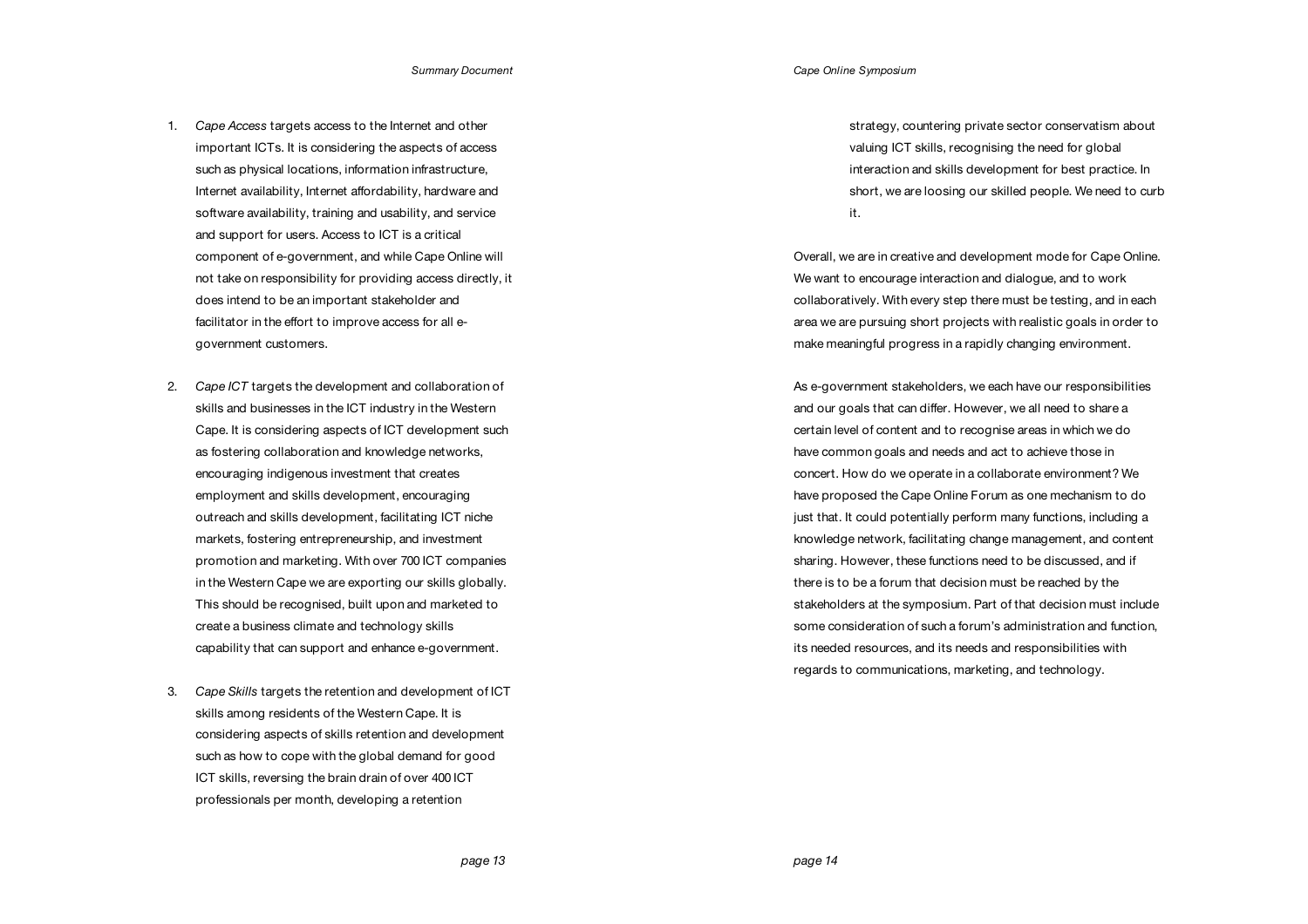- 1. *Cape Access* targets access to the Internet and other important ICTs. It is considering the aspects of access such as physical locations, information infrastructure, Internet availability, Internet affordability, hardware and software availability, training and usability, and service and support for users. Access to ICT is a critical component of e-government, and while Cape Online will not take on responsibility for providing access directly, it does intend to be an important stakeholder and facilitator in the effort to improve access for all egovernment customers.
- 2. *Cape ICT* targets the development and collaboration of skills and businesses in the ICT industry in the Western Cape. It is considering aspects of ICT development such as fostering collaboration and knowledge networks, encouraging indigenous investment that creates employment and skills development, encouraging outreach and skills development, facilitating ICT niche markets, fostering entrepreneurship, and investment promotion and marketing. With over 700 ICT companies in the Western Cape we are exporting our skills globally. This should be recognised, built upon and marketed to create a business climate and technology skills capability that can support and enhance e-government.
- 3. *Cape Skills* targets the retention and development of ICT skills among residents of the Western Cape. It is considering aspects of skills retention and development such as how to cope with the global demand for good ICT skills, reversing the brain drain of over 400 ICT professionals per month, developing a retention

strategy, countering private sector conservatism about valuing ICT skills, recognising the need for global interaction and skills development for best practice. In short, we are loosing our skilled people. We need to curb it.

Overall, we are in creative and development mode for Cape Online. We want to encourage interaction and dialogue, and to work collaboratively. With every step there must be testing, and in each area we are pursuing short projects with realistic goals in order to make meaningful progress in a rapidly changing environment.

As e-government stakeholders, we each have our responsibilities and our goals that can differ. However, we all need to share a certain level of content and to recognise areas in which we do have common goals and needs and act to achieve those in concert. How do we operate in a collaborate environment? We have proposed the Cape Online Forum as one mechanism to do just that. It could potentially perform many functions, including a knowledge network, facilitating change management, and content sharing. However, these functions need to be discussed, and if there is to be a forum that decision must be reached by the stakeholders at the symposium. Part of that decision must include some consideration of such a forum's administration and function, its needed resources, and its needs and responsibilities with regards to communications, marketing, and technology.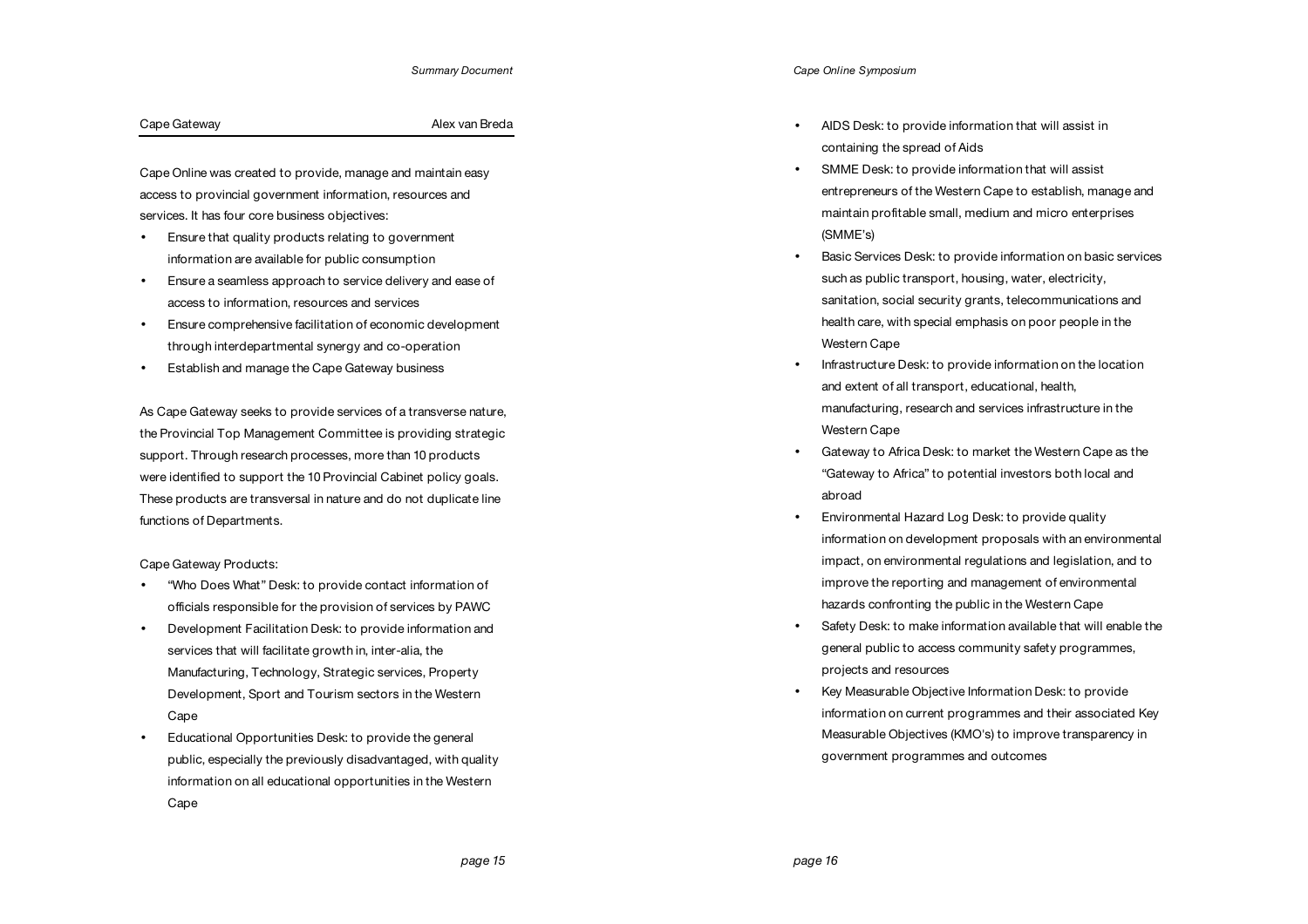# Cape Gateway **Alex van Breda**

Cape Online was created to provide, manage and maintain easy access to provincial government information, resources and services. It has four core business objectives:

- Ensure that quality products relating to government information are available for public consumption
- Ensure a seamless approach to service delivery and ease of access to information, resources and services
- Ensure comprehensive facilitation of economic development through interdepartmental synergy and co-operation
- Establish and manage the Cape Gateway business

As Cape Gateway seeks to provide services of a transverse nature, the Provincial Top Management Committee is providing strategic support. Through research processes, more than 10 products were identified to support the 10 Provincial Cabinet policy goals. These products are transversal in nature and do not duplicate line functions of Departments.

Cape Gateway Products:

- "Who Does What" Desk: to provide contact information of officials responsible for the provision of services by PAWC
- Development Facilitation Desk: to provide information and services that will facilitate growth in, inter-alia, the Manufacturing, Technology, Strategic services, Property Development, Sport and Tourism sectors in the Western Cape
- Educational Opportunities Desk: to provide the general public, especially the previously disadvantaged, with quality information on all educational opportunities in the Western Cape

*Cape Online Symposium*

- AIDS Desk: to provide information that will assist in containing the spread of Aids
- SMME Desk: to provide information that will assist entrepreneurs of the Western Cape to establish, manage and maintain profitable small, medium and micro enterprises (SMME's)
- Basic Services Desk: to provide information on basic services such as public transport, housing, water, electricity, sanitation, social security grants, telecommunications and health care, with special emphasis on poor people in the Western Cape
- Infrastructure Desk: to provide information on the location and extent of all transport, educational, health, manufacturing, research and services infrastructure in the Western Cape
- Gateway to Africa Desk: to market the Western Cape as the "Gateway to Africa" to potential investors both local and abroad
- Environmental Hazard Log Desk: to provide quality information on development proposals with an environmental impact, on environmental regulations and legislation, and to improve the reporting and management of environmental hazards confronting the public in the Western Cape
- Safety Desk: to make information available that will enable the general public to access community safety programmes, projects and resources
- Key Measurable Objective Information Desk: to provide information on current programmes and their associated Key Measurable Objectives (KMO's) to improve transparency in government programmes and outcomes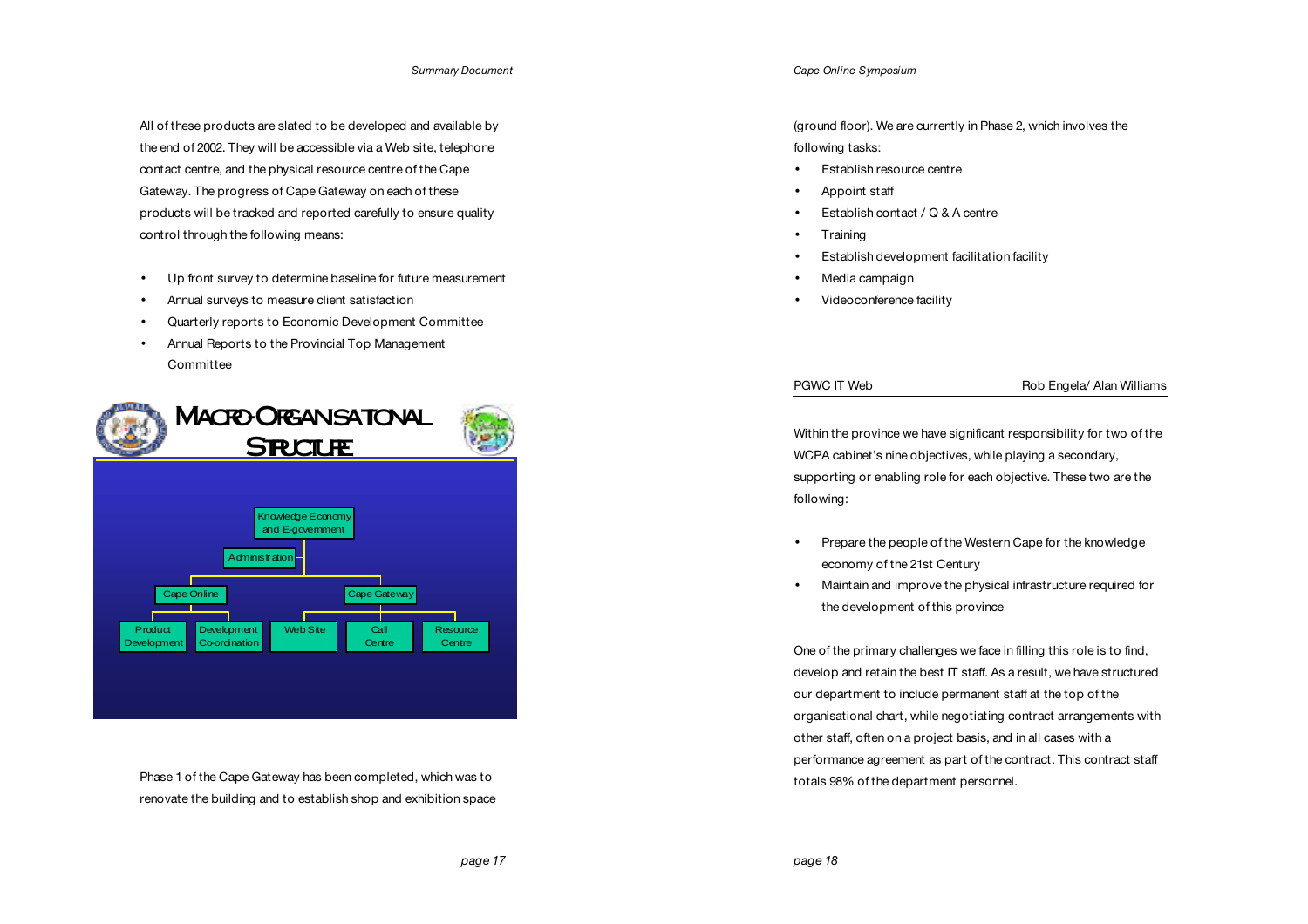All of these products are slated to be developed and available by the end of 2002. They will be accessible via a Web site, telephone contact centre, and the physical resource centre of the Cape Gateway. The progress of Cape Gateway on each of these products will be tracked and reported carefully to ensure quality control through the following means:

- Up front survey to determine baseline for future measurement
- Annual surveys to measure client satisfaction
- Quarterly reports to Economic Development Committee
- Annual Reports to the Provincial Top Management **Committee**



Phase 1 of the Cape Gateway has been completed, which was to renovate the building and to establish shop and exhibition space *Cape Online Symposium*

(ground floor). We are currently in Phase 2, which involves the following tasks:

- Establish resource centre
- Appoint staff
- Establish contact / Q & A centre
- Training
- Establish development facilitation facility
- Media campaign
- Videoconference facility

## PGWC IT Web Rob Engela/ Alan Williams

Within the province we have significant responsibility for two of the WCPA cabinet's nine objectives, while playing a secondary, supporting or enabling role for each objective. These two are the following:

- Prepare the people of the Western Cape for the knowledge economy of the 21st Century
- Maintain and improve the physical infrastructure required for the development of this province

One of the primary challenges we face in filling this role is to find, develop and retain the best IT staff. As a result, we have structured our department to include permanent staff at the top of the organisational chart, while negotiating contract arrangements with other staff, often on a project basis, and in all cases with a performance agreement as part of the contract. This contract staff totals 98% of the department personnel.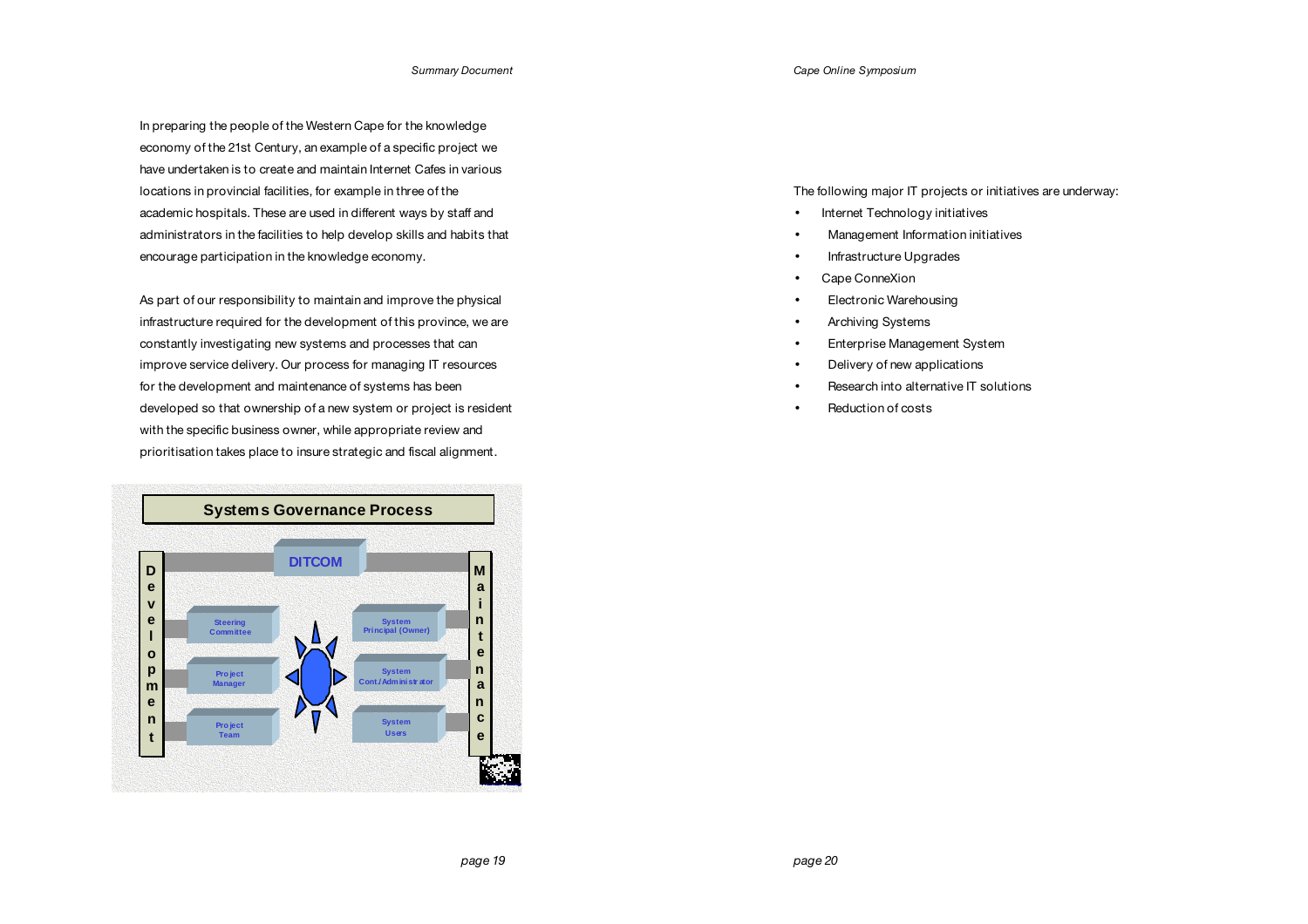In preparing the people of the Western Cape for the knowledge economy of the 21st Century, an example of a specific project we have undertaken is to create and maintain Internet Cafes in various locations in provincial facilities, for example in three of the academic hospitals. These are used in different ways by staff and administrators in the facilities to help develop skills and habits that encourage participation in the knowledge economy.

As part of our responsibility to maintain and improve the physical infrastructure required for the development of this province, we are constantly investigating new systems and processes that can improve service delivery. Our process for managing IT resources for the development and maintenance of systems has been developed so that ownership of a new system or project is resident with the specific business owner, while appropriate review and prioritisation takes place to insure strategic and fiscal alignment.



The following major IT projects or initiatives are underway:

- Internet Technology initiatives
- Management Information initiatives
- Infrastructure Upgrades
- Cape ConneXion
- Electronic Warehousing
- Archiving Systems
- Enterprise Management System
- Delivery of new applications
- Research into alternative IT solutions
- Reduction of costs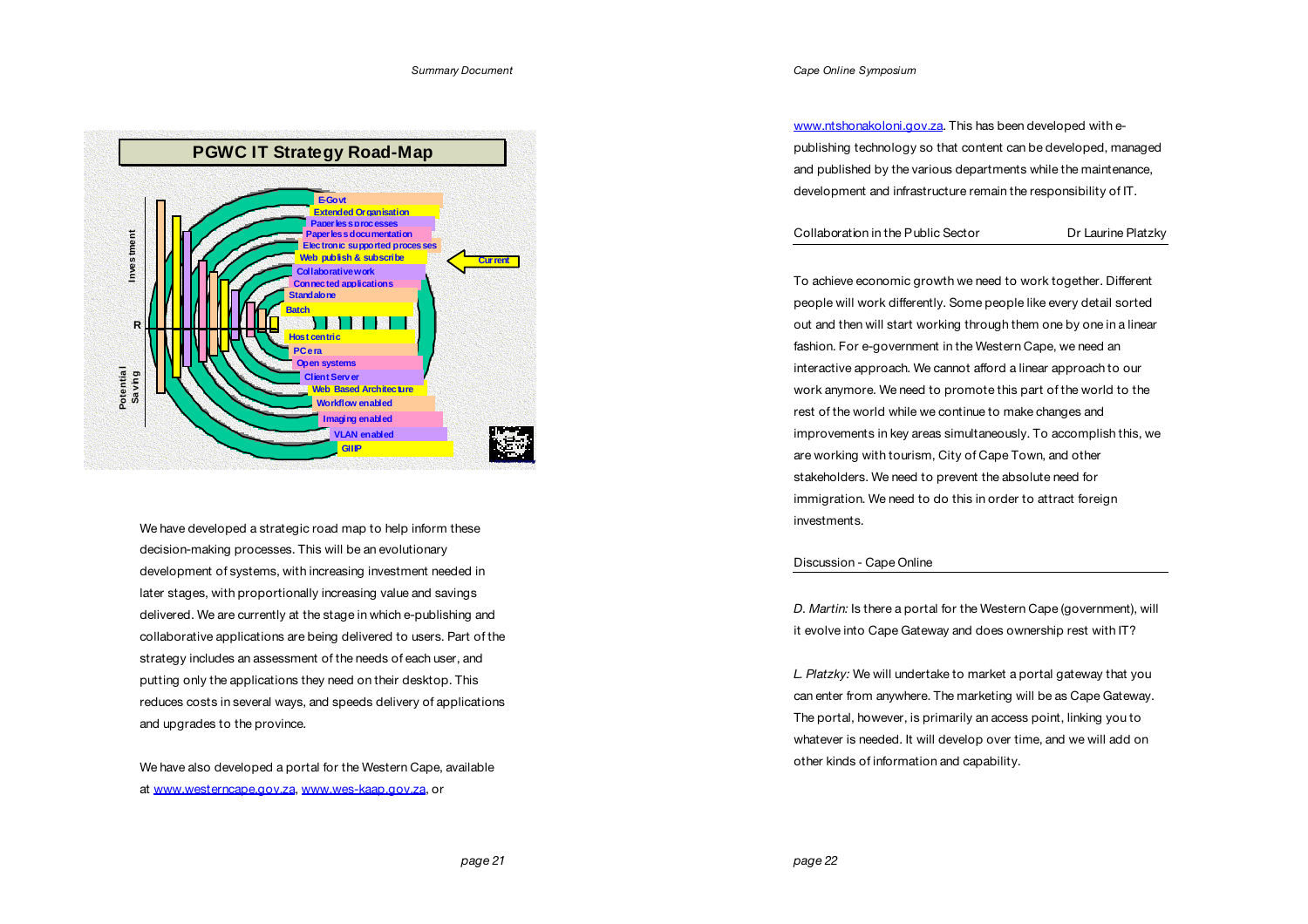

We have developed a strategic road map to help inform these decision-making processes. This will be an evolutionary development of systems, with increasing investment needed in later stages, with proportionally increasing value and savings delivered. We are currently at the stage in which e-publishing and collaborative applications are being delivered to users. Part of the strategy includes an assessment of the needs of each user, and putting only the applications they need on their desktop. This reduces costs in several ways, and speeds delivery of applications and upgrades to the province.

We have also developed a portal for the Western Cape, available at www.westerncape.gov.za, www.wes-kaap.gov.za, or

www.ntshonakoloni.gov.za. This has been developed with epublishing technology so that content can be developed, managed and published by the various departments while the maintenance, development and infrastructure remain the responsibility of IT.

# Collaboration in the Public Sector Dr Laurine Platzky

To achieve economic growth we need to work together. Different people will work differently. Some people like every detail sorted out and then will start working through them one by one in a linear fashion. For e-government in the Western Cape, we need an interactive approach. We cannot afford a linear approach to our work anymore. We need to promote this part of the world to the rest of the world while we continue to make changes and improvements in key areas simultaneously. To accomplish this, we are working with tourism, City of Cape Town, and other stakeholders. We need to prevent the absolute need for immigration. We need to do this in order to attract foreign investments.

# Discussion - Cape Online

*D. Martin:* Is there a portal for the Western Cape (government), will it evolve into Cape Gateway and does ownership rest with IT?

*L. Platzky:* We will undertake to market a portal gateway that you can enter from anywhere. The marketing will be as Cape Gateway. The portal, however, is primarily an access point, linking you to whatever is needed. It will develop over time, and we will add on other kinds of information and capability.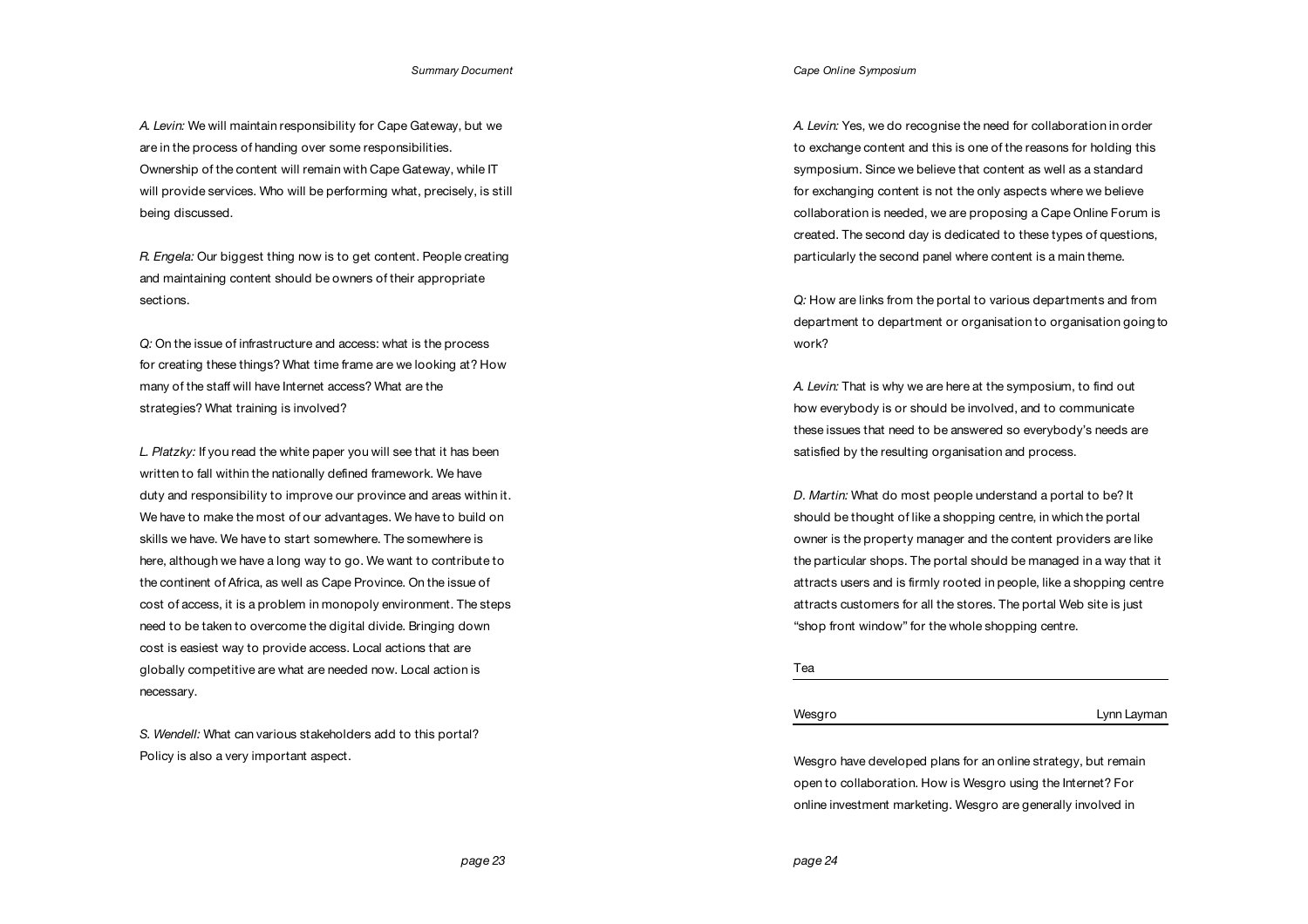*A. Levin:* We will maintain responsibility for Cape Gateway, but we are in the process of handing over some responsibilities. Ownership of the content will remain with Cape Gateway, while IT will provide services. Who will be performing what, precisely, is still being discussed.

*R. Engela:* Our biggest thing now is to get content. People creating and maintaining content should be owners of their appropriate sections.

*Q:* On the issue of infrastructure and access: what is the process for creating these things? What time frame are we looking at? How many of the staff will have Internet access? What are the strategies? What training is involved?

*L. Platzky:* If you read the white paper you will see that it has been written to fall within the nationally defined framework. We have duty and responsibility to improve our province and areas within it. We have to make the most of our advantages. We have to build on skills we have. We have to start somewhere. The somewhere is here, although we have a long way to go. We want to contribute to the continent of Africa, as well as Cape Province. On the issue of cost of access, it is a problem in monopoly environment. The steps need to be taken to overcome the digital divide. Bringing down cost is easiest way to provide access. Local actions that are globally competitive are what are needed now. Local action is necessary.

*S. Wendell:* What can various stakeholders add to this portal? Policy is also a very important aspect.

*Cape Online Symposium*

*A. Levin:* Yes, we do recognise the need for collaboration in order to exchange content and this is one of the reasons for holding this symposium. Since we believe that content as well as a standard for exchanging content is not the only aspects where we believe collaboration is needed, we are proposing a Cape Online Forum is created. The second day is dedicated to these types of questions, particularly the second panel where content is a main theme.

*Q:* How are links from the portal to various departments and from department to department or organisation to organisation going to work?

*A. Levin:* That is why we are here at the symposium, to find out how everybody is or should be involved, and to communicate these issues that need to be answered so everybody's needs are satisfied by the resulting organisation and process.

*D. Martin:* What do most people understand a portal to be? It should be thought of like a shopping centre, in which the portal owner is the property manager and the content providers are like the particular shops. The portal should be managed in a way that it attracts users and is firmly rooted in people, like a shopping centre attracts customers for all the stores. The portal Web site is just "shop front window" for the whole shopping centre.

# Tea

### Wesgro **Lynn Layman**

Wesgro have developed plans for an online strategy, but remain open to collaboration. How is Wesgro using the Internet? For online investment marketing. Wesgro are generally involved in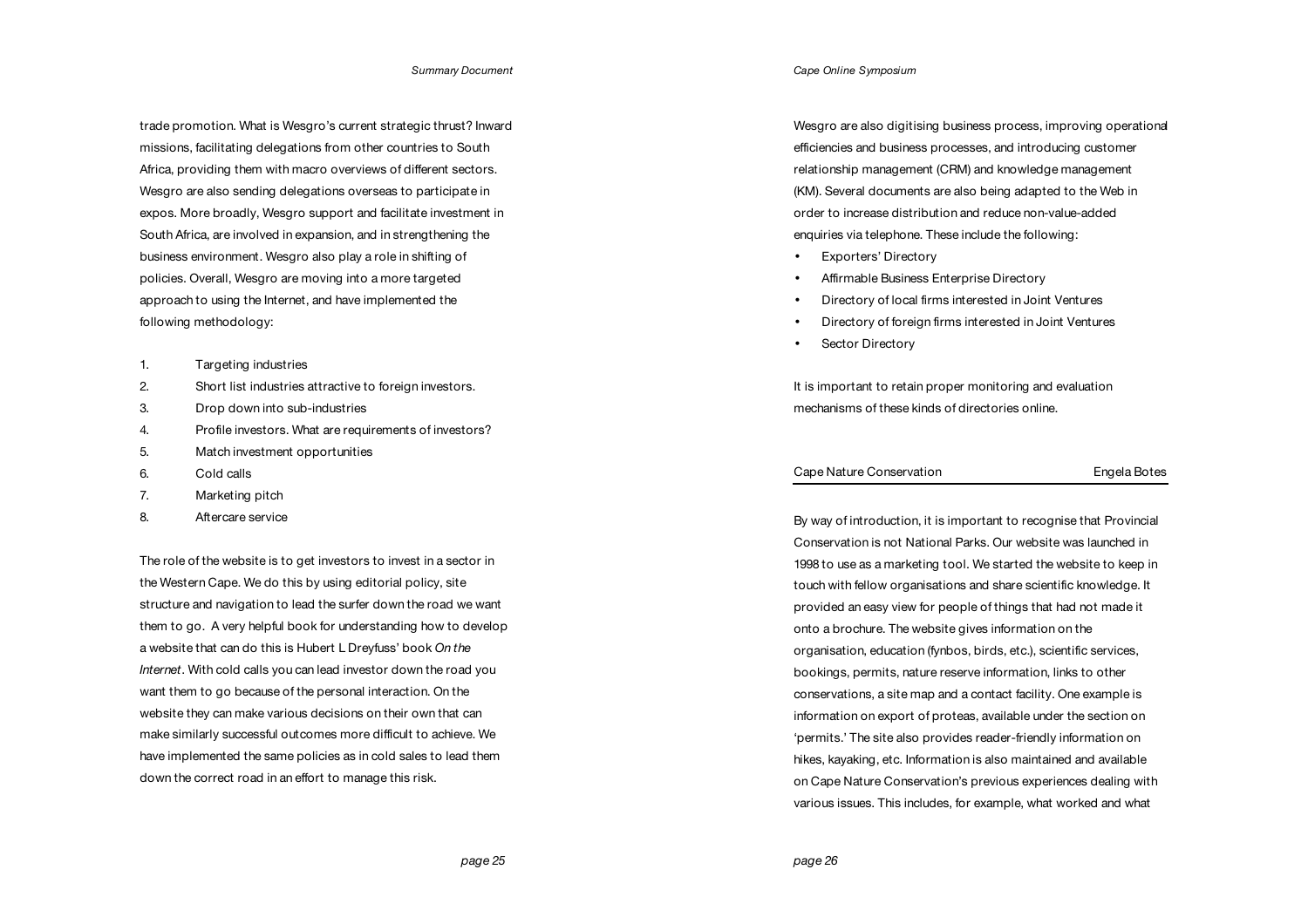trade promotion. What is Wesgro's current strategic thrust? Inward missions, facilitating delegations from other countries to South Africa, providing them with macro overviews of different sectors. Wesgro are also sending delegations overseas to participate in expos. More broadly, Wesgro support and facilitate investment in South Africa, are involved in expansion, and in strengthening the business environment. Wesgro also play a role in shifting of policies. Overall, Wesgro are moving into a more targeted approach to using the Internet, and have implemented the following methodology:

- 1. Targeting industries
- 2. Short list industries attractive to foreign investors.
- 3. Drop down into sub-industries
- 4. Profile investors. What are requirements of investors?
- 5. Match investment opportunities
- 6. Cold calls
- 7. Marketing pitch
- 8. Aftercare service

The role of the website is to get investors to invest in a sector in the Western Cape. We do this by using editorial policy, site structure and navigation to lead the surfer down the road we want them to go. A very helpful book for understanding how to develop a website that can do this is Hubert L Dreyfuss' book *On the Internet*. With cold calls you can lead investor down the road you want them to go because of the personal interaction. On the website they can make various decisions on their own that can make similarly successful outcomes more difficult to achieve. We have implemented the same policies as in cold sales to lead them down the correct road in an effort to manage this risk.

*Cape Online Symposium*

Wesgro are also digitising business process, improving operational efficiencies and business processes, and introducing customer relationship management (CRM) and knowledge management (KM). Several documents are also being adapted to the Web in order to increase distribution and reduce non-value-added enquiries via telephone. These include the following:

- Exporters' Directory
- Affirmable Business Enterprise Directory
- Directory of local firms interested in Joint Ventures
- Directory of foreign firms interested in Joint Ventures
- Sector Directory

It is important to retain proper monitoring and evaluation mechanisms of these kinds of directories online.

# Cape Nature Conservation **Engela Botes**

By way of introduction, it is important to recognise that Provincial Conservation is not National Parks. Our website was launched in 1998 to use as a marketing tool. We started the website to keep in touch with fellow organisations and share scientific knowledge. It provided an easy view for people of things that had not made it onto a brochure. The website gives information on the organisation, education (fynbos, birds, etc.), scientific services, bookings, permits, nature reserve information, links to other conservations, a site map and a contact facility. One example is information on export of proteas, available under the section on 'permits.' The site also provides reader-friendly information on hikes, kayaking, etc. Information is also maintained and available on Cape Nature Conservation's previous experiences dealing with various issues. This includes, for example, what worked and what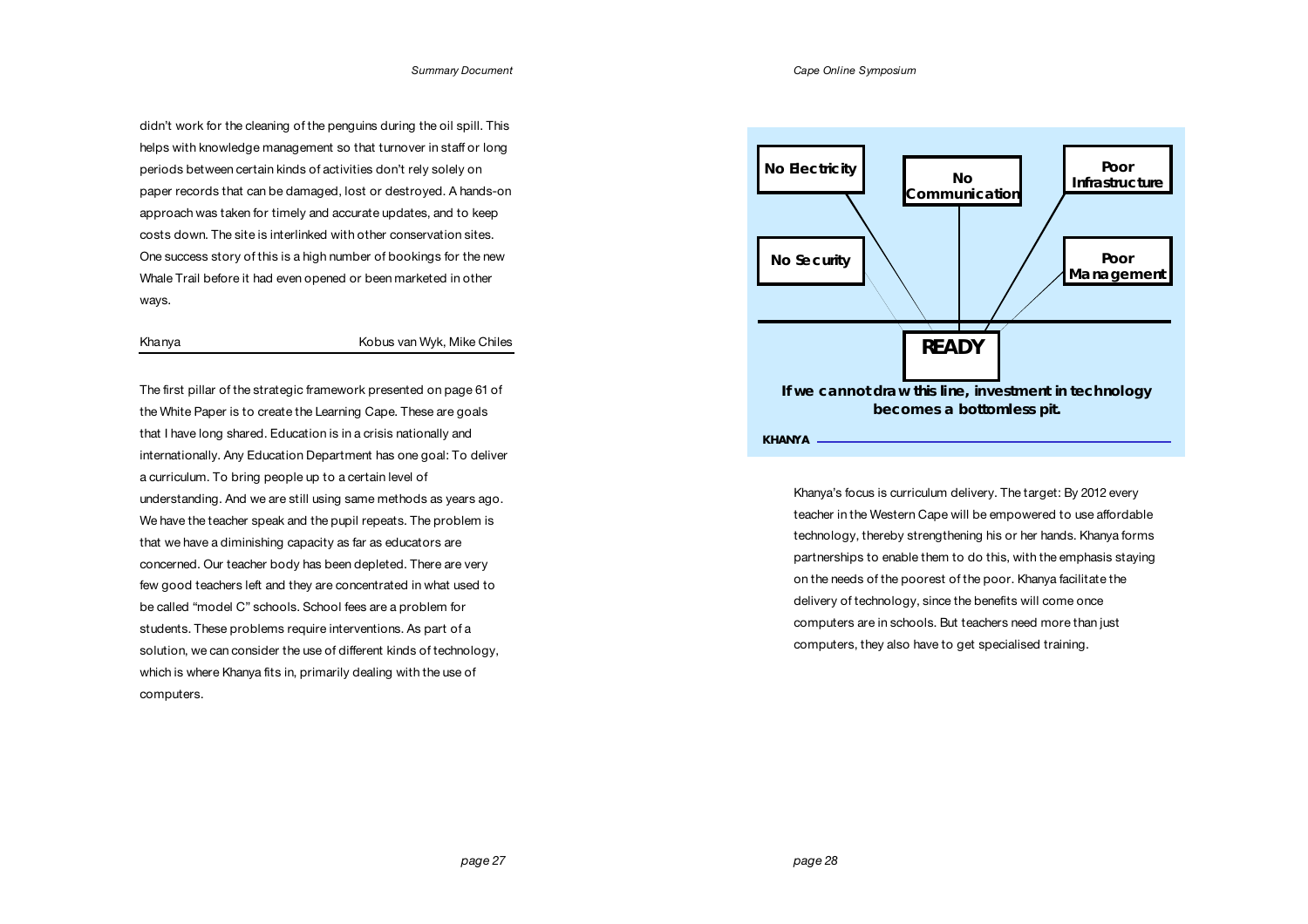didn't work for the cleaning of the penguins during the oil spill. This helps with knowledge management so that turnover in staff or long periods between certain kinds of activities don't rely solely on paper records that can be damaged, lost or destroyed. A hands-on approach was taken for timely and accurate updates, and to keep costs down. The site is interlinked with other conservation sites. One success story of this is a high number of bookings for the new Whale Trail before it had even opened or been marketed in other ways.

Khanya Kobus van Wyk, Mike Chiles

The first pillar of the strategic framework presented on page 61 of the White Paper is to create the Learning Cape. These are goals that I have long shared. Education is in a crisis nationally and internationally. Any Education Department has one goal: To deliver a curriculum. To bring people up to a certain level of understanding. And we are still using same methods as years ago. We have the teacher speak and the pupil repeats. The problem is that we have a diminishing capacity as far as educators are concerned. Our teacher body has been depleted. There are very few good teachers left and they are concentrated in what used to be called "model C" schools. School fees are a problem for students. These problems require interventions. As part of a solution, we can consider the use of different kinds of technology, which is where Khanya fits in, primarily dealing with the use of computers.



Khanya's focus is curriculum delivery. The target: By 2012 every teacher in the Western Cape will be empowered to use affordable technology, thereby strengthening his or her hands. Khanya forms partnerships to enable them to do this, with the emphasis staying on the needs of the poorest of the poor. Khanya facilitate the delivery of technology, since the benefits will come once computers are in schools. But teachers need more than just computers, they also have to get specialised training.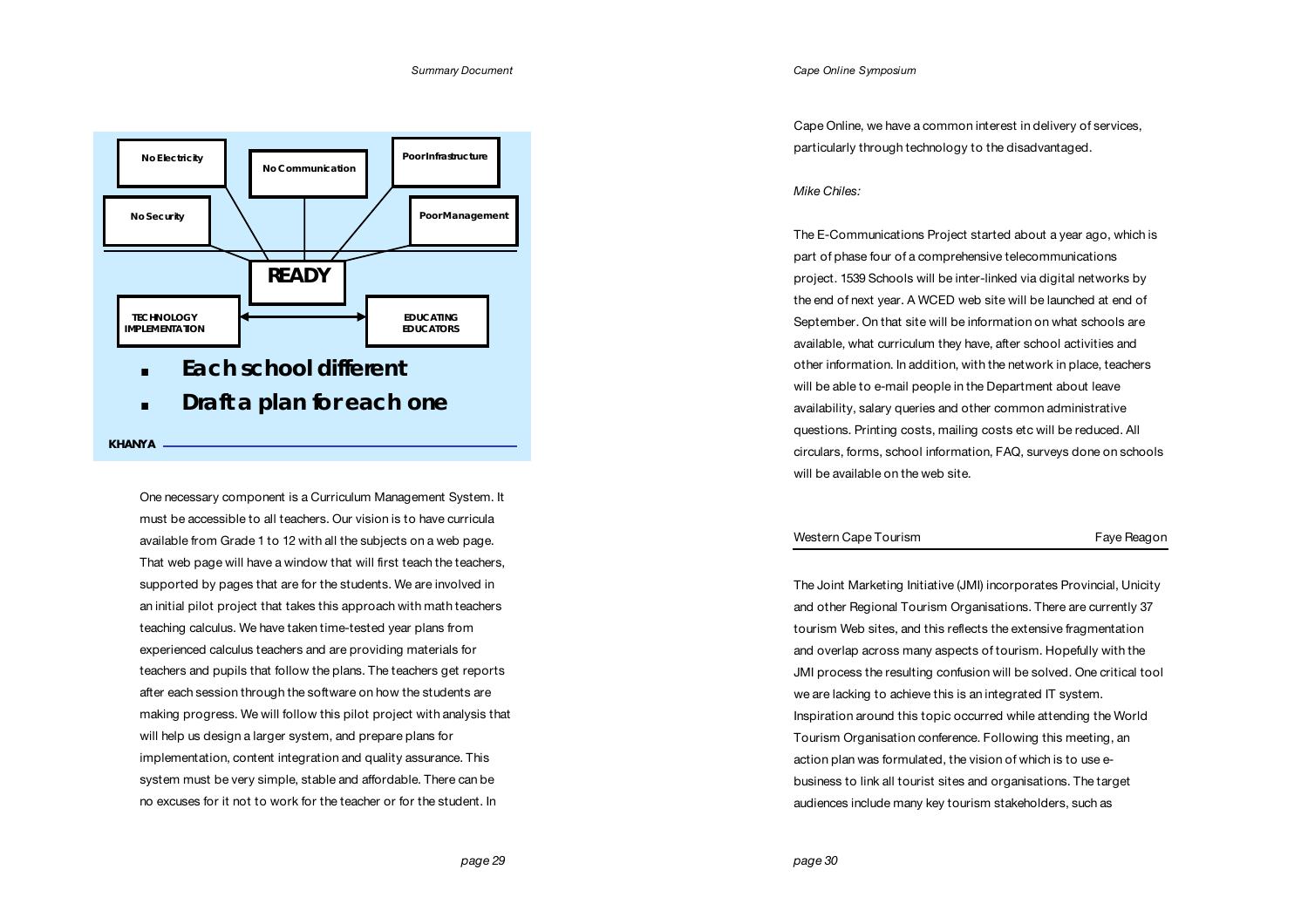

One necessary component is a Curriculum Management System. It must be accessible to all teachers. Our vision is to have curricula available from Grade 1 to 12 with all the subjects on a web page. That web page will have a window that will first teach the teachers, supported by pages that are for the students. We are involved in an initial pilot project that takes this approach with math teachers teaching calculus. We have taken time-tested year plans from experienced calculus teachers and are providing materials for teachers and pupils that follow the plans. The teachers get reports after each session through the software on how the students are making progress. We will follow this pilot project with analysis that will help us design a larger system, and prepare plans for implementation, content integration and quality assurance. This system must be very simple, stable and affordable. There can be no excuses for it not to work for the teacher or for the student. In

*Cape Online Symposium*

Cape Online, we have a common interest in delivery of services, particularly through technology to the disadvantaged.

# *Mike Chiles:*

The E-Communications Project started about a year ago, which is part of phase four of a comprehensive telecommunications project. 1539 Schools will be inter-linked via digital networks by the end of next year. A WCED web site will be launched at end of September. On that site will be information on what schools are available, what curriculum they have, after school activities and other information. In addition, with the network in place, teachers will be able to e-mail people in the Department about leave availability, salary queries and other common administrative questions. Printing costs, mailing costs etc will be reduced. All circulars, forms, school information, FAQ, surveys done on schools will be available on the web site.

# Western Cape Tourism **Faye Reagon**

The Joint Marketing Initiative (JMI) incorporates Provincial, Unicity and other Regional Tourism Organisations. There are currently 37 tourism Web sites, and this reflects the extensive fragmentation and overlap across many aspects of tourism. Hopefully with the JMI process the resulting confusion will be solved. One critical tool we are lacking to achieve this is an integrated IT system. Inspiration around this topic occurred while attending the World Tourism Organisation conference. Following this meeting, an action plan was formulated, the vision of which is to use ebusiness to link all tourist sites and organisations. The target audiences include many key tourism stakeholders, such as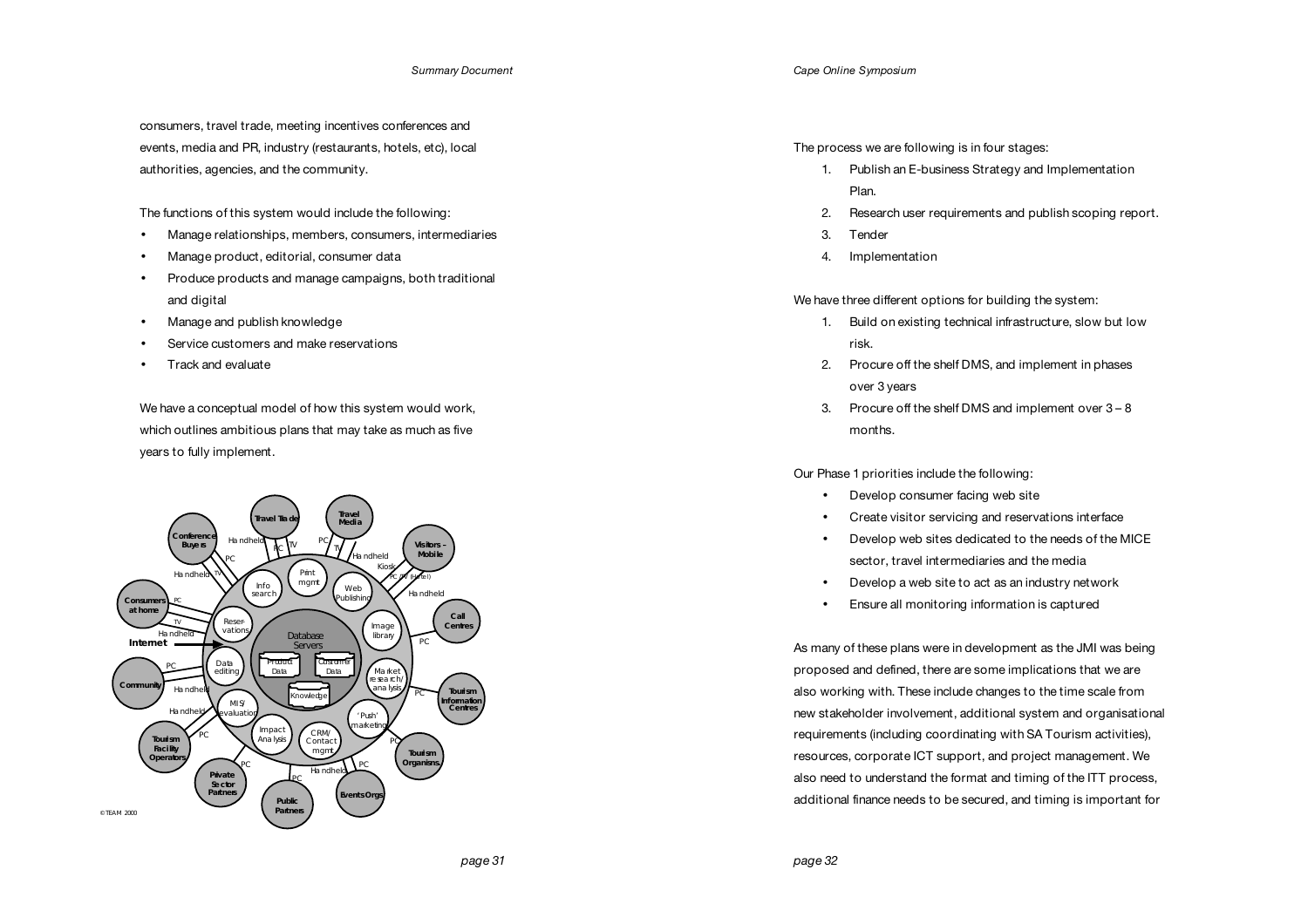consumers, travel trade, meeting incentives conferences and events, media and PR, industry (restaurants, hotels, etc), local authorities, agencies, and the community.

The functions of this system would include the following:

- Manage relationships, members, consumers, intermediaries
- Manage product, editorial, consumer data
- Produce products and manage campaigns, both traditional and digital
- Manage and publish knowledge
- Service customers and make reservations
- Track and evaluate

We have a conceptual model of how this system would work, which outlines ambitious plans that may take as much as five years to fully implement.



*Cape Online Symposium*

The process we are following is in four stages:

- 1. Publish an E-business Strategy and Implementation Plan.
- 2. Research user requirements and publish scoping report.
- 3. Tender
- 4. Implementation

We have three different options for building the system:

- 1. Build on existing technical infrastructure, slow but low risk.
- 2. Procure off the shelf DMS, and implement in phases over 3 years
- 3. Procure off the shelf DMS and implement over 3 8 months.

Our Phase 1 priorities include the following:

- Develop consumer facing web site
- Create visitor servicing and reservations interface
- Develop web sites dedicated to the needs of the MICE sector, travel intermediaries and the media
- Develop a web site to act as an industry network
- Ensure all monitoring information is captured

As many of these plans were in development as the JMI was being proposed and defined, there are some implications that we are also working with. These include changes to the time scale from new stakeholder involvement, additional system and organisational requirements (including coordinating with SA Tourism activities), resources, corporate ICT support, and project management. We also need to understand the format and timing of the ITT process, additional finance needs to be secured, and timing is important for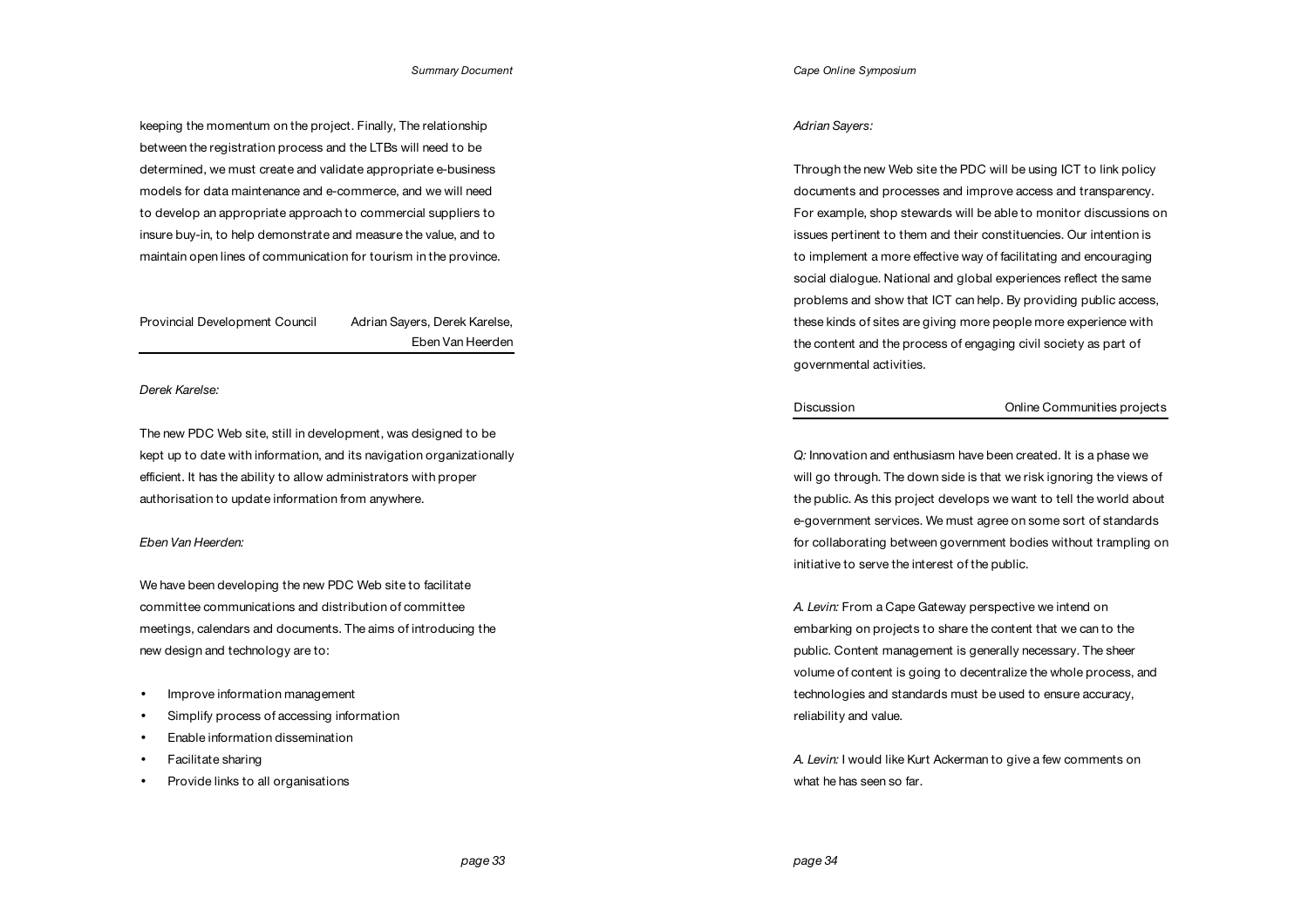keeping the momentum on the project. Finally, The relationship between the registration process and the LTBs will need to be determined, we must create and validate appropriate e-business models for data maintenance and e-commerce, and we will need to develop an appropriate approach to commercial suppliers to insure buy-in, to help demonstrate and measure the value, and to maintain open lines of communication for tourism in the province.

Provincial Development Council Adrian Sayers, Derek Karelse, Eben Van Heerden

*Derek Karelse:* 

The new PDC Web site, still in development, was designed to be kept up to date with information, and its navigation organizationally efficient. It has the ability to allow administrators with proper authorisation to update information from anywhere.

## *Eben Van Heerden:*

We have been developing the new PDC Web site to facilitate committee communications and distribution of committee meetings, calendars and documents. The aims of introducing the new design and technology are to:

- Improve information management
- Simplify process of accessing information
- Enable information dissemination
- Facilitate sharing
- Provide links to all organisations

### *Adrian Sayers:*

Through the new Web site the PDC will be using ICT to link policy documents and processes and improve access and transparency. For example, shop stewards will be able to monitor discussions on issues pertinent to them and their constituencies. Our intention is to implement a more effective way of facilitating and encouraging social dialogue. National and global experiences reflect the same problems and show that ICT can help. By providing public access, these kinds of sites are giving more people more experience with the content and the process of engaging civil society as part of governmental activities.

Discussion Online Communities projects

*Q:* Innovation and enthusiasm have been created. It is a phase we will go through. The down side is that we risk ignoring the views of the public. As this project develops we want to tell the world about e-government services. We must agree on some sort of standards for collaborating between government bodies without trampling on initiative to serve the interest of the public.

*A. Levin:* From a Cape Gateway perspective we intend on embarking on projects to share the content that we can to the public. Content management is generally necessary. The sheer volume of content is going to decentralize the whole process, and technologies and standards must be used to ensure accuracy, reliability and value.

*A. Levin:* I would like Kurt Ackerman to give a few comments on what he has seen so far.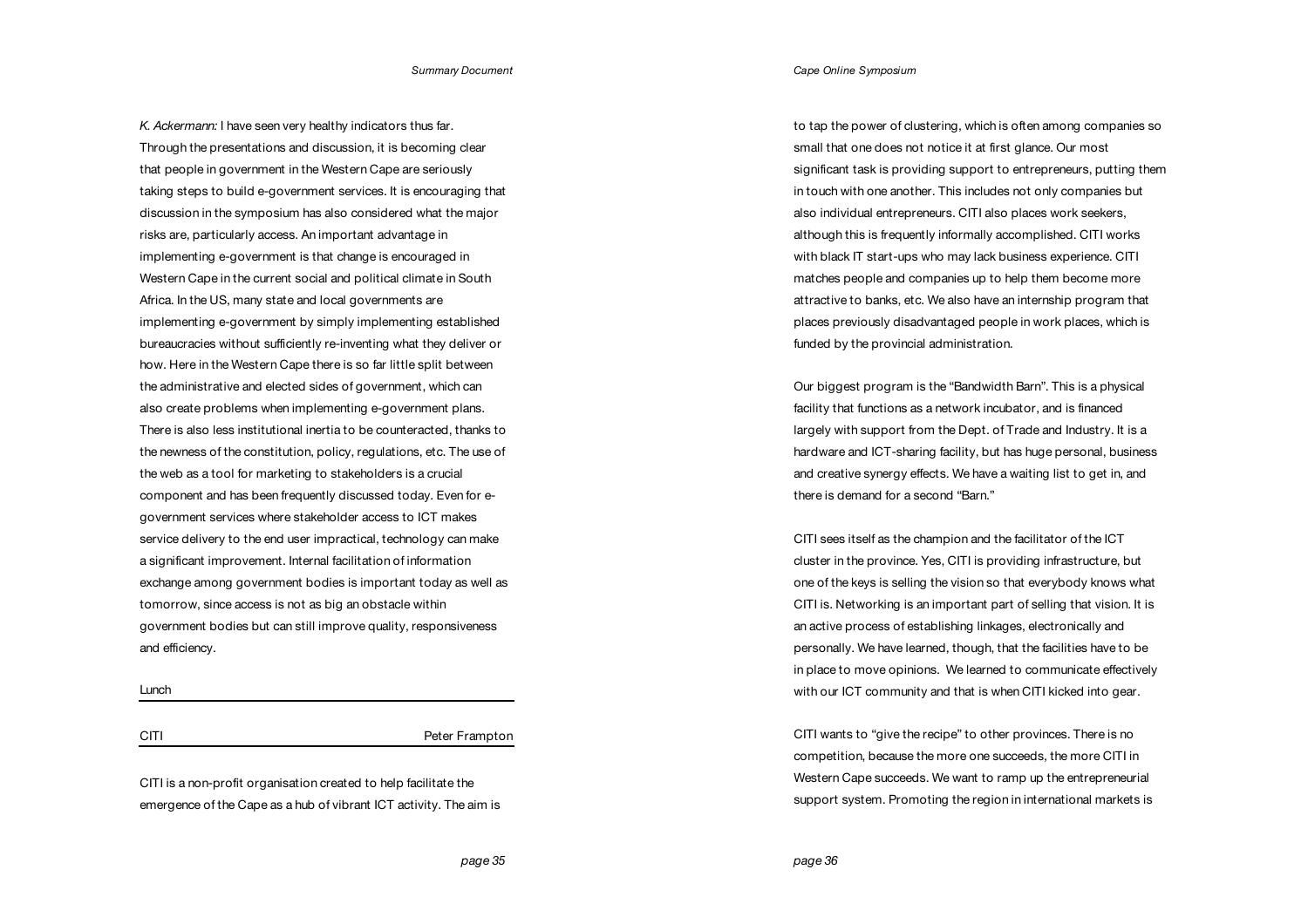*K. Ackermann:* I have seen very healthy indicators thus far. Through the presentations and discussion, it is becoming clear that people in government in the Western Cape are seriously taking steps to build e-government services. It is encouraging that discussion in the symposium has also considered what the major risks are, particularly access. An important advantage in implementing e-government is that change is encouraged in Western Cape in the current social and political climate in South Africa. In the US, many state and local governments are implementing e-government by simply implementing established bureaucracies without sufficiently re-inventing what they deliver or how. Here in the Western Cape there is so far little split between the administrative and elected sides of government, which can also create problems when implementing e-government plans. There is also less institutional inertia to be counteracted, thanks to the newness of the constitution, policy, regulations, etc. The use of the web as a tool for marketing to stakeholders is a crucial component and has been frequently discussed today. Even for egovernment services where stakeholder access to ICT makes service delivery to the end user impractical, technology can make a significant improvement. Internal facilitation of information exchange among government bodies is important today as well as tomorrow, since access is not as big an obstacle within government bodies but can still improve quality, responsiveness and efficiency.

Lunch

CITI Peter Frampton

CITI is a non-profit organisation created to help facilitate the emergence of the Cape as a hub of vibrant ICT activity. The aim is to tap the power of clustering, which is often among companies so small that one does not notice it at first glance. Our most significant task is providing support to entrepreneurs, putting them in touch with one another. This includes not only companies but also individual entrepreneurs. CITI also places work seekers, although this is frequently informally accomplished. CITI works with black IT start-ups who may lack business experience. CITI matches people and companies up to help them become more attractive to banks, etc. We also have an internship program that places previously disadvantaged people in work places, which is funded by the provincial administration.

Our biggest program is the "Bandwidth Barn". This is a physical facility that functions as a network incubator, and is financed largely with support from the Dept. of Trade and Industry. It is a hardware and ICT-sharing facility, but has huge personal, business and creative synergy effects. We have a waiting list to get in, and there is demand for a second "Barn."

CITI sees itself as the champion and the facilitator of the ICT cluster in the province. Yes, CITI is providing infrastructure, but one of the keys is selling the vision so that everybody knows what CITI is. Networking is an important part of selling that vision. It is an active process of establishing linkages, electronically and personally. We have learned, though, that the facilities have to be in place to move opinions. We learned to communicate effectively with our ICT community and that is when CITI kicked into gear.

CITI wants to "give the recipe" to other provinces. There is no competition, because the more one succeeds, the more CITI in Western Cape succeeds. We want to ramp up the entrepreneurial support system. Promoting the region in international markets is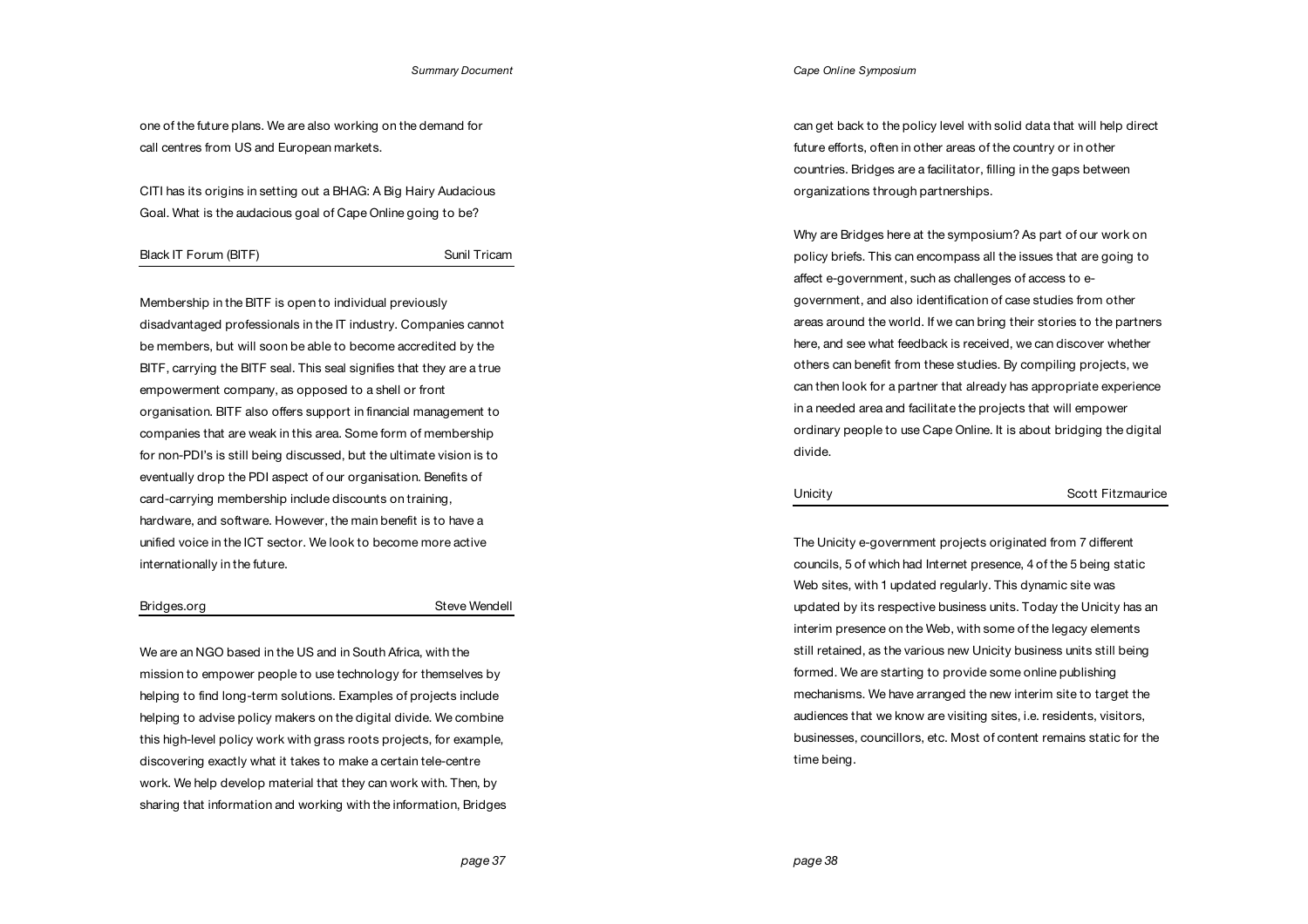one of the future plans. We are also working on the demand for call centres from US and European markets.

CITI has its origins in setting out a BHAG: A Big Hairy Audacious Goal. What is the audacious goal of Cape Online going to be?

### Black IT Forum (BITF) Sunil Tricam

Membership in the BITF is open to individual previously disadvantaged professionals in the IT industry. Companies cannot be members, but will soon be able to become accredited by the BITF, carrying the BITF seal. This seal signifies that they are a true empowerment company, as opposed to a shell or front organisation. BITF also offers support in financial management to companies that are weak in this area. Some form of membership for non-PDI's is still being discussed, but the ultimate vision is to eventually drop the PDI aspect of our organisation. Benefits of card-carrying membership include discounts on training, hardware, and software. However, the main benefit is to have a unified voice in the ICT sector. We look to become more active internationally in the future.

### Bridges.org Steve Wendell

We are an NGO based in the US and in South Africa, with the mission to empower people to use technology for themselves by helping to find long-term solutions. Examples of projects include helping to advise policy makers on the digital divide. We combine this high-level policy work with grass roots projects, for example, discovering exactly what it takes to make a certain tele-centre work. We help develop material that they can work with. Then, by sharing that information and working with the information, Bridges *Cape Online Symposium*

can get back to the policy level with solid data that will help direct future efforts, often in other areas of the country or in other countries. Bridges are a facilitator, filling in the gaps between organizations through partnerships.

Why are Bridges here at the symposium? As part of our work on policy briefs. This can encompass all the issues that are going to affect e-government, such as challenges of access to egovernment, and also identification of case studies from other areas around the world. If we can bring their stories to the partners here, and see what feedback is received, we can discover whether others can benefit from these studies. By compiling projects, we can then look for a partner that already has appropriate experience in a needed area and facilitate the projects that will empower ordinary people to use Cape Online. It is about bridging the digital divide.

The Unicity e-government projects originated from 7 different councils, 5 of which had Internet presence, 4 of the 5 being static Web sites, with 1 updated regularly. This dynamic site was updated by its respective business units. Today the Unicity has an interim presence on the Web, with some of the legacy elements still retained, as the various new Unicity business units still being formed. We are starting to provide some online publishing mechanisms. We have arranged the new interim site to target the audiences that we know are visiting sites, i.e. residents, visitors, businesses, councillors, etc. Most of content remains static for the time being.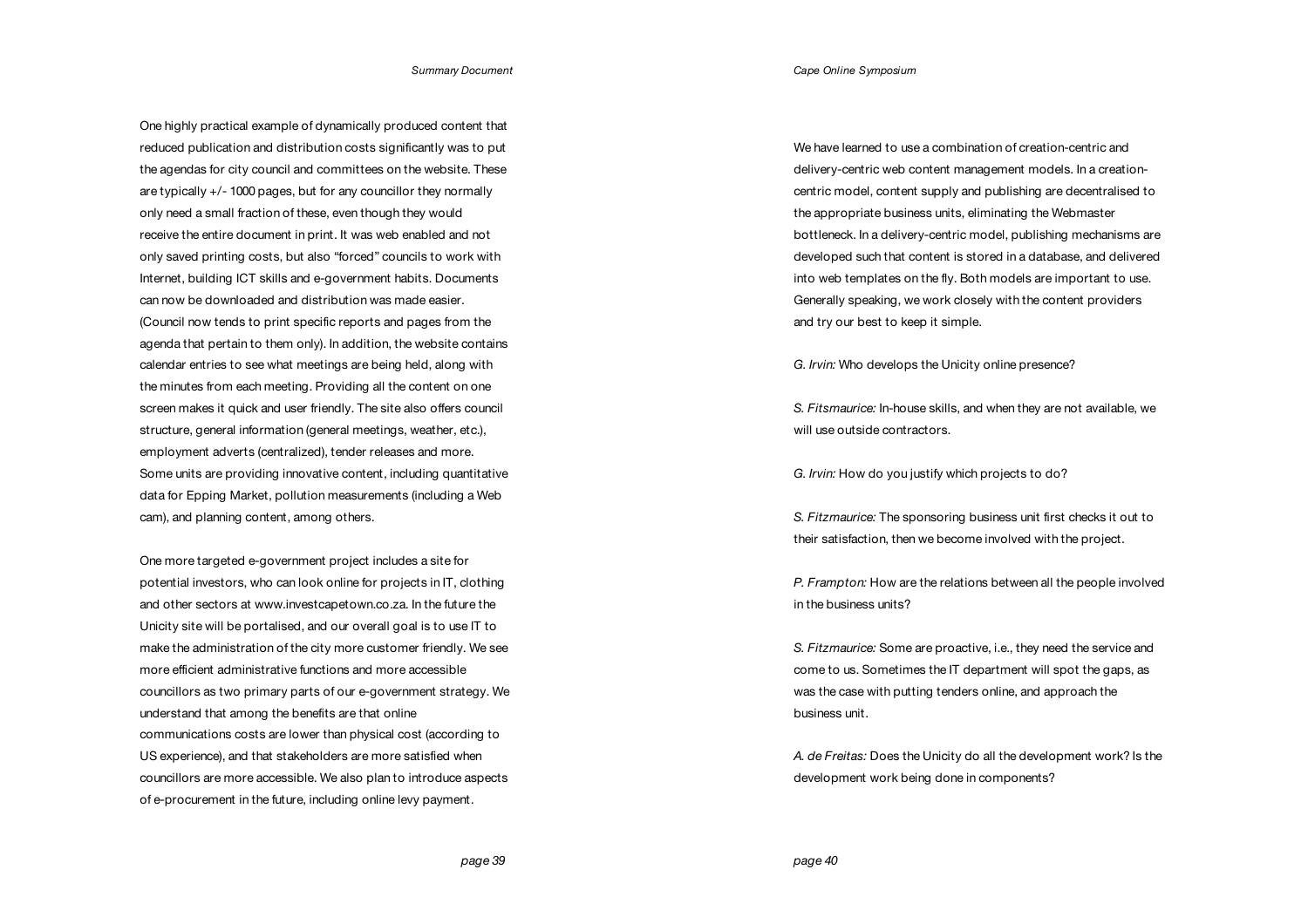*Cape Online Symposium*

One highly practical example of dynamically produced content that reduced publication and distribution costs significantly was to put the agendas for city council and committees on the website. These are typically +/- 1000 pages, but for any councillor they normally only need a small fraction of these, even though they would receive the entire document in print. It was web enabled and not only saved printing costs, but also "forced" councils to work with Internet, building ICT skills and e-government habits. Documents can now be downloaded and distribution was made easier. (Council now tends to print specific reports and pages from the agenda that pertain to them only). In addition, the website contains calendar entries to see what meetings are being held, along with the minutes from each meeting. Providing all the content on one screen makes it quick and user friendly. The site also offers council structure, general information (general meetings, weather, etc.), employment adverts (centralized), tender releases and more. Some units are providing innovative content, including quantitative data for Epping Market, pollution measurements (including a Web cam), and planning content, among others.

One more targeted e-government project includes a site for potential investors, who can look online for projects in IT, clothing and other sectors at www.investcapetown.co.za. In the future the Unicity site will be portalised, and our overall goal is to use IT to make the administration of the city more customer friendly. We see more efficient administrative functions and more accessible councillors as two primary parts of our e-government strategy. We understand that among the benefits are that online communications costs are lower than physical cost (according to US experience), and that stakeholders are more satisfied when councillors are more accessible. We also plan to introduce aspects of e-procurement in the future, including online levy payment.

We have learned to use a combination of creation-centric and delivery-centric web content management models. In a creationcentric model, content supply and publishing are decentralised to the appropriate business units, eliminating the Webmaster bottleneck. In a delivery-centric model, publishing mechanisms are developed such that content is stored in a database, and delivered into web templates on the fly. Both models are important to use. Generally speaking, we work closely with the content providers and try our best to keep it simple.

*G. Irvin:* Who develops the Unicity online presence?

*S. Fitsmaurice:* In-house skills, and when they are not available, we will use outside contractors.

*G. Irvin:* How do you justify which projects to do?

*S. Fitzmaurice:* The sponsoring business unit first checks it out to their satisfaction, then we become involved with the project.

*P. Frampton:* How are the relations between all the people involved in the business units?

*S. Fitzmaurice:* Some are proactive, i.e., they need the service and come to us. Sometimes the IT department will spot the gaps, as was the case with putting tenders online, and approach the business unit.

*A. de Freitas:* Does the Unicity do all the development work? Is the development work being done in components?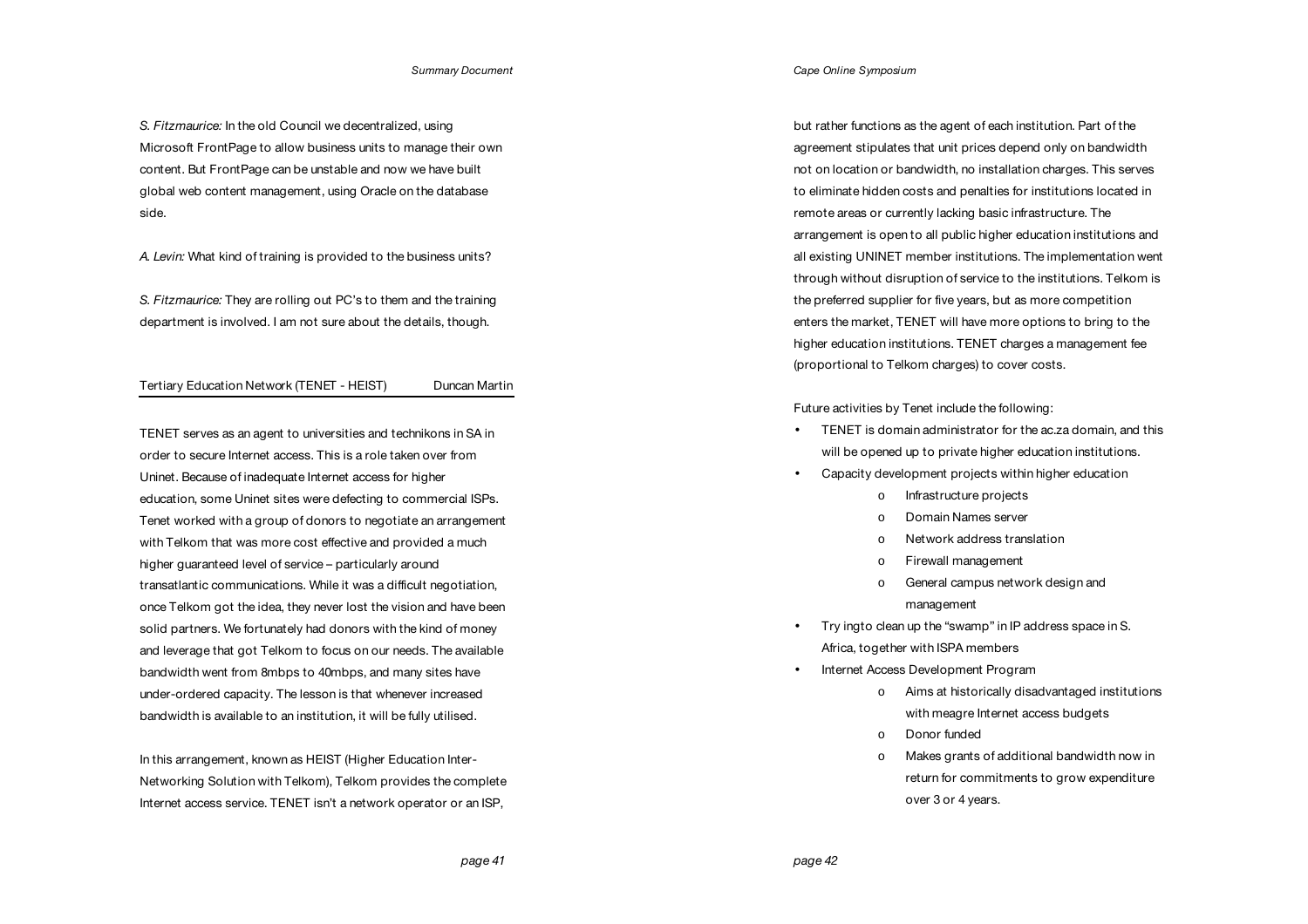*S. Fitzmaurice:* In the old Council we decentralized, using Microsoft FrontPage to allow business units to manage their own content. But FrontPage can be unstable and now we have built global web content management, using Oracle on the database side.

*A. Levin:* What kind of training is provided to the business units?

*S. Fitzmaurice:* They are rolling out PC's to them and the training department is involved. I am not sure about the details, though.

## Tertiary Education Network (TENET - HEIST) Duncan Martin

TENET serves as an agent to universities and technikons in SA in order to secure Internet access. This is a role taken over from Uninet. Because of inadequate Internet access for higher education, some Uninet sites were defecting to commercial ISPs. Tenet worked with a group of donors to negotiate an arrangement with Telkom that was more cost effective and provided a much higher guaranteed level of service – particularly around transatlantic communications. While it was a difficult negotiation, once Telkom got the idea, they never lost the vision and have been solid partners. We fortunately had donors with the kind of money and leverage that got Telkom to focus on our needs. The available bandwidth went from 8mbps to 40mbps, and many sites have under-ordered capacity. The lesson is that whenever increased bandwidth is available to an institution, it will be fully utilised.

In this arrangement, known as HEIST (Higher Education Inter-Networking Solution with Telkom), Telkom provides the complete Internet access service. TENET isn't a network operator or an ISP,

*Cape Online Symposium*

but rather functions as the agent of each institution. Part of the agreement stipulates that unit prices depend only on bandwidth not on location or bandwidth, no installation charges. This serves to eliminate hidden costs and penalties for institutions located in remote areas or currently lacking basic infrastructure. The arrangement is open to all public higher education institutions and all existing UNINET member institutions. The implementation went through without disruption of service to the institutions. Telkom is the preferred supplier for five years, but as more competition enters the market, TENET will have more options to bring to the higher education institutions. TENET charges a management fee (proportional to Telkom charges) to cover costs.

Future activities by Tenet include the following:

- TENET is domain administrator for the ac.za domain, and this will be opened up to private higher education institutions.
- Capacity development projects within higher education
	- o Infrastructure projects
	- o Domain Names server
	- o Network address translation
	- o Firewall management
	- o General campus network design and management
- Try ingto clean up the "swamp" in IP address space in S. Africa, together with ISPA members
- Internet Access Development Program
	- o Aims at historically disadvantaged institutions with meagre Internet access budgets
	- o Donor funded
	- o Makes grants of additional bandwidth now in return for commitments to grow expenditure over 3 or 4 years.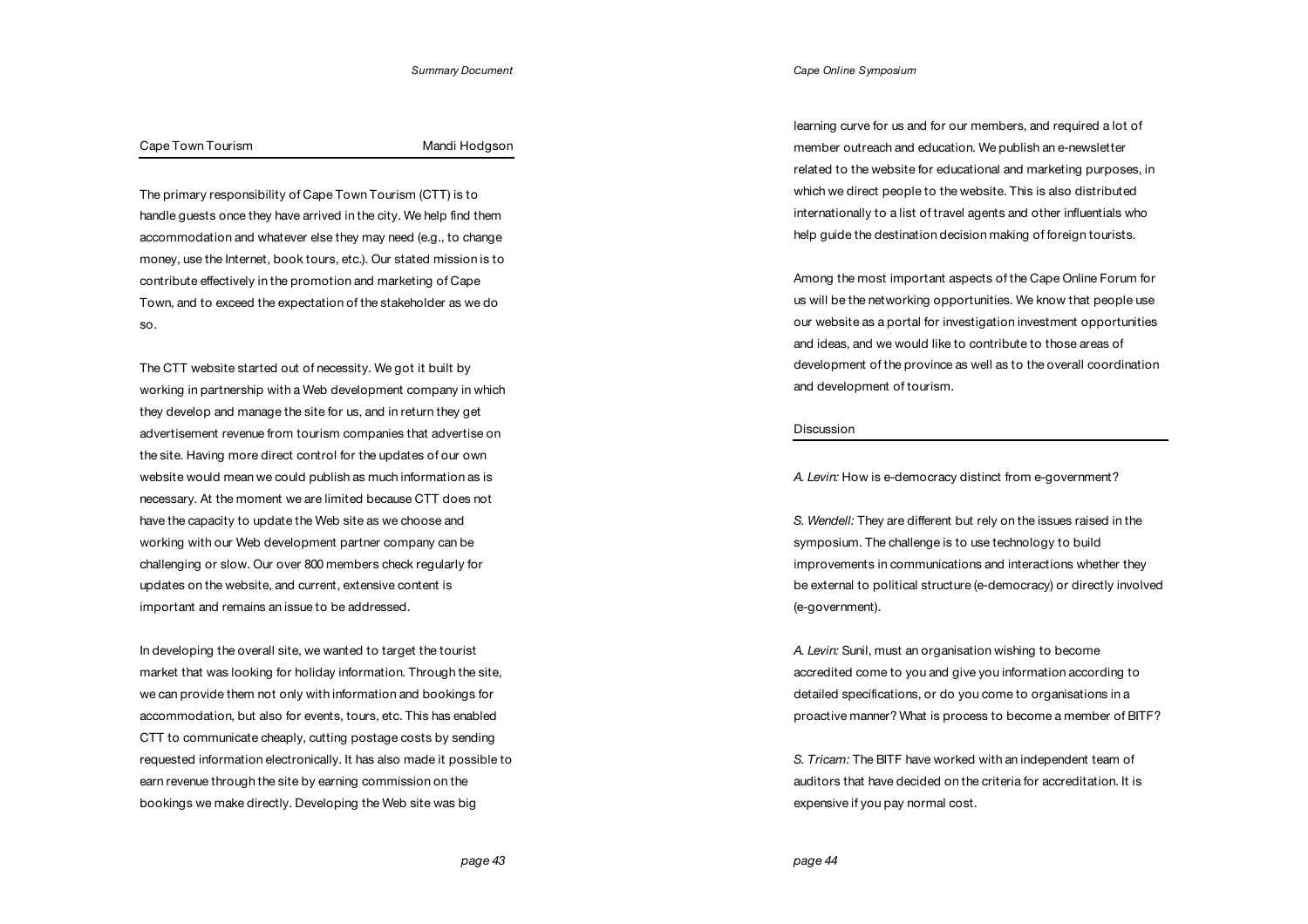### *Cape Online Symposium*

### Cape Town Tourism **Mandi Hodgson** Mandi Hodgson

The primary responsibility of Cape Town Tourism (CTT) is to handle guests once they have arrived in the city. We help find them accommodation and whatever else they may need (e.g., to change money, use the Internet, book tours, etc.). Our stated mission is to contribute effectively in the promotion and marketing of Cape Town, and to exceed the expectation of the stakeholder as we do so.

The CTT website started out of necessity. We got it built by working in partnership with a Web development company in which they develop and manage the site for us, and in return they get advertisement revenue from tourism companies that advertise on the site. Having more direct control for the updates of our own website would mean we could publish as much information as is necessary. At the moment we are limited because CTT does not have the capacity to update the Web site as we choose and working with our Web development partner company can be challenging or slow. Our over 800 members check regularly for updates on the website, and current, extensive content is important and remains an issue to be addressed.

In developing the overall site, we wanted to target the tourist market that was looking for holiday information. Through the site, we can provide them not only with information and bookings for accommodation, but also for events, tours, etc. This has enabled CTT to communicate cheaply, cutting postage costs by sending requested information electronically. It has also made it possible to earn revenue through the site by earning commission on the bookings we make directly. Developing the Web site was big

learning curve for us and for our members, and required a lot of member outreach and education. We publish an e-newsletter related to the website for educational and marketing purposes, in which we direct people to the website. This is also distributed internationally to a list of travel agents and other influentials who help guide the destination decision making of foreign tourists.

Among the most important aspects of the Cape Online Forum for us will be the networking opportunities. We know that people use our website as a portal for investigation investment opportunities and ideas, and we would like to contribute to those areas of development of the province as well as to the overall coordination and development of tourism.

### **Discussion**

*A. Levin:* How is e-democracy distinct from e-government?

*S. Wendell:* They are different but rely on the issues raised in the symposium. The challenge is to use technology to build improvements in communications and interactions whether they be external to political structure (e-democracy) or directly involved (e-government).

*A. Levin:* Sunil, must an organisation wishing to become accredited come to you and give you information according to detailed specifications, or do you come to organisations in a proactive manner? What is process to become a member of BITF?

*S. Tricam:* The BITF have worked with an independent team of auditors that have decided on the criteria for accreditation. It is expensive if you pay normal cost.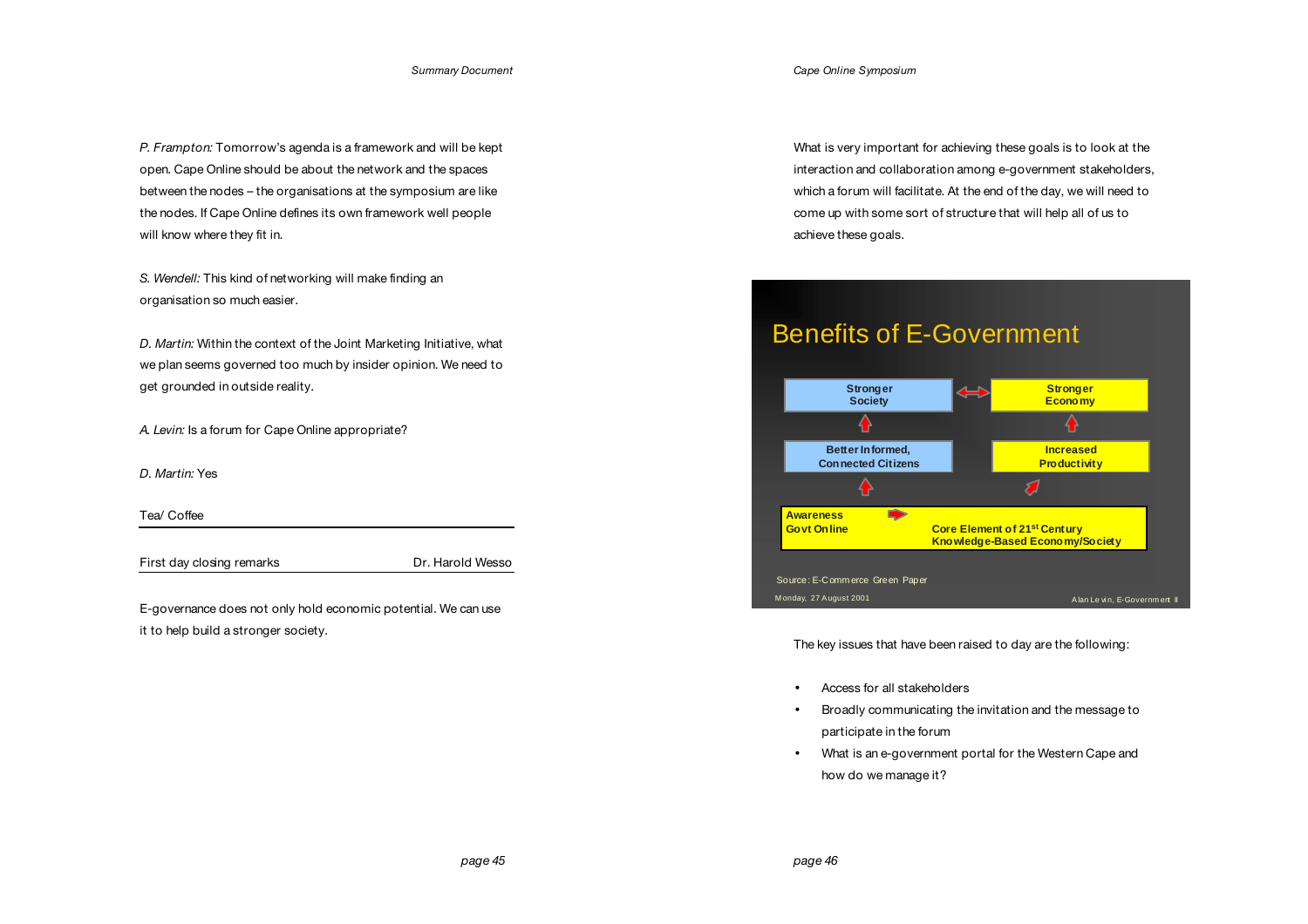*P. Frampton:* Tomorrow's agenda is a framework and will be kept open. Cape Online should be about the network and the spaces between the nodes – the organisations at the symposium are like the nodes. If Cape Online defines its own framework well people will know where they fit in.

*S. Wendell:* This kind of networking will make finding an organisation so much easier.

*D. Martin:* Within the context of the Joint Marketing Initiative, what we plan seems governed too much by insider opinion. We need to get grounded in outside reality.

*A. Levin:* Is a forum for Cape Online appropriate?

*D. Martin:* Yes

Tea/ Coffee

First day closing remarks Dr. Harold Wesso

E-governance does not only hold economic potential. We can use it to help build a stronger society.

What is very important for achieving these goals is to look at the interaction and collaboration among e-government stakeholders, which a forum will facilitate. At the end of the day, we will need to come up with some sort of structure that will help all of us to achieve these goals.

# Benefits of E-Government



The key issues that have been raised to day are the following:

- Access for all stakeholders
- Broadly communicating the invitation and the message to participate in the forum
- What is an e-government portal for the Western Cape and how do we manage it?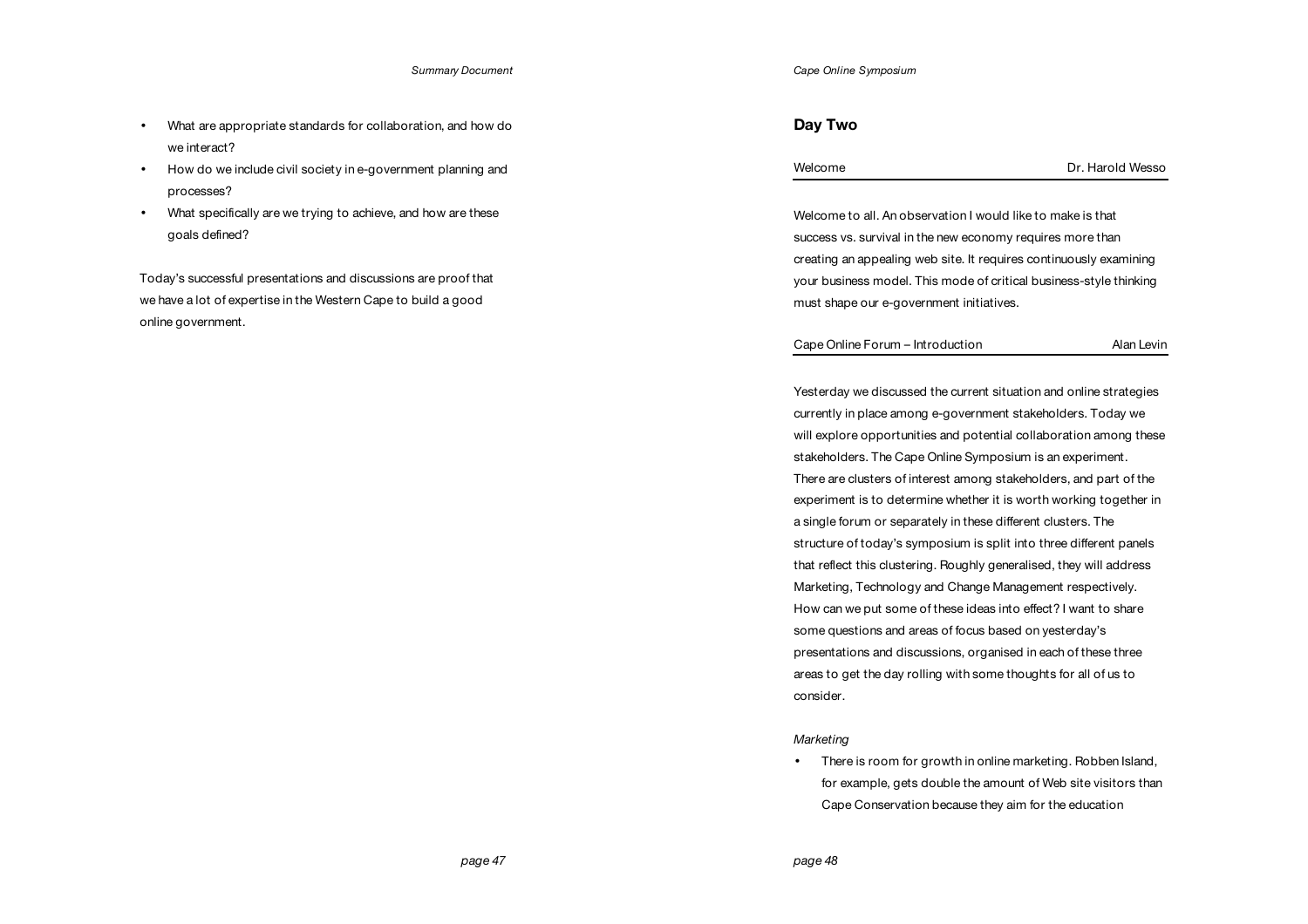- What are appropriate standards for collaboration, and how do we interact?
- How do we include civil society in e-government planning and processes?
- What specifically are we trying to achieve, and how are these goals defined?

Today's successful presentations and discussions are proof that we have a lot of expertise in the Western Cape to build a good online government.

# **Day Two**

|  | Welcome |
|--|---------|
|--|---------|

Welcome to all. An observation I would like to make is that success vs. survival in the new economy requires more than creating an appealing web site. It requires continuously examining your business model. This mode of critical business-style thinking must shape our e-government initiatives.

Cape Online Forum – Introduction and Alan Levin

Yesterday we discussed the current situation and online strategies currently in place among e-government stakeholders. Today we will explore opportunities and potential collaboration among these stakeholders. The Cape Online Symposium is an experiment. There are clusters of interest among stakeholders, and part of the experiment is to determine whether it is worth working together in a single forum or separately in these different clusters. The structure of today's symposium is split into three different panels that reflect this clustering. Roughly generalised, they will address Marketing, Technology and Change Management respectively. How can we put some of these ideas into effect? I want to share some questions and areas of focus based on yesterday's presentations and discussions, organised in each of these three areas to get the day rolling with some thoughts for all of us to consider.

### *Marketing*

• There is room for growth in online marketing. Robben Island, for example, gets double the amount of Web site visitors than Cape Conservation because they aim for the education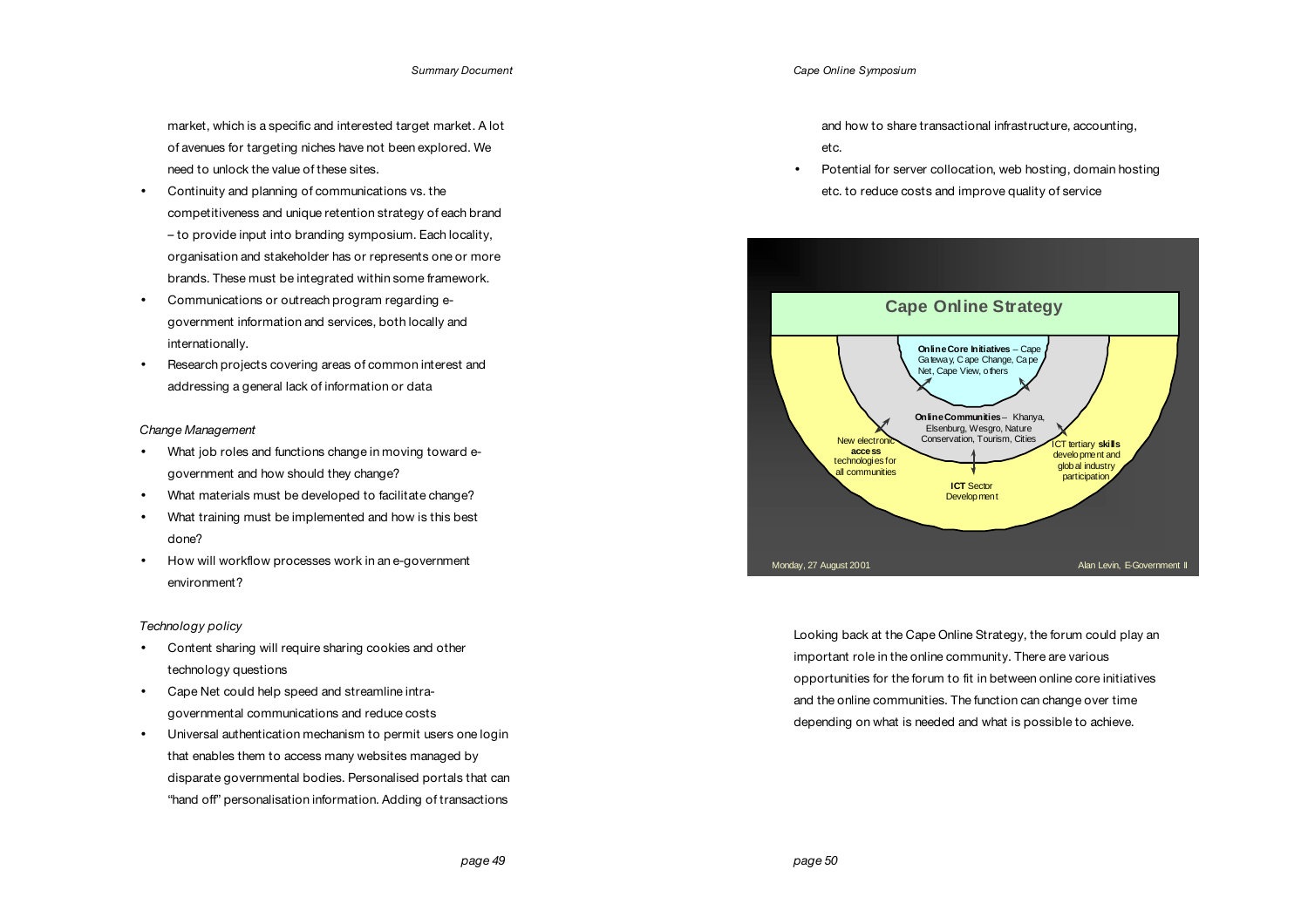market, which is a specific and interested target market. A lot of avenues for targeting niches have not been explored. We need to unlock the value of these sites.

- Continuity and planning of communications vs. the competitiveness and unique retention strategy of each brand – to provide input into branding symposium. Each locality, organisation and stakeholder has or represents one or more brands. These must be integrated within some framework.
- Communications or outreach program regarding egovernment information and services, both locally and internationally.
- Research projects covering areas of common interest and addressing a general lack of information or data

# *Change Management*

- What job roles and functions change in moving toward egovernment and how should they change?
- What materials must be developed to facilitate change?
- What training must be implemented and how is this best done?
- How will workflow processes work in an e-government environment?

# *Technology policy*

- Content sharing will require sharing cookies and other technology questions
- Cape Net could help speed and streamline intragovernmental communications and reduce costs
- Universal authentication mechanism to permit users one login that enables them to access many websites managed by disparate governmental bodies. Personalised portals that can "hand off" personalisation information. Adding of transactions

and how to share transactional infrastructure, accounting, etc.

• Potential for server collocation, web hosting, domain hosting etc. to reduce costs and improve quality of service



Looking back at the Cape Online Strategy, the forum could play an important role in the online community. There are various opportunities for the forum to fit in between online core initiatives and the online communities. The function can change over time depending on what is needed and what is possible to achieve.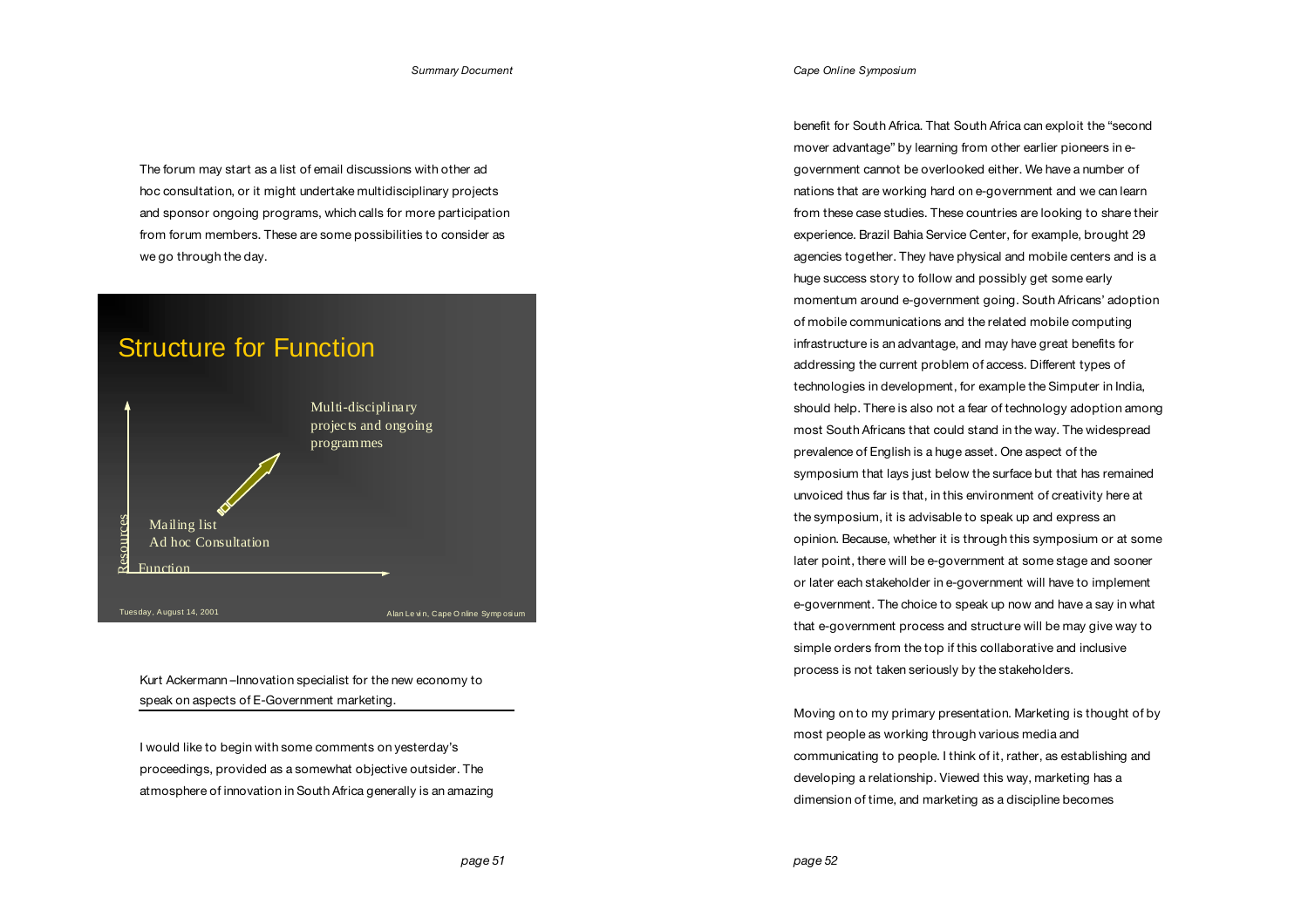The forum may start as a list of email discussions with other ad hoc consultation, or it might undertake multidisciplinary projects and sponsor ongoing programs, which calls for more participation from forum members. These are some possibilities to consider as we go through the day.



Kurt Ackermann –Innovation specialist for the new economy to speak on aspects of E-Government marketing.

I would like to begin with some comments on yesterday's proceedings, provided as a somewhat objective outsider. The atmosphere of innovation in South Africa generally is an amazing benefit for South Africa. That South Africa can exploit the "second mover advantage" by learning from other earlier pioneers in egovernment cannot be overlooked either. We have a number of nations that are working hard on e-government and we can learn from these case studies. These countries are looking to share their experience. Brazil Bahia Service Center, for example, brought 29 agencies together. They have physical and mobile centers and is a huge success story to follow and possibly get some early momentum around e-government going. South Africans' adoption of mobile communications and the related mobile computing infrastructure is an advantage, and may have great benefits for addressing the current problem of access. Different types of technologies in development, for example the Simputer in India, should help. There is also not a fear of technology adoption among most South Africans that could stand in the way. The widespread prevalence of English is a huge asset. One aspect of the symposium that lays just below the surface but that has remained unvoiced thus far is that, in this environment of creativity here at the symposium, it is advisable to speak up and express an opinion. Because, whether it is through this symposium or at some later point, there will be e-government at some stage and sooner or later each stakeholder in e-government will have to implement e-government. The choice to speak up now and have a say in what that e-government process and structure will be may give way to simple orders from the top if this collaborative and inclusive process is not taken seriously by the stakeholders.

Moving on to my primary presentation. Marketing is thought of by most people as working through various media and communicating to people. I think of it, rather, as establishing and developing a relationship. Viewed this way, marketing has a dimension of time, and marketing as a discipline becomes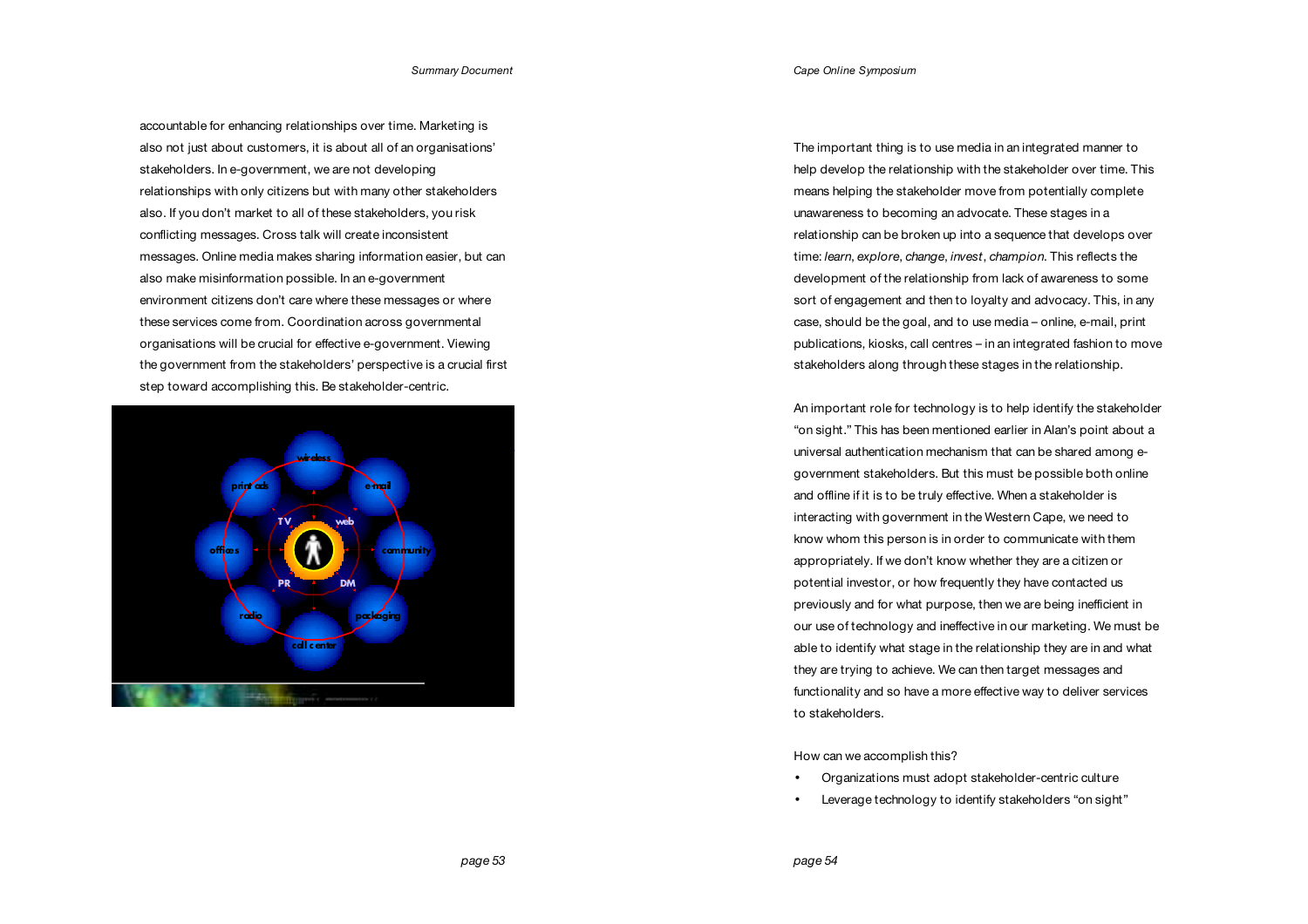accountable for enhancing relationships over time. Marketing is also not just about customers, it is about all of an organisations' stakeholders. In e-government, we are not developing relationships with only citizens but with many other stakeholders also. If you don't market to all of these stakeholders, you risk conflicting messages. Cross talk will create inconsistent messages. Online media makes sharing information easier, but can also make misinformation possible. In an e-government environment citizens don't care where these messages or where these services come from. Coordination across governmental organisations will be crucial for effective e-government. Viewing the government from the stakeholders' perspective is a crucial first step toward accomplishing this. Be stakeholder-centric.



The important thing is to use media in an integrated manner to help develop the relationship with the stakeholder over time. This means helping the stakeholder move from potentially complete unawareness to becoming an advocate. These stages in a relationship can be broken up into a sequence that develops over time: *learn*, *explore*, *change*, *invest*, *champion*. This reflects the development of the relationship from lack of awareness to some sort of engagement and then to loyalty and advocacy. This, in any case, should be the goal, and to use media – online, e-mail, print publications, kiosks, call centres – in an integrated fashion to move stakeholders along through these stages in the relationship.

An important role for technology is to help identify the stakeholder "on sight." This has been mentioned earlier in Alan's point about a universal authentication mechanism that can be shared among egovernment stakeholders. But this must be possible both online and offline if it is to be truly effective. When a stakeholder is interacting with government in the Western Cape, we need to know whom this person is in order to communicate with them appropriately. If we don't know whether they are a citizen or potential investor, or how frequently they have contacted us previously and for what purpose, then we are being inefficient in our use of technology and ineffective in our marketing. We must be able to identify what stage in the relationship they are in and what they are trying to achieve. We can then target messages and functionality and so have a more effective way to deliver services to stakeholders.

How can we accomplish this?

- Organizations must adopt stakeholder-centric culture
- Leverage technology to identify stakeholders "on sight"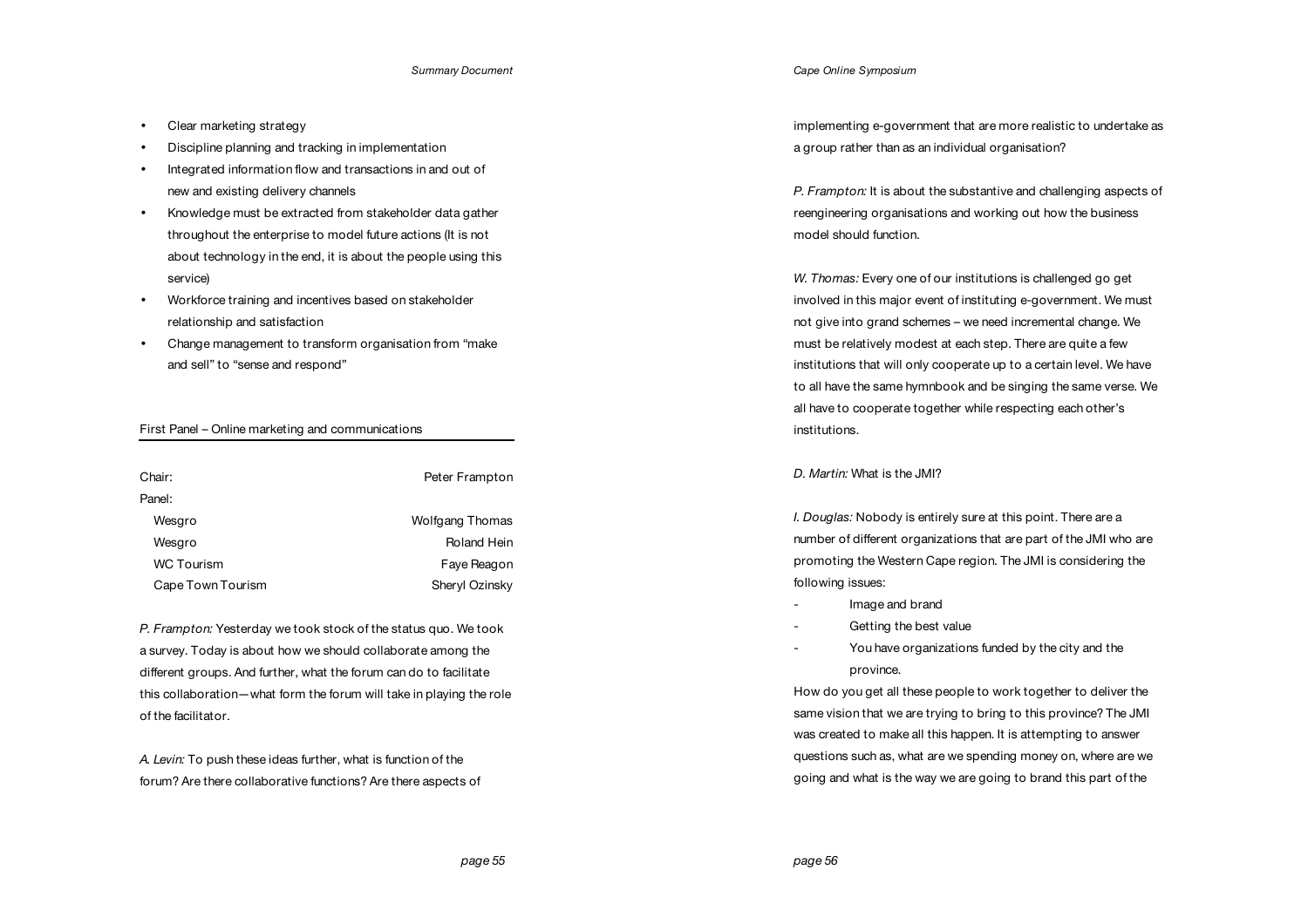- Clear marketing strategy
- Discipline planning and tracking in implementation
- Integrated information flow and transactions in and out of new and existing delivery channels
- Knowledge must be extracted from stakeholder data gather throughout the enterprise to model future actions (It is not about technology in the end, it is about the people using this service)
- Workforce training and incentives based on stakeholder relationship and satisfaction
- Change management to transform organisation from "make and sell" to "sense and respond"

# First Panel – Online marketing and communications

| Chair:            | Peter Frampton  |
|-------------------|-----------------|
| Panel:            |                 |
| Wesgro            | Wolfgang Thomas |
| Wesgro            | Roland Hein     |
| <b>WC Tourism</b> | Faye Reagon     |
| Cape Town Tourism | Sheryl Ozinsky  |

*P. Frampton:* Yesterday we took stock of the status quo. We took a survey. Today is about how we should collaborate among the different groups. And further, what the forum can do to facilitate this collaboration—what form the forum will take in playing the role of the facilitator.

*A. Levin:* To push these ideas further, what is function of the forum? Are there collaborative functions? Are there aspects of *Cape Online Symposium*

implementing e-government that are more realistic to undertake as a group rather than as an individual organisation?

*P. Frampton:* It is about the substantive and challenging aspects of reengineering organisations and working out how the business model should function.

*W. Thomas:* Every one of our institutions is challenged go get involved in this major event of instituting e-government. We must not give into grand schemes – we need incremental change. We must be relatively modest at each step. There are quite a few institutions that will only cooperate up to a certain level. We have to all have the same hymnbook and be singing the same verse. We all have to cooperate together while respecting each other's institutions.

# *D. Martin:* What is the JMI?

*I. Douglas:* Nobody is entirely sure at this point. There are a number of different organizations that are part of the JMI who are promoting the Western Cape region. The JMI is considering the following issues:

- Image and brand
- Getting the best value
- You have organizations funded by the city and the province.

How do you get all these people to work together to deliver the same vision that we are trying to bring to this province? The JMI was created to make all this happen. It is attempting to answer questions such as, what are we spending money on, where are we going and what is the way we are going to brand this part of the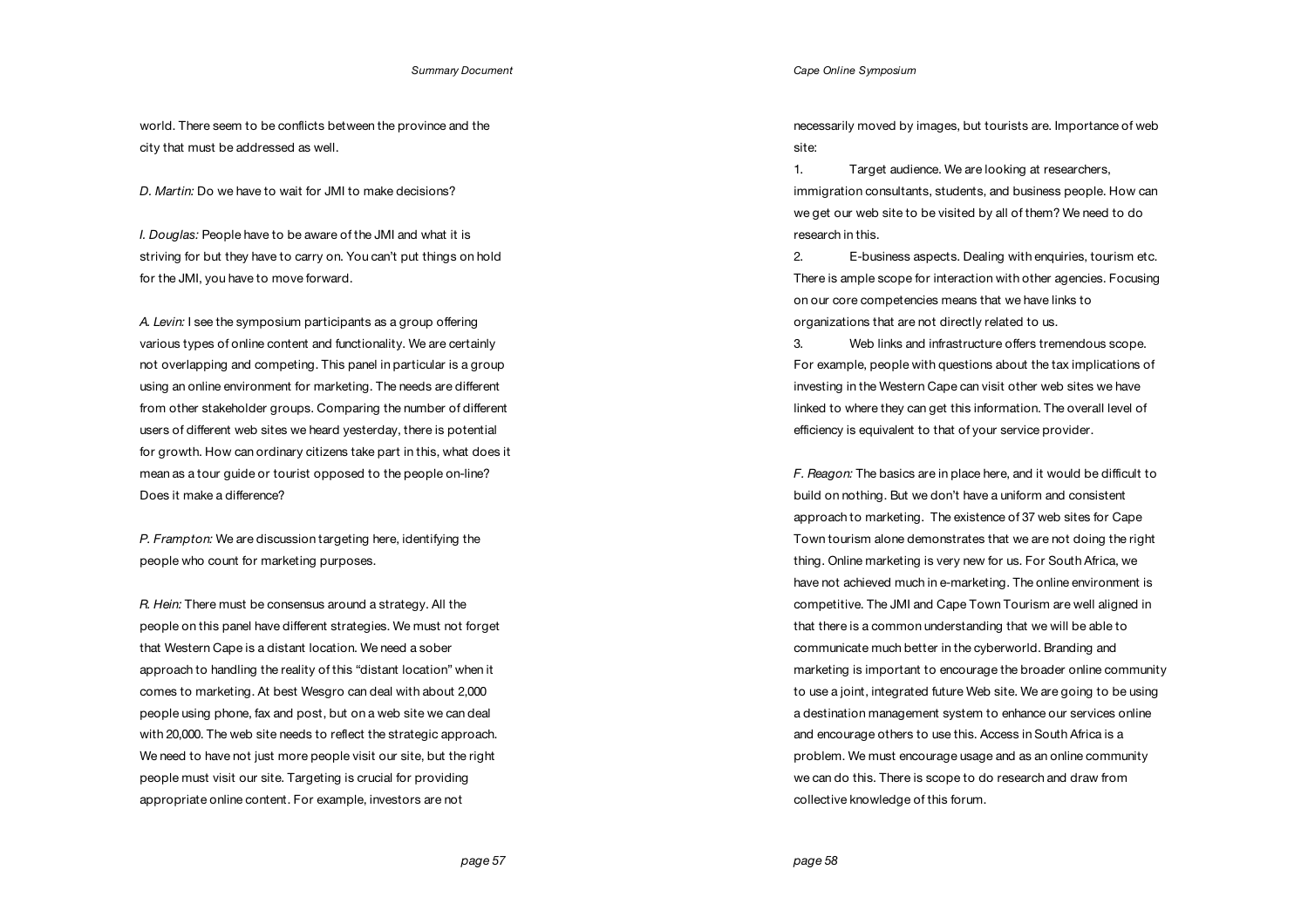world. There seem to be conflicts between the province and the city that must be addressed as well.

*D. Martin:* Do we have to wait for JMI to make decisions?

*I. Douglas:* People have to be aware of the JMI and what it is striving for but they have to carry on. You can't put things on hold for the JMI, you have to move forward.

*A. Levin:* I see the symposium participants as a group offering various types of online content and functionality. We are certainly not overlapping and competing. This panel in particular is a group using an online environment for marketing. The needs are different from other stakeholder groups. Comparing the number of different users of different web sites we heard yesterday, there is potential for growth. How can ordinary citizens take part in this, what does it mean as a tour guide or tourist opposed to the people on-line? Does it make a difference?

*P. Frampton:* We are discussion targeting here, identifying the people who count for marketing purposes.

*R. Hein:* There must be consensus around a strategy. All the people on this panel have different strategies. We must not forget that Western Cape is a distant location. We need a sober approach to handling the reality of this "distant location" when it comes to marketing. At best Wesgro can deal with about 2,000 people using phone, fax and post, but on a web site we can deal with 20,000. The web site needs to reflect the strategic approach. We need to have not just more people visit our site, but the right people must visit our site. Targeting is crucial for providing appropriate online content. For example, investors are not

necessarily moved by images, but tourists are. Importance of web site:

1. Target audience. We are looking at researchers, immigration consultants, students, and business people. How can we get our web site to be visited by all of them? We need to do research in this.

2. E-business aspects. Dealing with enquiries, tourism etc. There is ample scope for interaction with other agencies. Focusing on our core competencies means that we have links to organizations that are not directly related to us.

3. Web links and infrastructure offers tremendous scope. For example, people with questions about the tax implications of investing in the Western Cape can visit other web sites we have linked to where they can get this information. The overall level of efficiency is equivalent to that of your service provider.

*F. Reagon:* The basics are in place here, and it would be difficult to build on nothing. But we don't have a uniform and consistent approach to marketing. The existence of 37 web sites for Cape Town tourism alone demonstrates that we are not doing the right thing. Online marketing is very new for us. For South Africa, we have not achieved much in e-marketing. The online environment is competitive. The JMI and Cape Town Tourism are well aligned in that there is a common understanding that we will be able to communicate much better in the cyberworld. Branding and marketing is important to encourage the broader online community to use a joint, integrated future Web site. We are going to be using a destination management system to enhance our services online and encourage others to use this. Access in South Africa is a problem. We must encourage usage and as an online community we can do this. There is scope to do research and draw from collective knowledge of this forum.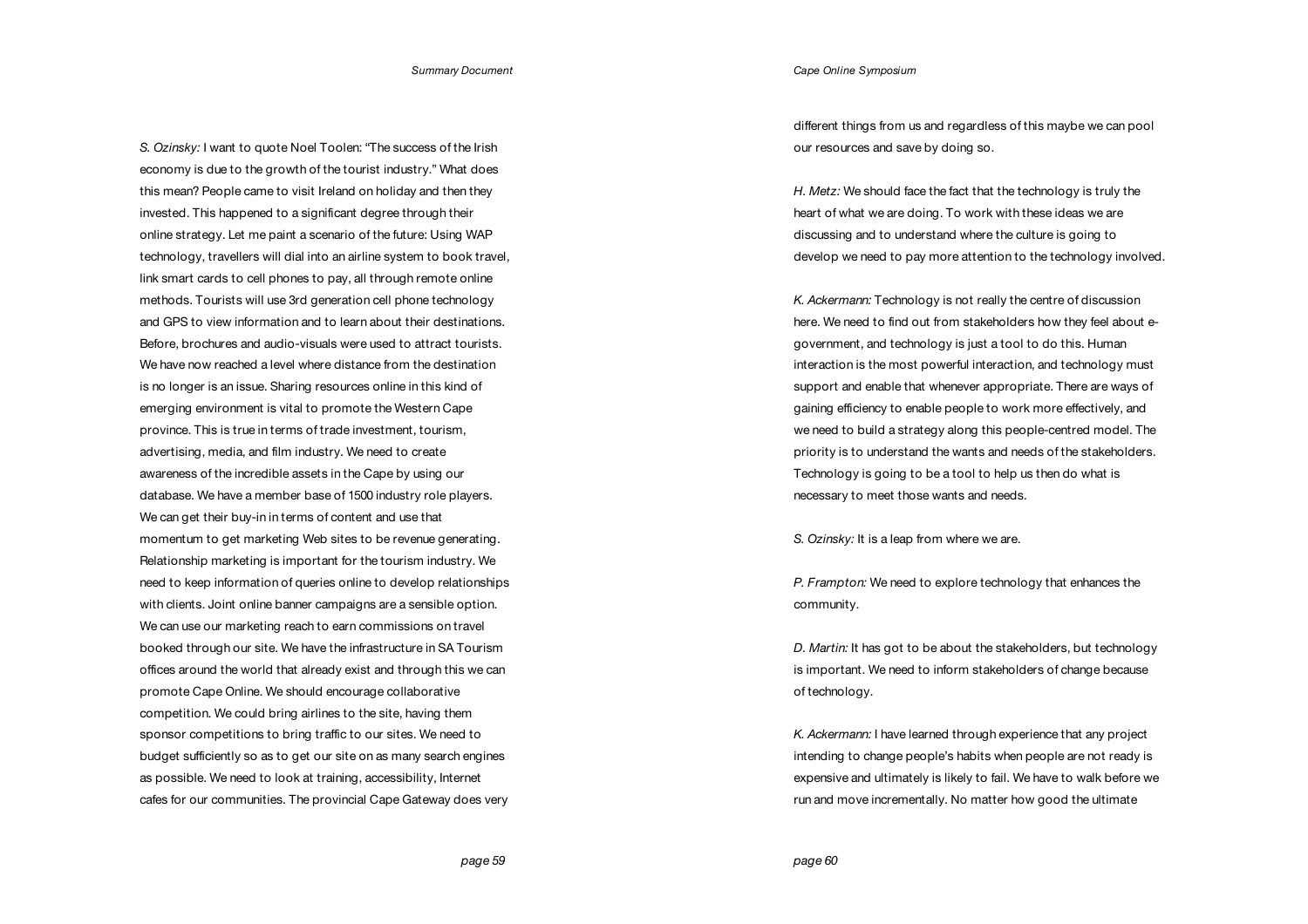*S. Ozinsky:* I want to quote Noel Toolen: "The success of the Irish economy is due to the growth of the tourist industry." What does this mean? People came to visit Ireland on holiday and then they invested. This happened to a significant degree through their online strategy. Let me paint a scenario of the future: Using WAP technology, travellers will dial into an airline system to book travel, link smart cards to cell phones to pay, all through remote online methods. Tourists will use 3rd generation cell phone technology and GPS to view information and to learn about their destinations. Before, brochures and audio-visuals were used to attract tourists. We have now reached a level where distance from the destination is no longer is an issue. Sharing resources online in this kind of emerging environment is vital to promote the Western Cape province. This is true in terms of trade investment, tourism, advertising, media, and film industry. We need to create awareness of the incredible assets in the Cape by using our database. We have a member base of 1500 industry role players. We can get their buy-in in terms of content and use that momentum to get marketing Web sites to be revenue generating. Relationship marketing is important for the tourism industry. We need to keep information of queries online to develop relationships with clients. Joint online banner campaigns are a sensible option. We can use our marketing reach to earn commissions on travel booked through our site. We have the infrastructure in SA Tourism offices around the world that already exist and through this we can promote Cape Online. We should encourage collaborative competition. We could bring airlines to the site, having them sponsor competitions to bring traffic to our sites. We need to budget sufficiently so as to get our site on as many search engines as possible. We need to look at training, accessibility, Internet cafes for our communities. The provincial Cape Gateway does very

### *Cape Online Symposium*

different things from us and regardless of this maybe we can pool our resources and save by doing so.

*H. Metz:* We should face the fact that the technology is truly the heart of what we are doing. To work with these ideas we are discussing and to understand where the culture is going to develop we need to pay more attention to the technology involved.

*K. Ackermann:* Technology is not really the centre of discussion here. We need to find out from stakeholders how they feel about egovernment, and technology is just a tool to do this. Human interaction is the most powerful interaction, and technology must support and enable that whenever appropriate. There are ways of gaining efficiency to enable people to work more effectively, and we need to build a strategy along this people-centred model. The priority is to understand the wants and needs of the stakeholders. Technology is going to be a tool to help us then do what is necessary to meet those wants and needs.

*S. Ozinsky:* It is a leap from where we are.

*P. Frampton:* We need to explore technology that enhances the community.

*D. Martin:* It has got to be about the stakeholders, but technology is important. We need to inform stakeholders of change because of technology.

*K. Ackermann:* I have learned through experience that any project intending to change people's habits when people are not ready is expensive and ultimately is likely to fail. We have to walk before we run and move incrementally. No matter how good the ultimate

 *page 59*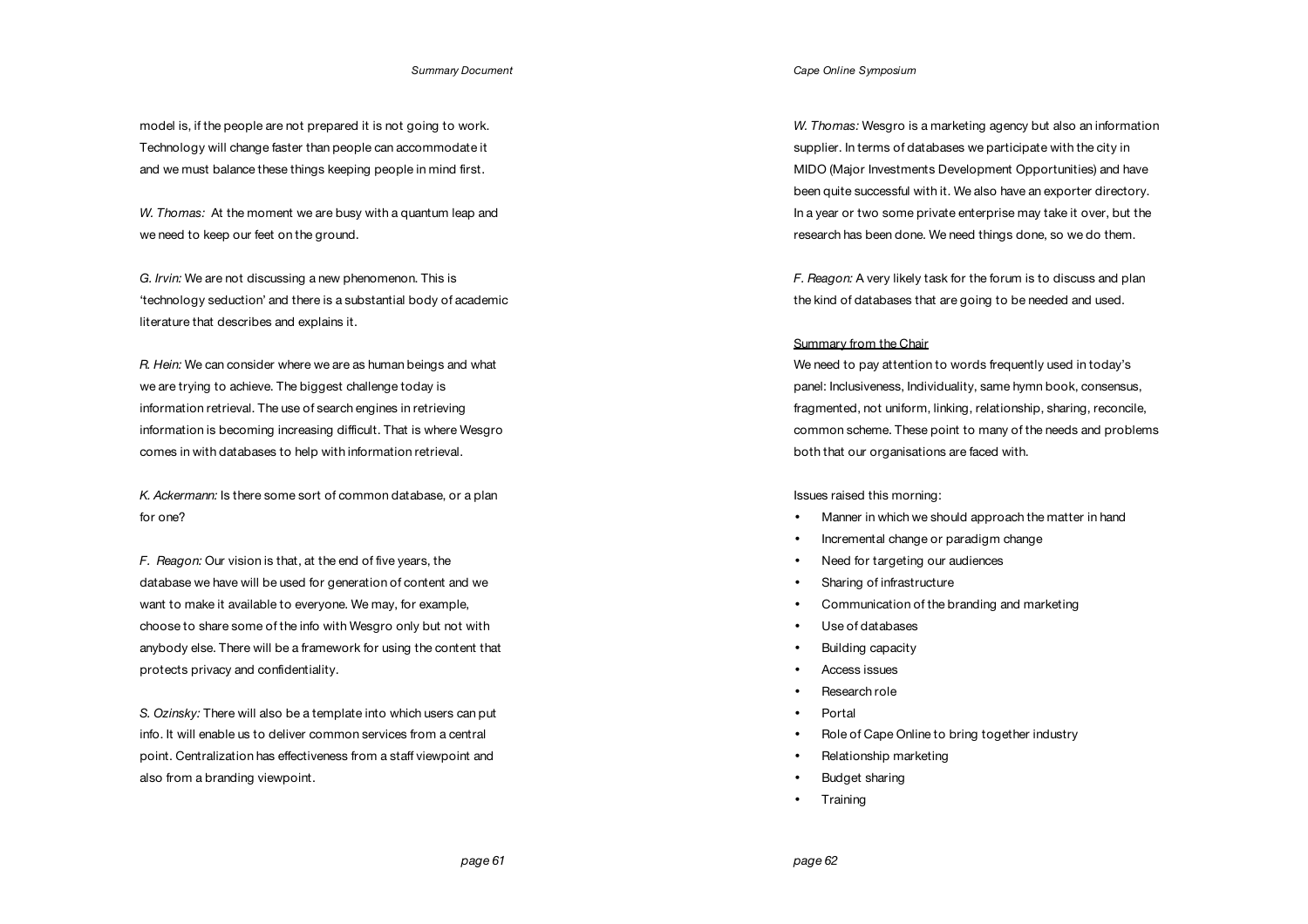model is, if the people are not prepared it is not going to work. Technology will change faster than people can accommodate it and we must balance these things keeping people in mind first.

*W. Thomas:* At the moment we are busy with a quantum leap and we need to keep our feet on the ground.

*G. Irvin:* We are not discussing a new phenomenon. This is 'technology seduction' and there is a substantial body of academic literature that describes and explains it.

*R. Hein:* We can consider where we are as human beings and what we are trying to achieve. The biggest challenge today is information retrieval. The use of search engines in retrieving information is becoming increasing difficult. That is where Wesgro comes in with databases to help with information retrieval.

*K. Ackermann:* Is there some sort of common database, or a plan for one?

*F. Reagon:* Our vision is that, at the end of five years, the database we have will be used for generation of content and we want to make it available to everyone. We may, for example, choose to share some of the info with Wesgro only but not with anybody else. There will be a framework for using the content that protects privacy and confidentiality.

*S. Ozinsky:* There will also be a template into which users can put info. It will enable us to deliver common services from a central point. Centralization has effectiveness from a staff viewpoint and also from a branding viewpoint.

*Cape Online Symposium*

*W. Thomas:* Wesgro is a marketing agency but also an information supplier. In terms of databases we participate with the city in MIDO (Major Investments Development Opportunities) and have been quite successful with it. We also have an exporter directory. In a year or two some private enterprise may take it over, but the research has been done. We need things done, so we do them.

*F. Reagon:* A very likely task for the forum is to discuss and plan the kind of databases that are going to be needed and used.

# Summary from the Chair

We need to pay attention to words frequently used in today's panel: Inclusiveness, Individuality, same hymn book, consensus, fragmented, not uniform, linking, relationship, sharing, reconcile, common scheme. These point to many of the needs and problems both that our organisations are faced with.

### Issues raised this morning:

- Manner in which we should approach the matter in hand
- Incremental change or paradigm change
- Need for targeting our audiences
- Sharing of infrastructure
- Communication of the branding and marketing
- Use of databases
- Building capacity
- Access issues
- Research role
- Portal
- Role of Cape Online to bring together industry
- Relationship marketing
- Budget sharing
- Training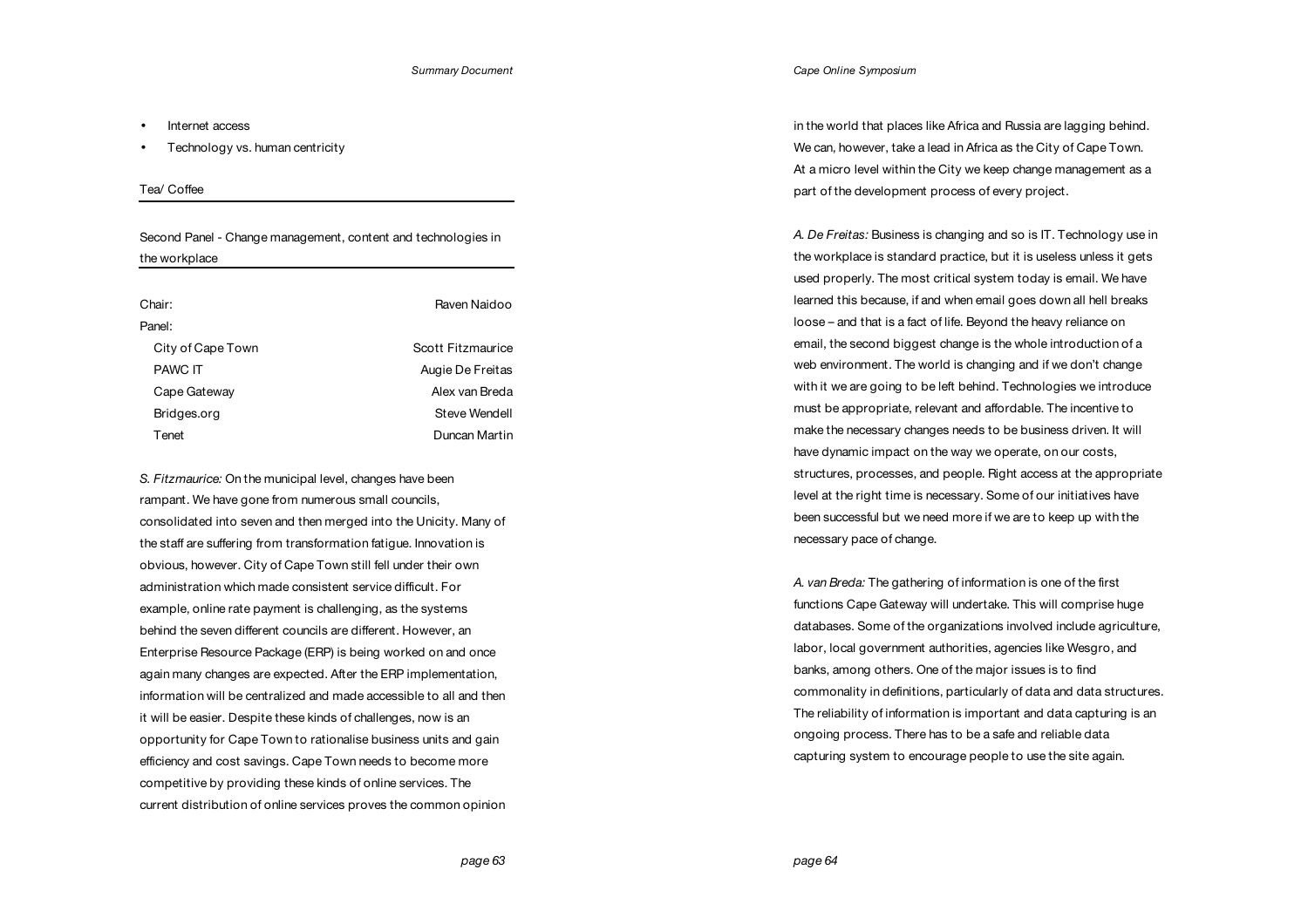- Internet access
- Technology vs. human centricity

# Tea/ Coffee

Second Panel - Change management, content and technologies in the workplace

| Raven Naidoo      |
|-------------------|
|                   |
| Scott Fitzmaurice |
| Augie De Freitas  |
| Alex van Breda    |
| Steve Wendell     |
| Duncan Martin     |
|                   |

*S. Fitzmaurice:* On the municipal level, changes have been rampant. We have gone from numerous small councils, consolidated into seven and then merged into the Unicity. Many of the staff are suffering from transformation fatigue. Innovation is obvious, however. City of Cape Town still fell under their own administration which made consistent service difficult. For example, online rate payment is challenging, as the systems behind the seven different councils are different. However, an Enterprise Resource Package (ERP) is being worked on and once again many changes are expected. After the ERP implementation, information will be centralized and made accessible to all and then it will be easier. Despite these kinds of challenges, now is an opportunity for Cape Town to rationalise business units and gain efficiency and cost savings. Cape Town needs to become more competitive by providing these kinds of online services. The current distribution of online services proves the common opinion *Cape Online Symposium*

in the world that places like Africa and Russia are lagging behind. We can, however, take a lead in Africa as the City of Cape Town. At a micro level within the City we keep change management as a part of the development process of every project.

*A. De Freitas:* Business is changing and so is IT. Technology use in the workplace is standard practice, but it is useless unless it gets used properly. The most critical system today is email. We have learned this because, if and when email goes down all hell breaks loose – and that is a fact of life. Beyond the heavy reliance on email, the second biggest change is the whole introduction of a web environment. The world is changing and if we don't change with it we are going to be left behind. Technologies we introduce must be appropriate, relevant and affordable. The incentive to make the necessary changes needs to be business driven. It will have dynamic impact on the way we operate, on our costs, structures, processes, and people. Right access at the appropriate level at the right time is necessary. Some of our initiatives have been successful but we need more if we are to keep up with the necessary pace of change.

*A. van Breda:* The gathering of information is one of the first functions Cape Gateway will undertake. This will comprise huge databases. Some of the organizations involved include agriculture, labor, local government authorities, agencies like Wesgro, and banks, among others. One of the major issues is to find commonality in definitions, particularly of data and data structures. The reliability of information is important and data capturing is an ongoing process. There has to be a safe and reliable data capturing system to encourage people to use the site again.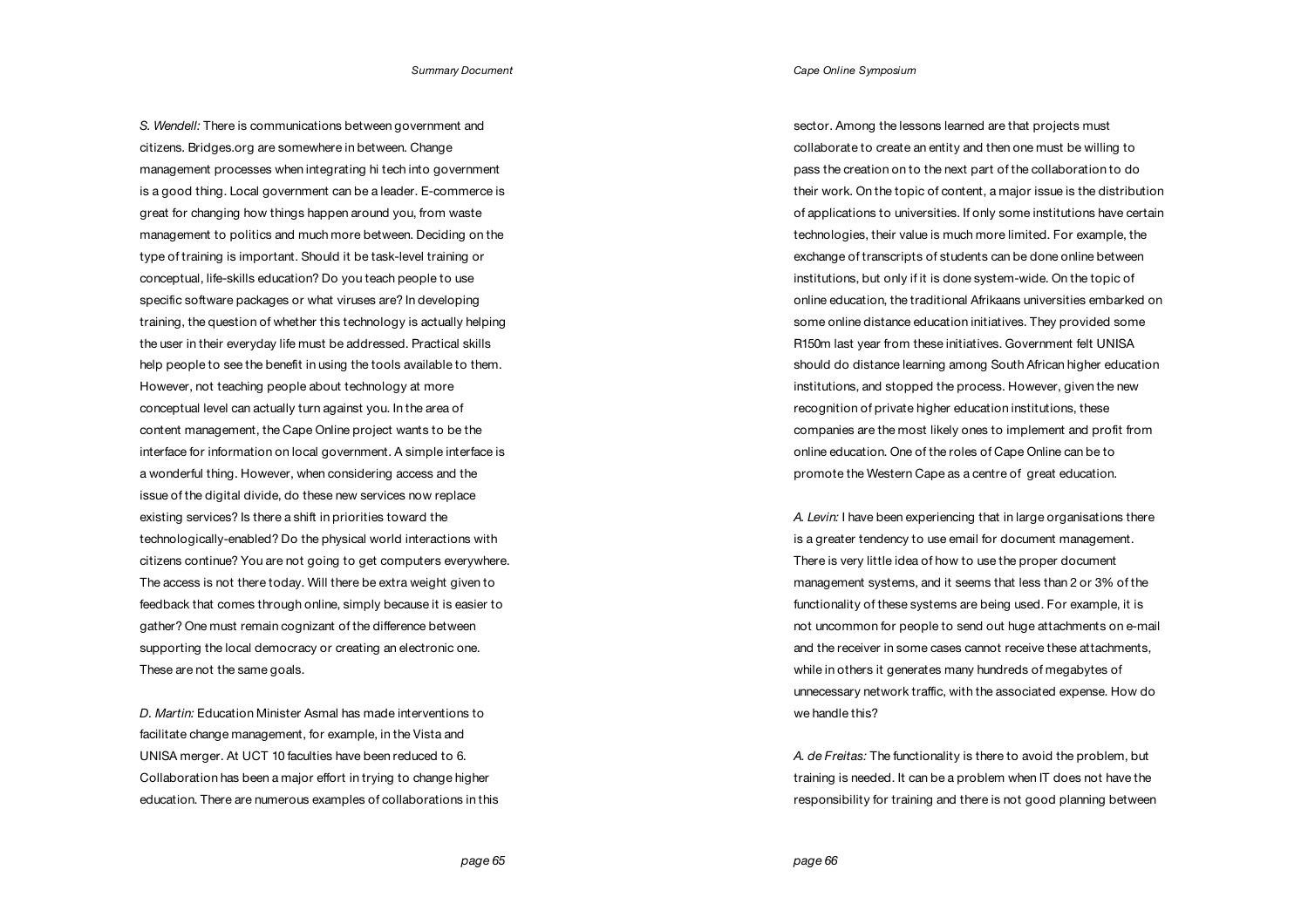*S. Wendell:* There is communications between government and citizens. Bridges.org are somewhere in between. Change management processes when integrating hi tech into government is a good thing. Local government can be a leader. E-commerce is great for changing how things happen around you, from waste management to politics and much more between. Deciding on the type of training is important. Should it be task-level training or conceptual, life-skills education? Do you teach people to use specific software packages or what viruses are? In developing training, the question of whether this technology is actually helping the user in their everyday life must be addressed. Practical skills help people to see the benefit in using the tools available to them. However, not teaching people about technology at more conceptual level can actually turn against you. In the area of content management, the Cape Online project wants to be the interface for information on local government. A simple interface is a wonderful thing. However, when considering access and the issue of the digital divide, do these new services now replace existing services? Is there a shift in priorities toward the technologically-enabled? Do the physical world interactions with citizens continue? You are not going to get computers everywhere. The access is not there today. Will there be extra weight given to feedback that comes through online, simply because it is easier to gather? One must remain cognizant of the difference between supporting the local democracy or creating an electronic one. These are not the same goals.

*D. Martin:* Education Minister Asmal has made interventions to facilitate change management, for example, in the Vista and UNISA merger. At UCT 10 faculties have been reduced to 6. Collaboration has been a major effort in trying to change higher education. There are numerous examples of collaborations in this sector. Among the lessons learned are that projects must collaborate to create an entity and then one must be willing to pass the creation on to the next part of the collaboration to do their work. On the topic of content, a major issue is the distribution of applications to universities. If only some institutions have certain technologies, their value is much more limited. For example, the exchange of transcripts of students can be done online between institutions, but only if it is done system-wide. On the topic of online education, the traditional Afrikaans universities embarked on some online distance education initiatives. They provided some R150m last year from these initiatives. Government felt UNISA should do distance learning among South African higher education institutions, and stopped the process. However, given the new recognition of private higher education institutions, these companies are the most likely ones to implement and profit from online education. One of the roles of Cape Online can be to promote the Western Cape as a centre of great education.

*A. Levin:* I have been experiencing that in large organisations there is a greater tendency to use email for document management. There is very little idea of how to use the proper document management systems, and it seems that less than 2 or 3% of the functionality of these systems are being used. For example, it is not uncommon for people to send out huge attachments on e-mail and the receiver in some cases cannot receive these attachments, while in others it generates many hundreds of megabytes of unnecessary network traffic, with the associated expense. How do we handle this?

*A. de Freitas:* The functionality is there to avoid the problem, but training is needed. It can be a problem when IT does not have the responsibility for training and there is not good planning between

 *page 65*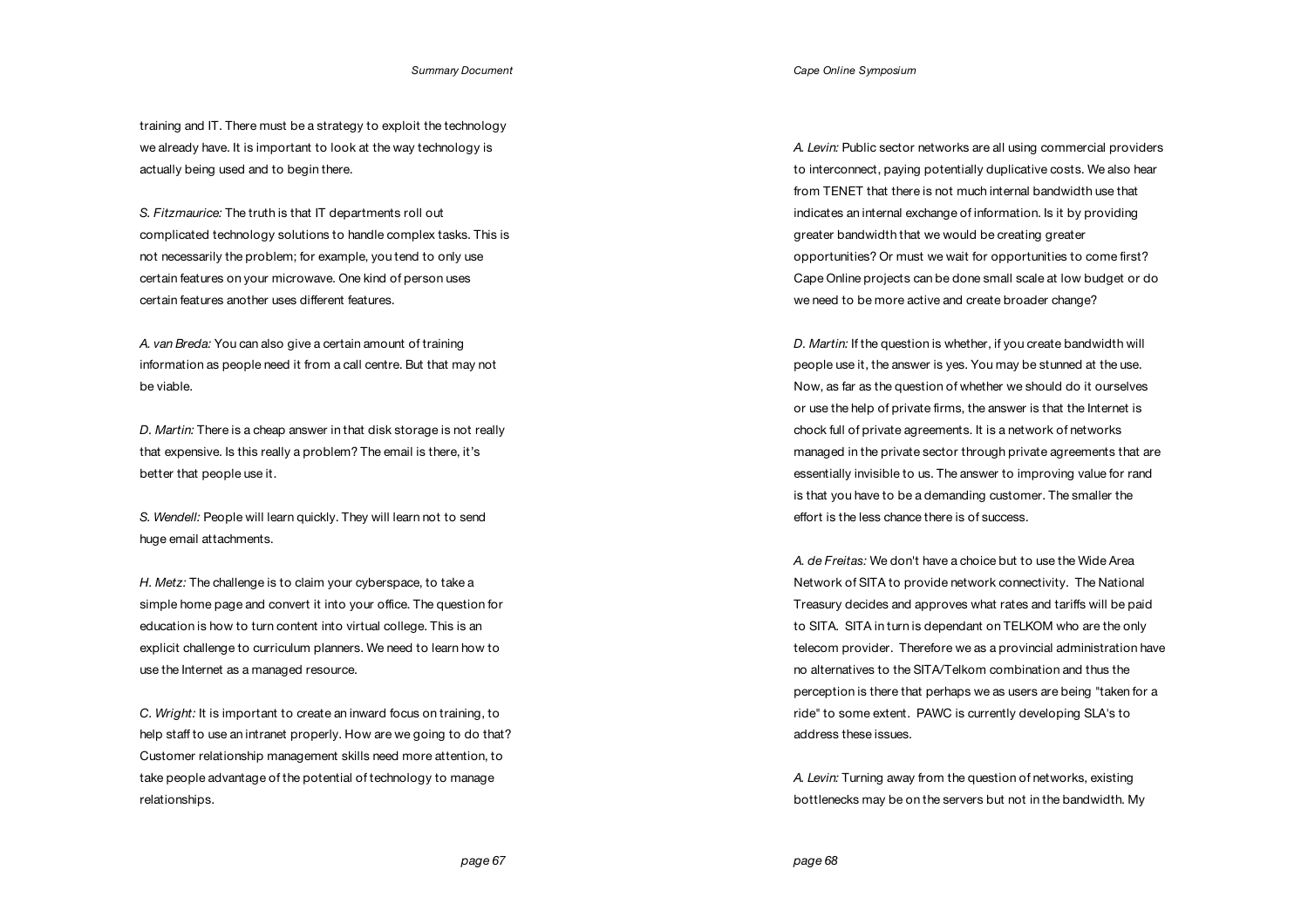training and IT. There must be a strategy to exploit the technology we already have. It is important to look at the way technology is actually being used and to begin there.

*S. Fitzmaurice:* The truth is that IT departments roll out complicated technology solutions to handle complex tasks. This is not necessarily the problem; for example, you tend to only use certain features on your microwave. One kind of person uses certain features another uses different features.

*A. van Breda:* You can also give a certain amount of training information as people need it from a call centre. But that may not be viable.

*D. Martin:* There is a cheap answer in that disk storage is not really that expensive. Is this really a problem? The email is there, it's better that people use it.

*S. Wendell:* People will learn quickly. They will learn not to send huge email attachments.

*H. Metz:* The challenge is to claim your cyberspace, to take a simple home page and convert it into your office. The question for education is how to turn content into virtual college. This is an explicit challenge to curriculum planners. We need to learn how to use the Internet as a managed resource.

*C. Wright:* It is important to create an inward focus on training, to help staff to use an intranet properly. How are we going to do that? Customer relationship management skills need more attention, to take people advantage of the potential of technology to manage relationships.

*A. Levin:* Public sector networks are all using commercial providers to interconnect, paying potentially duplicative costs. We also hear from TENET that there is not much internal bandwidth use that indicates an internal exchange of information. Is it by providing greater bandwidth that we would be creating greater opportunities? Or must we wait for opportunities to come first? Cape Online projects can be done small scale at low budget or do we need to be more active and create broader change?

*D. Martin:* If the question is whether, if you create bandwidth will people use it, the answer is yes. You may be stunned at the use. Now, as far as the question of whether we should do it ourselves or use the help of private firms, the answer is that the Internet is chock full of private agreements. It is a network of networks managed in the private sector through private agreements that are essentially invisible to us. The answer to improving value for rand is that you have to be a demanding customer. The smaller the effort is the less chance there is of success.

*A. de Freitas:* We don't have a choice but to use the Wide Area Network of SITA to provide network connectivity. The National Treasury decides and approves what rates and tariffs will be paid to SITA. SITA in turn is dependant on TELKOM who are the only telecom provider. Therefore we as a provincial administration have no alternatives to the SITA/Telkom combination and thus the perception is there that perhaps we as users are being "taken for a ride" to some extent. PAWC is currently developing SLA's to address these issues.

*A. Levin:* Turning away from the question of networks, existing bottlenecks may be on the servers but not in the bandwidth. My

*page 68*

*Cape Online Symposium*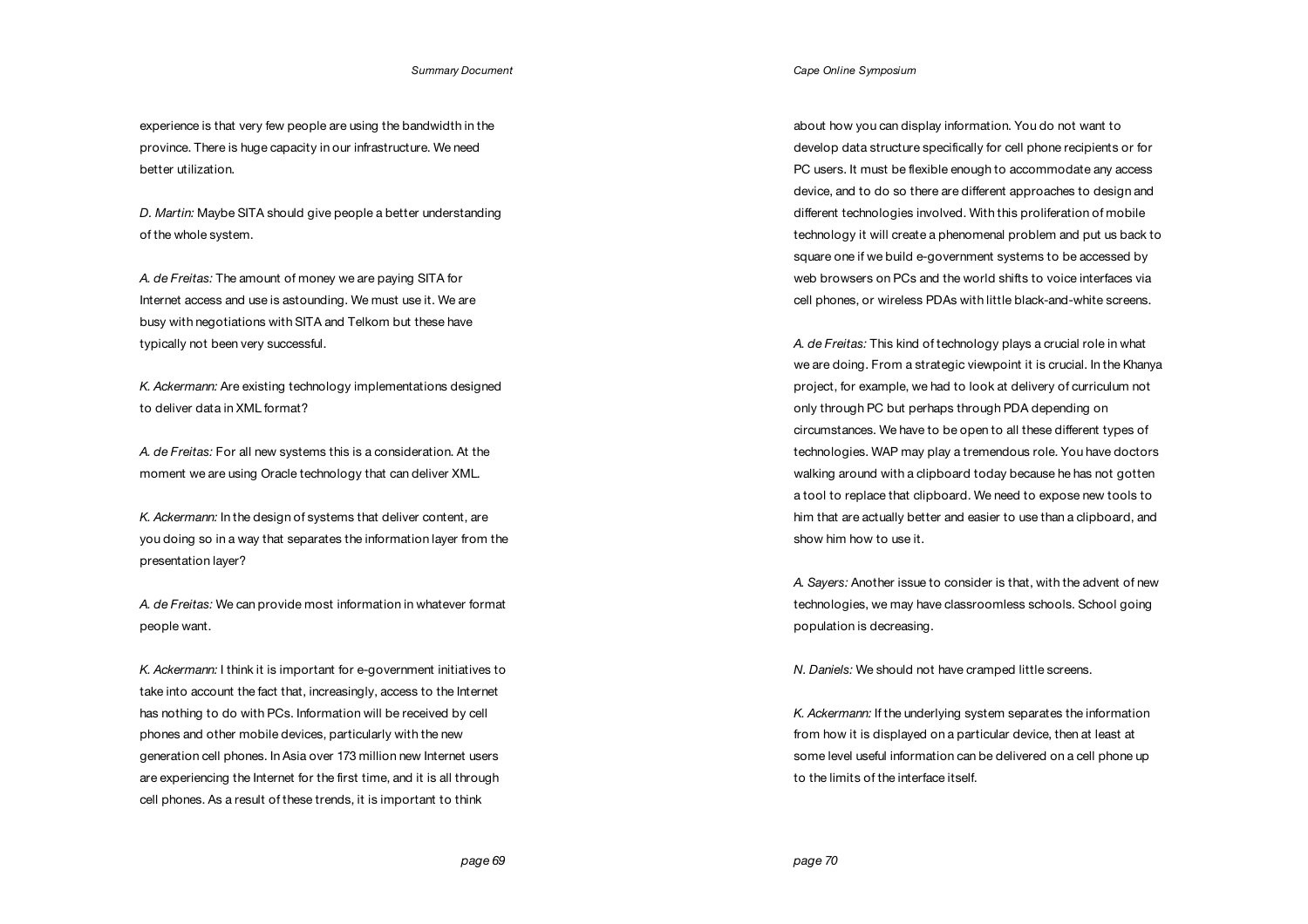experience is that very few people are using the bandwidth in the province. There is huge capacity in our infrastructure. We need better utilization.

*D. Martin:* Maybe SITA should give people a better understanding of the whole system.

*A. de Freitas:* The amount of money we are paying SITA for Internet access and use is astounding. We must use it. We are busy with negotiations with SITA and Telkom but these have typically not been very successful.

*K. Ackermann:* Are existing technology implementations designed to deliver data in XML format?

*A. de Freitas:* For all new systems this is a consideration. At the moment we are using Oracle technology that can deliver XML.

*K. Ackermann:* In the design of systems that deliver content, are you doing so in a way that separates the information layer from the presentation layer?

*A. de Freitas:* We can provide most information in whatever format people want.

*K. Ackermann:* I think it is important for e-government initiatives to take into account the fact that, increasingly, access to the Internet has nothing to do with PCs. Information will be received by cell phones and other mobile devices, particularly with the new generation cell phones. In Asia over 173 million new Internet users are experiencing the Internet for the first time, and it is all through cell phones. As a result of these trends, it is important to think

*Cape Online Symposium*

about how you can display information. You do not want to develop data structure specifically for cell phone recipients or for PC users. It must be flexible enough to accommodate any access device, and to do so there are different approaches to design and different technologies involved. With this proliferation of mobile technology it will create a phenomenal problem and put us back to square one if we build e-government systems to be accessed by web browsers on PCs and the world shifts to voice interfaces via cell phones, or wireless PDAs with little black-and-white screens.

*A. de Freitas:* This kind of technology plays a crucial role in what we are doing. From a strategic viewpoint it is crucial. In the Khanya project, for example, we had to look at delivery of curriculum not only through PC but perhaps through PDA depending on circumstances. We have to be open to all these different types of technologies. WAP may play a tremendous role. You have doctors walking around with a clipboard today because he has not gotten a tool to replace that clipboard. We need to expose new tools to him that are actually better and easier to use than a clipboard, and show him how to use it.

*A. Sayers:* Another issue to consider is that, with the advent of new technologies, we may have classroomless schools. School going population is decreasing.

*N. Daniels:* We should not have cramped little screens.

*K. Ackermann:* If the underlying system separates the information from how it is displayed on a particular device, then at least at some level useful information can be delivered on a cell phone up to the limits of the interface itself.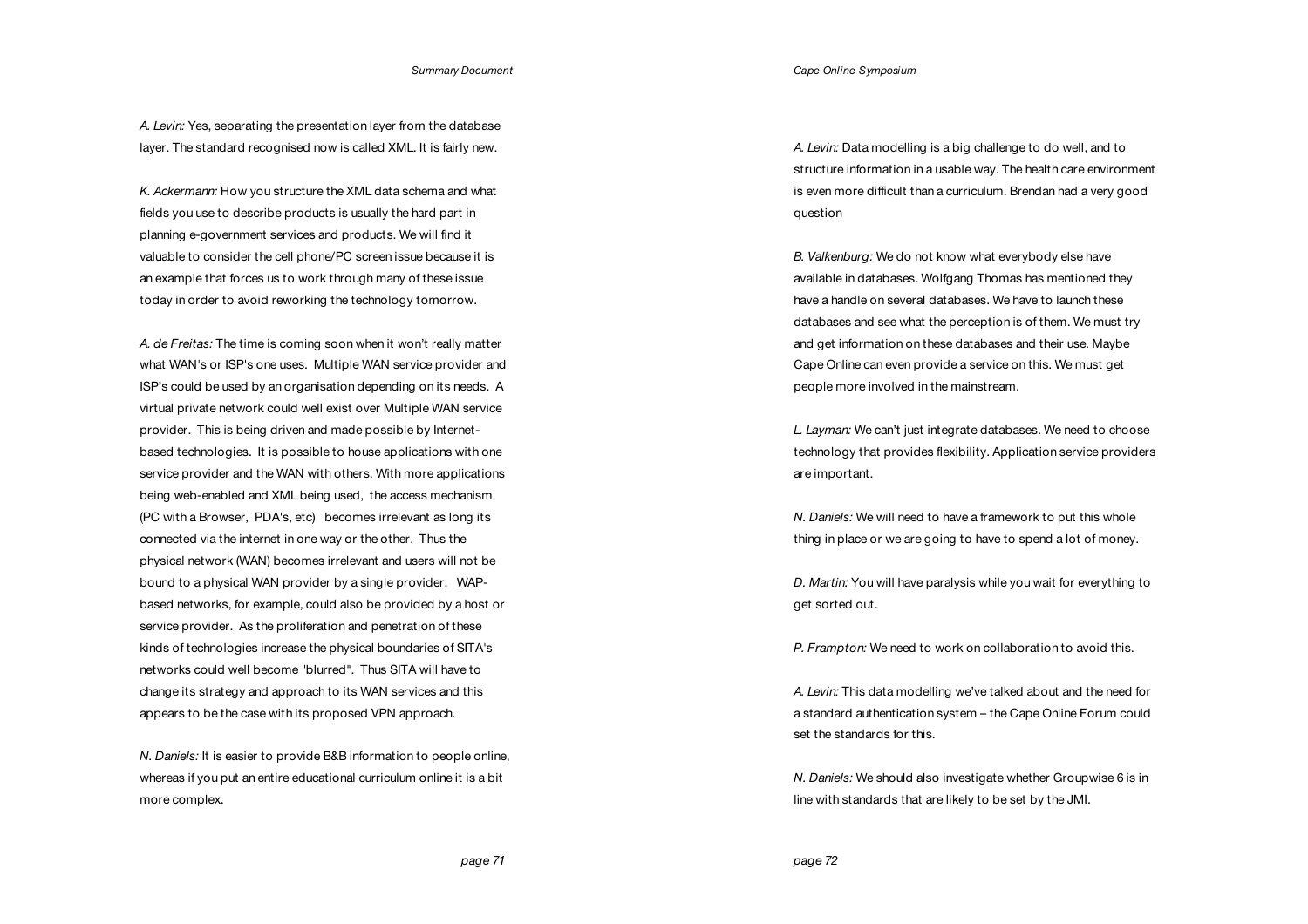*Cape Online Symposium*

*A. Levin:* Yes, separating the presentation layer from the database layer. The standard recognised now is called XML. It is fairly new.

*K. Ackermann:* How you structure the XML data schema and what fields you use to describe products is usually the hard part in planning e-government services and products. We will find it valuable to consider the cell phone/PC screen issue because it is an example that forces us to work through many of these issue today in order to avoid reworking the technology tomorrow.

*A. de Freitas:* The time is coming soon when it won't really matter what WAN's or ISP's one uses. Multiple WAN service provider and ISP's could be used by an organisation depending on its needs. A virtual private network could well exist over Multiple WAN service provider. This is being driven and made possible by Internetbased technologies. It is possible to house applications with one service provider and the WAN with others. With more applications being web-enabled and XML being used, the access mechanism (PC with a Browser, PDA's, etc) becomes irrelevant as long its connected via the internet in one way or the other. Thus the physical network (WAN) becomes irrelevant and users will not be bound to a physical WAN provider by a single provider. WAPbased networks, for example, could also be provided by a host or service provider. As the proliferation and penetration of these kinds of technologies increase the physical boundaries of SITA's networks could well become "blurred". Thus SITA will have to change its strategy and approach to its WAN services and this appears to be the case with its proposed VPN approach.

*N. Daniels:* It is easier to provide B&B information to people online, whereas if you put an entire educational curriculum online it is a bit more complex.

*A. Levin:* Data modelling is a big challenge to do well, and to structure information in a usable way. The health care environment is even more difficult than a curriculum. Brendan had a very good question

*B. Valkenburg:* We do not know what everybody else have available in databases. Wolfgang Thomas has mentioned they have a handle on several databases. We have to launch these databases and see what the perception is of them. We must try and get information on these databases and their use. Maybe Cape Online can even provide a service on this. We must get people more involved in the mainstream.

*L. Layman:* We can't just integrate databases. We need to choose technology that provides flexibility. Application service providers are important.

*N. Daniels:* We will need to have a framework to put this whole thing in place or we are going to have to spend a lot of money.

*D. Martin:* You will have paralysis while you wait for everything to get sorted out.

*P. Frampton:* We need to work on collaboration to avoid this.

*A. Levin:* This data modelling we've talked about and the need for a standard authentication system – the Cape Online Forum could set the standards for this.

*N. Daniels:* We should also investigate whether Groupwise 6 is in line with standards that are likely to be set by the JMI.

 *page 71*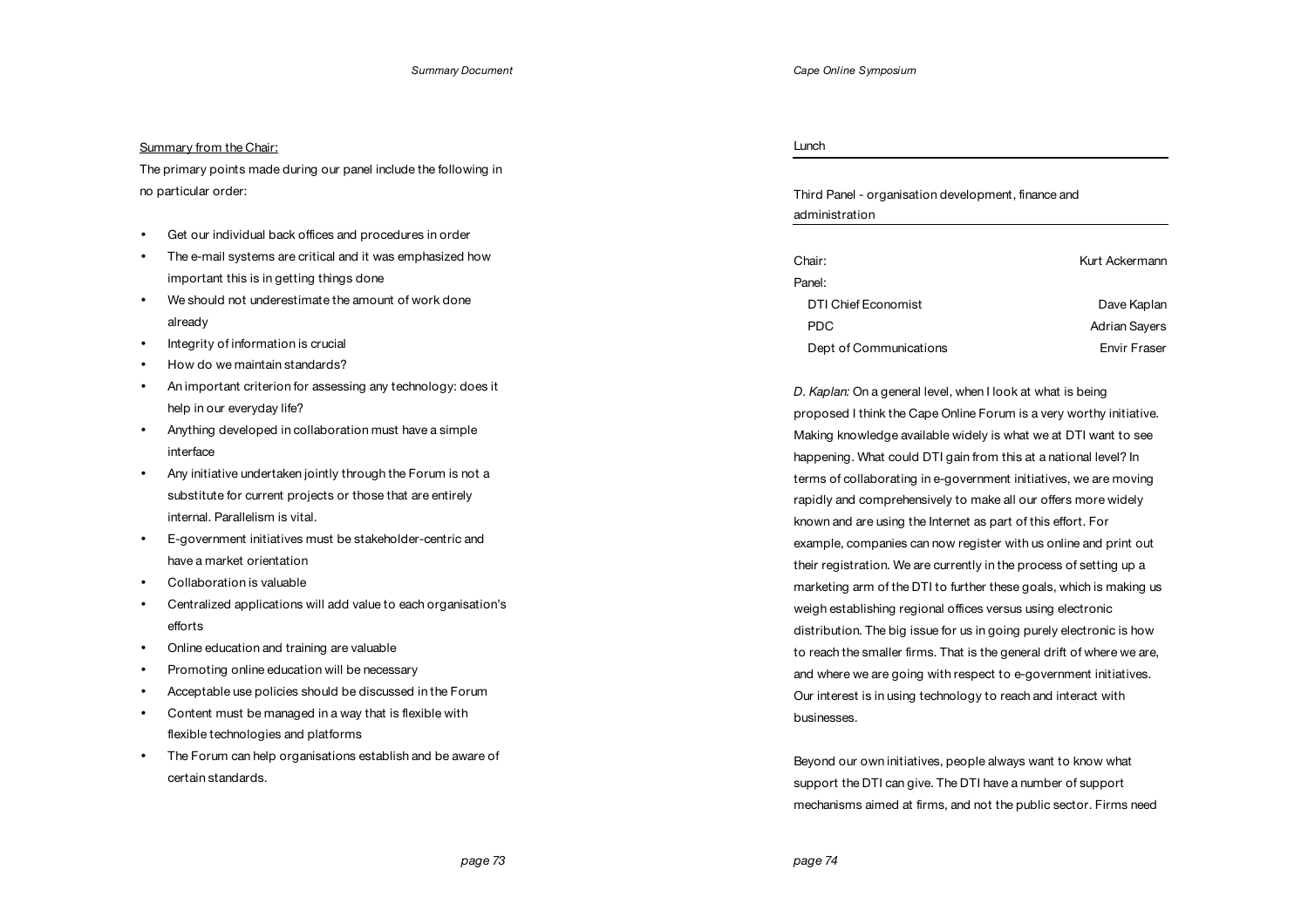# Summary from the Chair:

The primary points made during our panel include the following in no particular order:

- Get our individual back offices and procedures in order
- The e-mail systems are critical and it was emphasized how important this is in getting things done
- We should not underestimate the amount of work done already
- Integrity of information is crucial
- How do we maintain standards?
- An important criterion for assessing any technology: does it help in our everyday life?
- Anything developed in collaboration must have a simple interface
- Any initiative undertaken jointly through the Forum is not a substitute for current projects or those that are entirely internal. Parallelism is vital.
- E-government initiatives must be stakeholder-centric and have a market orientation
- Collaboration is valuable
- Centralized applications will add value to each organisation's efforts
- Online education and training are valuable
- Promoting online education will be necessary
- Acceptable use policies should be discussed in the Forum
- Content must be managed in a way that is flexible with flexible technologies and platforms
- The Forum can help organisations establish and be aware of certain standards.

Lunch

Third Panel - organisation development, finance and administration

| Chair:                 | Kurt Ackermann       |
|------------------------|----------------------|
| Panel:                 |                      |
| DTI Chief Economist    | Dave Kaplan          |
| PDC.                   | <b>Adrian Sayers</b> |
| Dept of Communications | Envir Fraser         |

*D. Kaplan:* On a general level, when I look at what is being proposed I think the Cape Online Forum is a very worthy initiative. Making knowledge available widely is what we at DTI want to see happening. What could DTI gain from this at a national level? In terms of collaborating in e-government initiatives, we are moving rapidly and comprehensively to make all our offers more widely known and are using the Internet as part of this effort. For example, companies can now register with us online and print out their registration. We are currently in the process of setting up a marketing arm of the DTI to further these goals, which is making us weigh establishing regional offices versus using electronic distribution. The big issue for us in going purely electronic is how to reach the smaller firms. That is the general drift of where we are, and where we are going with respect to e-government initiatives. Our interest is in using technology to reach and interact with businesses.

Beyond our own initiatives, people always want to know what support the DTI can give. The DTI have a number of support mechanisms aimed at firms, and not the public sector. Firms need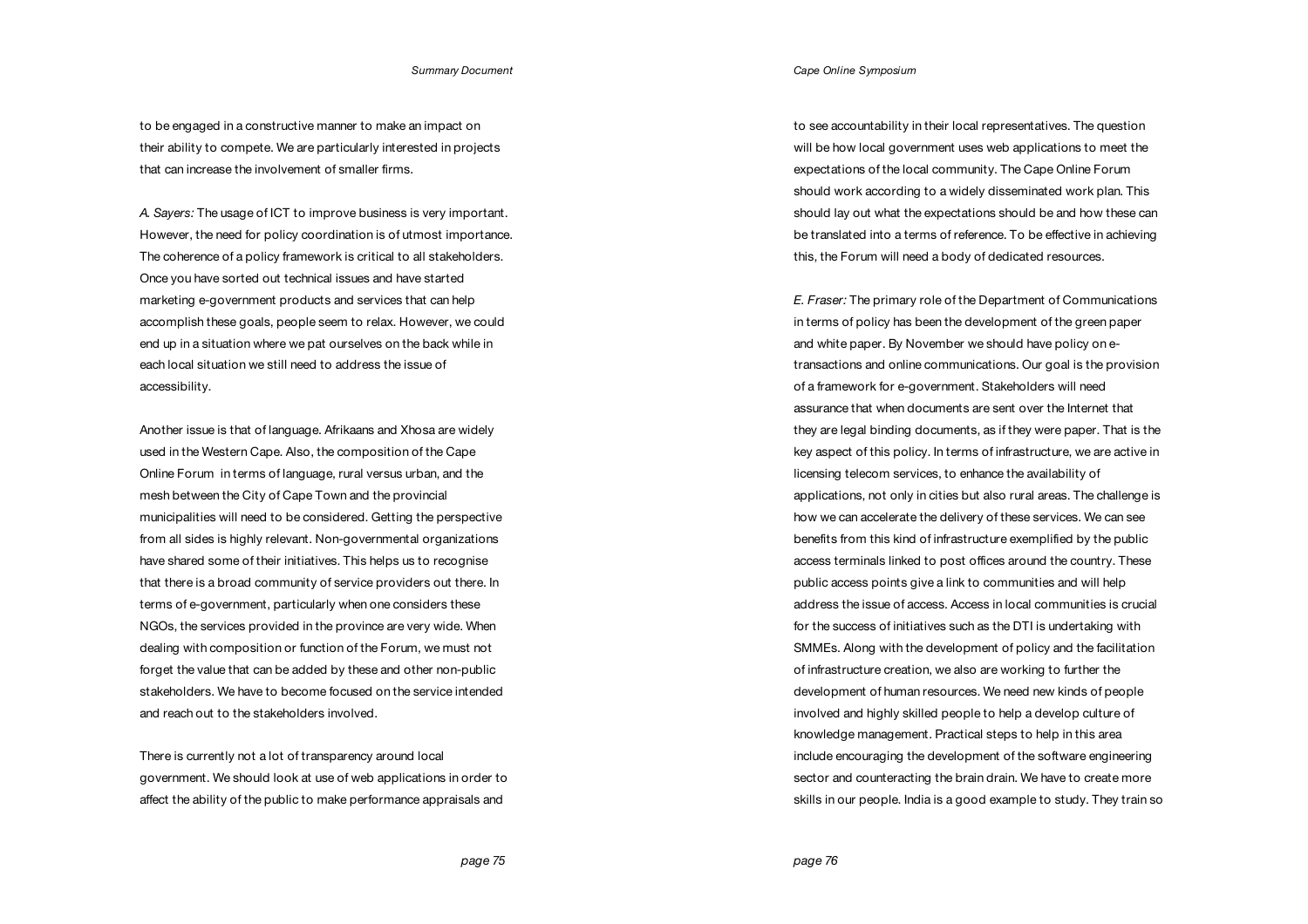to be engaged in a constructive manner to make an impact on their ability to compete. We are particularly interested in projects that can increase the involvement of smaller firms.

*A. Sayers:* The usage of ICT to improve business is very important. However, the need for policy coordination is of utmost importance. The coherence of a policy framework is critical to all stakeholders. Once you have sorted out technical issues and have started marketing e-government products and services that can help accomplish these goals, people seem to relax. However, we could end up in a situation where we pat ourselves on the back while in each local situation we still need to address the issue of accessibility.

Another issue is that of language. Afrikaans and Xhosa are widely used in the Western Cape. Also, the composition of the Cape Online Forum in terms of language, rural versus urban, and the mesh between the City of Cape Town and the provincial municipalities will need to be considered. Getting the perspective from all sides is highly relevant. Non-governmental organizations have shared some of their initiatives. This helps us to recognise that there is a broad community of service providers out there. In terms of e-government, particularly when one considers these NGOs, the services provided in the province are very wide. When dealing with composition or function of the Forum, we must not forget the value that can be added by these and other non-public stakeholders. We have to become focused on the service intended and reach out to the stakeholders involved.

There is currently not a lot of transparency around local government. We should look at use of web applications in order to affect the ability of the public to make performance appraisals and

*Cape Online Symposium*

to see accountability in their local representatives. The question will be how local government uses web applications to meet the expectations of the local community. The Cape Online Forum should work according to a widely disseminated work plan. This should lay out what the expectations should be and how these can be translated into a terms of reference. To be effective in achieving this, the Forum will need a body of dedicated resources.

*E. Fraser:* The primary role of the Department of Communications in terms of policy has been the development of the green paper and white paper. By November we should have policy on etransactions and online communications. Our goal is the provision of a framework for e-government. Stakeholders will need assurance that when documents are sent over the Internet that they are legal binding documents, as if they were paper. That is the key aspect of this policy. In terms of infrastructure, we are active in licensing telecom services, to enhance the availability of applications, not only in cities but also rural areas. The challenge is how we can accelerate the delivery of these services. We can see benefits from this kind of infrastructure exemplified by the public access terminals linked to post offices around the country. These public access points give a link to communities and will help address the issue of access. Access in local communities is crucial for the success of initiatives such as the DTI is undertaking with SMMEs. Along with the development of policy and the facilitation of infrastructure creation, we also are working to further the development of human resources. We need new kinds of people involved and highly skilled people to help a develop culture of knowledge management. Practical steps to help in this area include encouraging the development of the software engineering sector and counteracting the brain drain. We have to create more skills in our people. India is a good example to study. They train so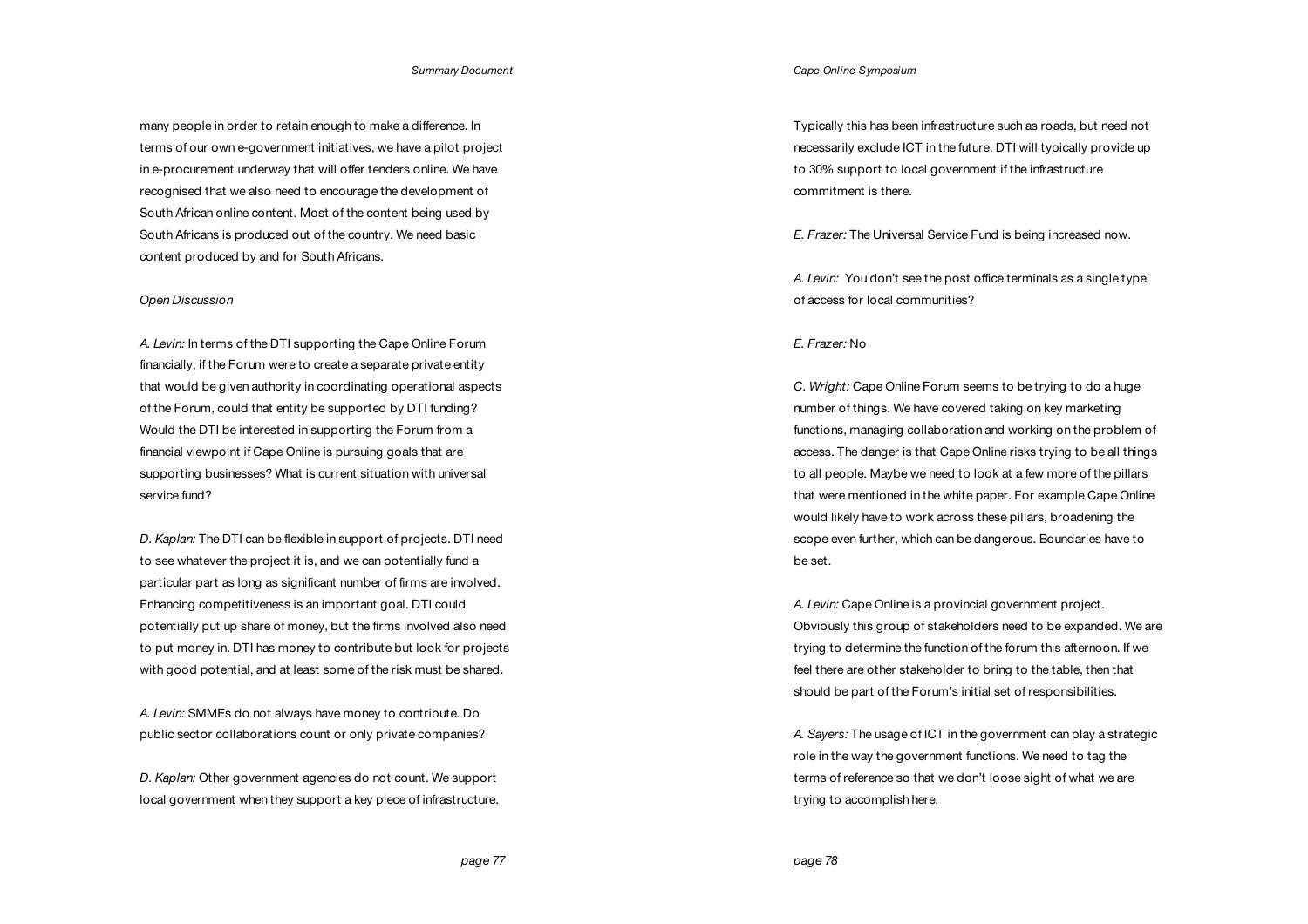many people in order to retain enough to make a difference. In terms of our own e-government initiatives, we have a pilot project in e-procurement underway that will offer tenders online. We have recognised that we also need to encourage the development of South African online content. Most of the content being used by South Africans is produced out of the country. We need basic content produced by and for South Africans.

## *Open Discussion*

*A. Levin:* In terms of the DTI supporting the Cape Online Forum financially, if the Forum were to create a separate private entity that would be given authority in coordinating operational aspects of the Forum, could that entity be supported by DTI funding? Would the DTI be interested in supporting the Forum from a financial viewpoint if Cape Online is pursuing goals that are supporting businesses? What is current situation with universal service fund?

*D. Kaplan:* The DTI can be flexible in support of projects. DTI need to see whatever the project it is, and we can potentially fund a particular part as long as significant number of firms are involved. Enhancing competitiveness is an important goal. DTI could potentially put up share of money, but the firms involved also need to put money in. DTI has money to contribute but look for projects with good potential, and at least some of the risk must be shared.

*A. Levin:* SMMEs do not always have money to contribute. Do public sector collaborations count or only private companies?

*D. Kaplan:* Other government agencies do not count. We support local government when they support a key piece of infrastructure. *Cape Online Symposium*

Typically this has been infrastructure such as roads, but need not necessarily exclude ICT in the future. DTI will typically provide up to 30% support to local government if the infrastructure commitment is there.

*E. Frazer:* The Universal Service Fund is being increased now.

*A. Levin:* You don't see the post office terminals as a single type of access for local communities?

# *E. Frazer:* No

*C. Wright:* Cape Online Forum seems to be trying to do a huge number of things. We have covered taking on key marketing functions, managing collaboration and working on the problem of access. The danger is that Cape Online risks trying to be all things to all people. Maybe we need to look at a few more of the pillars that were mentioned in the white paper. For example Cape Online would likely have to work across these pillars, broadening the scope even further, which can be dangerous. Boundaries have to be set.

*A. Levin:* Cape Online is a provincial government project. Obviously this group of stakeholders need to be expanded. We are trying to determine the function of the forum this afternoon. If we feel there are other stakeholder to bring to the table, then that should be part of the Forum's initial set of responsibilities.

*A. Sayers:* The usage of ICT in the government can play a strategic role in the way the government functions. We need to tag the terms of reference so that we don't loose sight of what we are trying to accomplish here.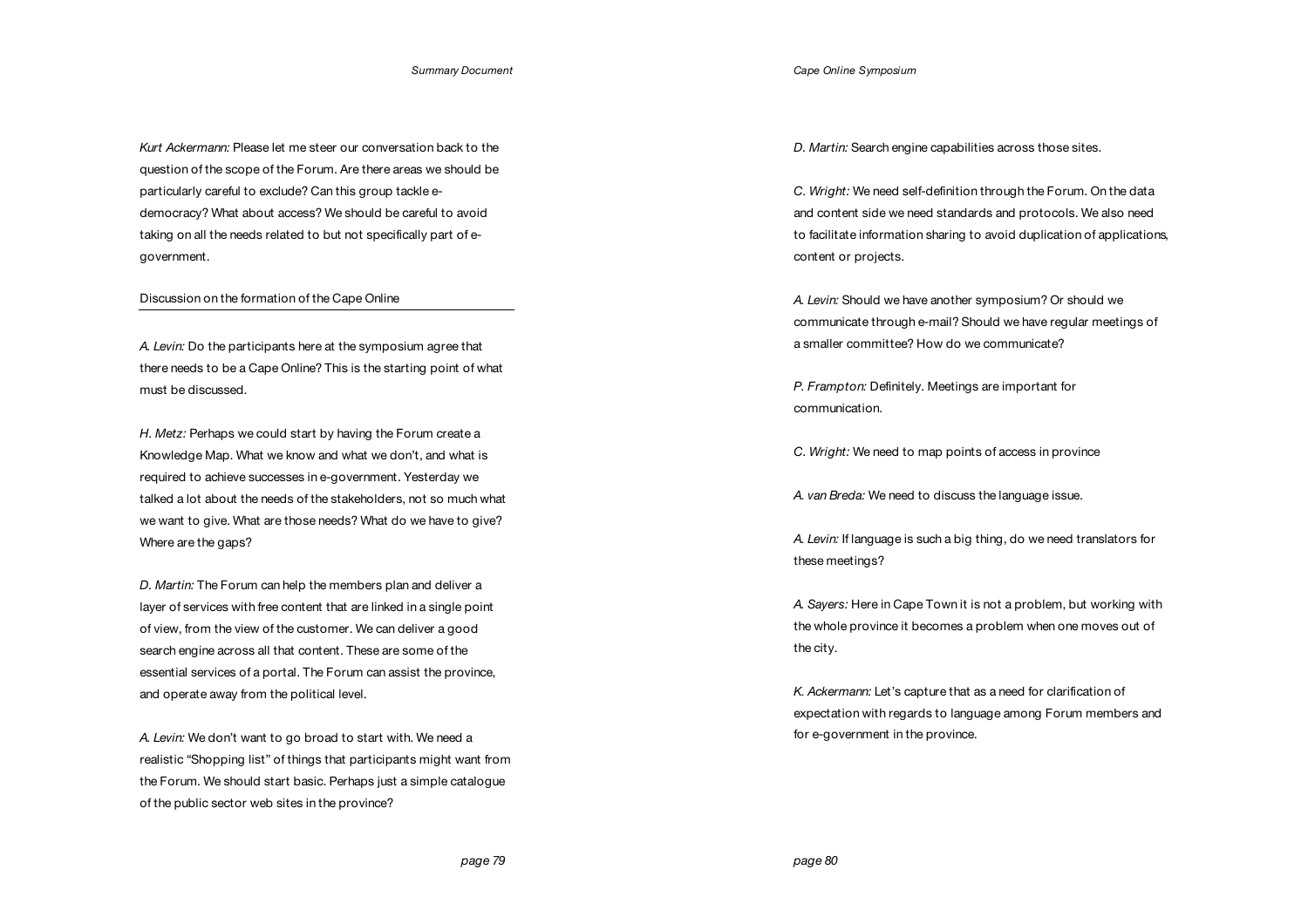*Kurt Ackermann:* Please let me steer our conversation back to the question of the scope of the Forum. Are there areas we should be particularly careful to exclude? Can this group tackle edemocracy? What about access? We should be careful to avoid taking on all the needs related to but not specifically part of egovernment.

### Discussion on the formation of the Cape Online

*A. Levin:* Do the participants here at the symposium agree that there needs to be a Cape Online? This is the starting point of what must be discussed.

*H. Metz:* Perhaps we could start by having the Forum create a Knowledge Map. What we know and what we don't, and what is required to achieve successes in e-government. Yesterday we talked a lot about the needs of the stakeholders, not so much what we want to give. What are those needs? What do we have to give? Where are the gaps?

*D. Martin:* The Forum can help the members plan and deliver a layer of services with free content that are linked in a single point of view, from the view of the customer. We can deliver a good search engine across all that content. These are some of the essential services of a portal. The Forum can assist the province, and operate away from the political level.

*A. Levin:* We don't want to go broad to start with. We need a realistic "Shopping list" of things that participants might want from the Forum. We should start basic. Perhaps just a simple catalogue of the public sector web sites in the province?

*Cape Online Symposium*

*D. Martin:* Search engine capabilities across those sites.

*C. Wright:* We need self-definition through the Forum. On the data and content side we need standards and protocols. We also need to facilitate information sharing to avoid duplication of applications, content or projects.

*A. Levin:* Should we have another symposium? Or should we communicate through e-mail? Should we have regular meetings of a smaller committee? How do we communicate?

*P. Frampton:* Definitely. Meetings are important for communication.

*C. Wright:* We need to map points of access in province

*A. van Breda:* We need to discuss the language issue.

*A. Levin:* If language is such a big thing, do we need translators for these meetings?

*A. Sayers:* Here in Cape Town it is not a problem, but working with the whole province it becomes a problem when one moves out of the city.

*K. Ackermann:* Let's capture that as a need for clarification of expectation with regards to language among Forum members and for e-government in the province.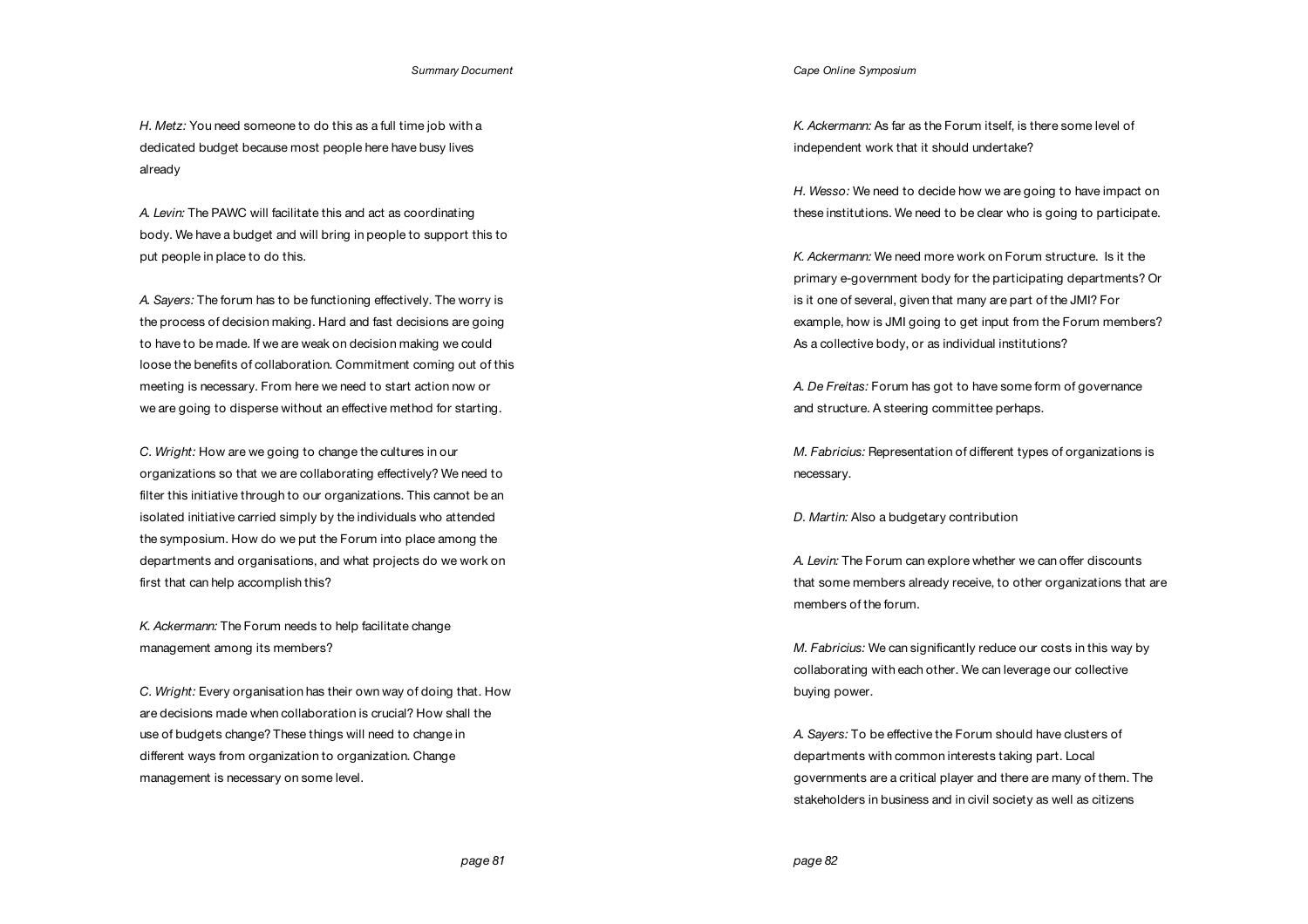*H. Metz:* You need someone to do this as a full time job with a dedicated budget because most people here have busy lives already

*A. Levin:* The PAWC will facilitate this and act as coordinating body. We have a budget and will bring in people to support this to put people in place to do this.

*A. Sayers:* The forum has to be functioning effectively. The worry is the process of decision making. Hard and fast decisions are going to have to be made. If we are weak on decision making we could loose the benefits of collaboration. Commitment coming out of this meeting is necessary. From here we need to start action now or we are going to disperse without an effective method for starting.

*C. Wright:* How are we going to change the cultures in our organizations so that we are collaborating effectively? We need to filter this initiative through to our organizations. This cannot be an isolated initiative carried simply by the individuals who attended the symposium. How do we put the Forum into place among the departments and organisations, and what projects do we work on first that can help accomplish this?

*K. Ackermann:* The Forum needs to help facilitate change management among its members?

*C. Wright:* Every organisation has their own way of doing that. How are decisions made when collaboration is crucial? How shall the use of budgets change? These things will need to change in different ways from organization to organization. Change management is necessary on some level.

*Cape Online Symposium*

*K. Ackermann:* As far as the Forum itself, is there some level of independent work that it should undertake?

*H. Wesso:* We need to decide how we are going to have impact on these institutions. We need to be clear who is going to participate.

*K. Ackermann:* We need more work on Forum structure. Is it the primary e-government body for the participating departments? Or is it one of several, given that many are part of the JMI? For example, how is JMI going to get input from the Forum members? As a collective body, or as individual institutions?

*A. De Freitas:* Forum has got to have some form of governance and structure. A steering committee perhaps.

*M. Fabricius:* Representation of different types of organizations is necessary.

*D. Martin:* Also a budgetary contribution

*A. Levin:* The Forum can explore whether we can offer discounts that some members already receive, to other organizations that are members of the forum.

*M. Fabricius:* We can significantly reduce our costs in this way by collaborating with each other. We can leverage our collective buying power.

*A. Sayers:* To be effective the Forum should have clusters of departments with common interests taking part. Local governments are a critical player and there are many of them. The stakeholders in business and in civil society as well as citizens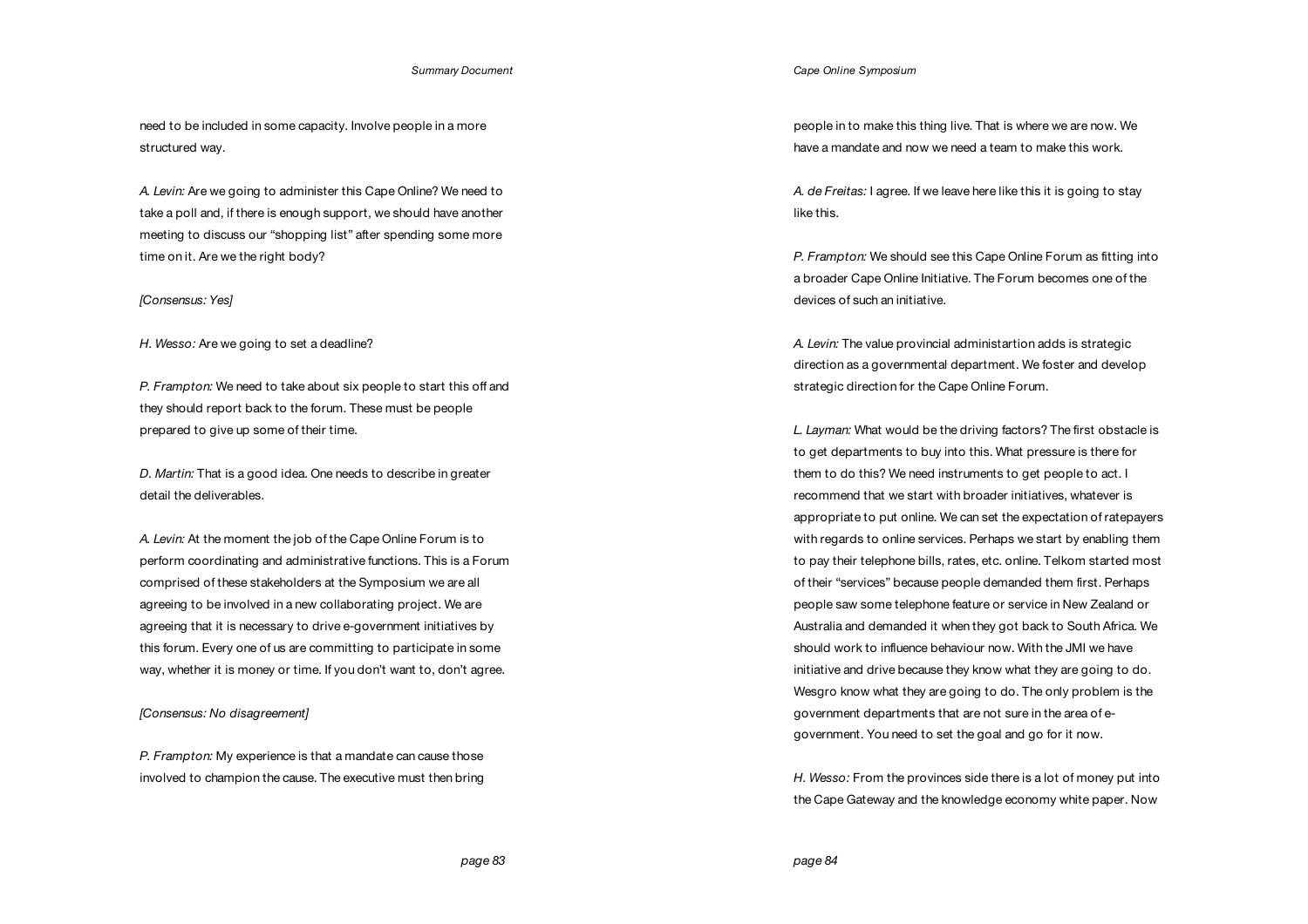need to be included in some capacity. Involve people in a more structured way.

*A. Levin:* Are we going to administer this Cape Online? We need to take a poll and, if there is enough support, we should have another meeting to discuss our "shopping list" after spending some more time on it. Are we the right body?

## *[Consensus: Yes]*

*H. Wesso:* Are we going to set a deadline?

*P. Frampton:* We need to take about six people to start this off and they should report back to the forum. These must be people prepared to give up some of their time.

*D. Martin:* That is a good idea. One needs to describe in greater detail the deliverables.

*A. Levin:* At the moment the job of the Cape Online Forum is to perform coordinating and administrative functions. This is a Forum comprised of these stakeholders at the Symposium we are all agreeing to be involved in a new collaborating project. We are agreeing that it is necessary to drive e-government initiatives by this forum. Every one of us are committing to participate in some way, whether it is money or time. If you don't want to, don't agree.

*[Consensus: No disagreement]* 

*P. Frampton:* My experience is that a mandate can cause those involved to champion the cause. The executive must then bring

### *Cape Online Symposium*

people in to make this thing live. That is where we are now. We have a mandate and now we need a team to make this work.

*A. de Freitas:* I agree. If we leave here like this it is going to stay like this.

*P. Frampton:* We should see this Cape Online Forum as fitting into a broader Cape Online Initiative. The Forum becomes one of the devices of such an initiative.

*A. Levin:* The value provincial administartion adds is strategic direction as a governmental department. We foster and develop strategic direction for the Cape Online Forum.

*L. Layman:* What would be the driving factors? The first obstacle is to get departments to buy into this. What pressure is there for them to do this? We need instruments to get people to act. I recommend that we start with broader initiatives, whatever is appropriate to put online. We can set the expectation of ratepayers with regards to online services. Perhaps we start by enabling them to pay their telephone bills, rates, etc. online. Telkom started most of their "services" because people demanded them first. Perhaps people saw some telephone feature or service in New Zealand or Australia and demanded it when they got back to South Africa. We should work to influence behaviour now. With the JMI we have initiative and drive because they know what they are going to do. Wesgro know what they are going to do. The only problem is the government departments that are not sure in the area of egovernment. You need to set the goal and go for it now.

*H. Wesso:* From the provinces side there is a lot of money put into the Cape Gateway and the knowledge economy white paper. Now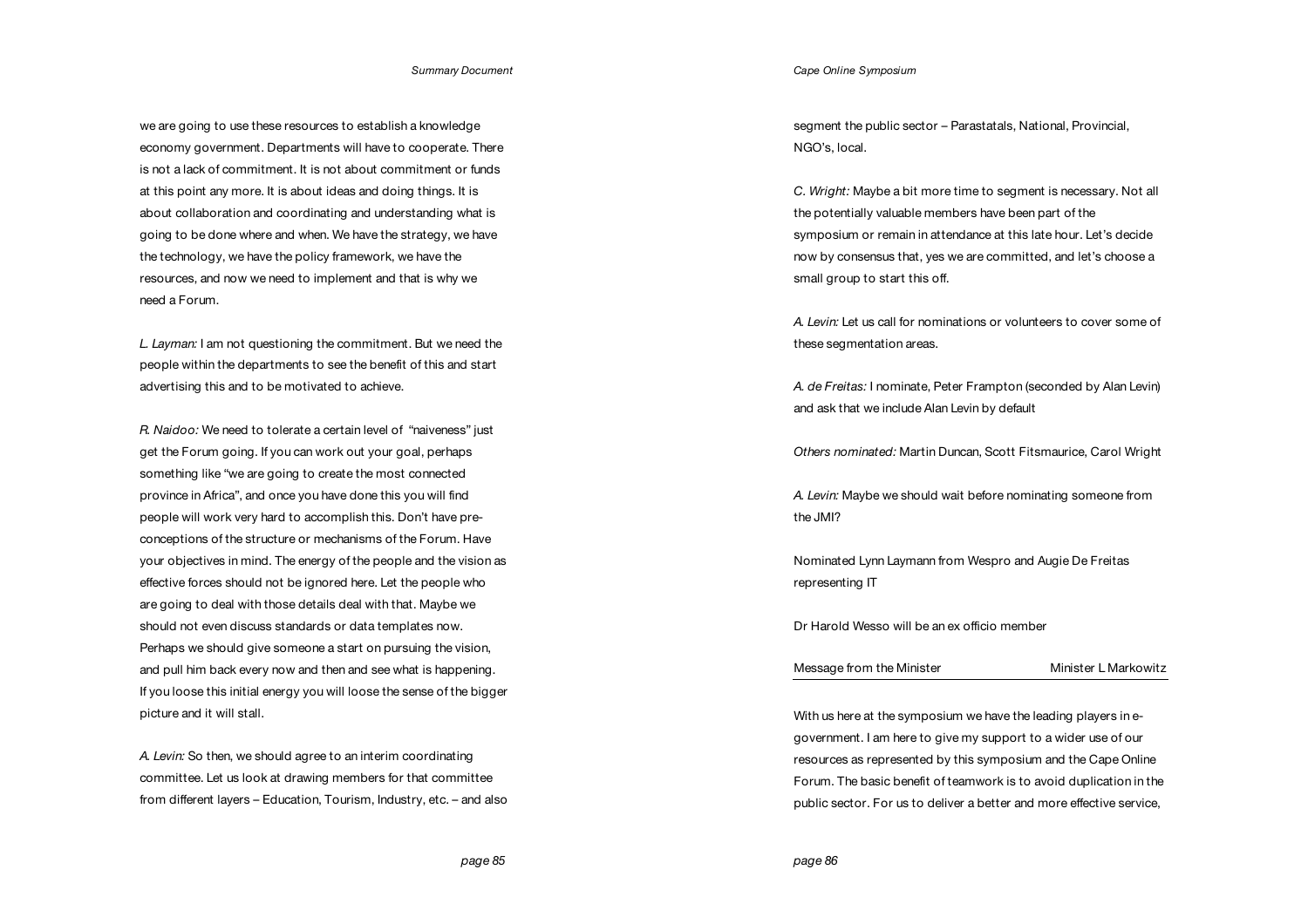we are going to use these resources to establish a knowledge economy government. Departments will have to cooperate. There is not a lack of commitment. It is not about commitment or funds at this point any more. It is about ideas and doing things. It is about collaboration and coordinating and understanding what is going to be done where and when. We have the strategy, we have the technology, we have the policy framework, we have the resources, and now we need to implement and that is why we need a Forum.

*L. Layman:* I am not questioning the commitment. But we need the people within the departments to see the benefit of this and start advertising this and to be motivated to achieve.

*R. Naidoo:* We need to tolerate a certain level of "naiveness" just get the Forum going. If you can work out your goal, perhaps something like "we are going to create the most connected province in Africa", and once you have done this you will find people will work very hard to accomplish this. Don't have preconceptions of the structure or mechanisms of the Forum. Have your objectives in mind. The energy of the people and the vision as effective forces should not be ignored here. Let the people who are going to deal with those details deal with that. Maybe we should not even discuss standards or data templates now. Perhaps we should give someone a start on pursuing the vision, and pull him back every now and then and see what is happening. If you loose this initial energy you will loose the sense of the bigger picture and it will stall.

*A. Levin:* So then, we should agree to an interim coordinating committee. Let us look at drawing members for that committee from different layers – Education, Tourism, Industry, etc. – and also

### *Cape Online Symposium*

segment the public sector – Parastatals, National, Provincial, NGO's, local.

*C. Wright:* Maybe a bit more time to segment is necessary. Not all the potentially valuable members have been part of the symposium or remain in attendance at this late hour. Let's decide now by consensus that, yes we are committed, and let's choose a small group to start this off.

*A. Levin:* Let us call for nominations or volunteers to cover some of these segmentation areas.

*A. de Freitas:* I nominate, Peter Frampton (seconded by Alan Levin) and ask that we include Alan Levin by default

*Others nominated:* Martin Duncan, Scott Fitsmaurice, Carol Wright

*A. Levin:* Maybe we should wait before nominating someone from the JMI?

Nominated Lynn Laymann from Wespro and Augie De Freitas representing IT

Dr Harold Wesso will be an ex officio member

| Message from the Minister | Minister L Markowitz |
|---------------------------|----------------------|
|---------------------------|----------------------|

With us here at the symposium we have the leading players in egovernment. I am here to give my support to a wider use of our resources as represented by this symposium and the Cape Online Forum. The basic benefit of teamwork is to avoid duplication in the public sector. For us to deliver a better and more effective service,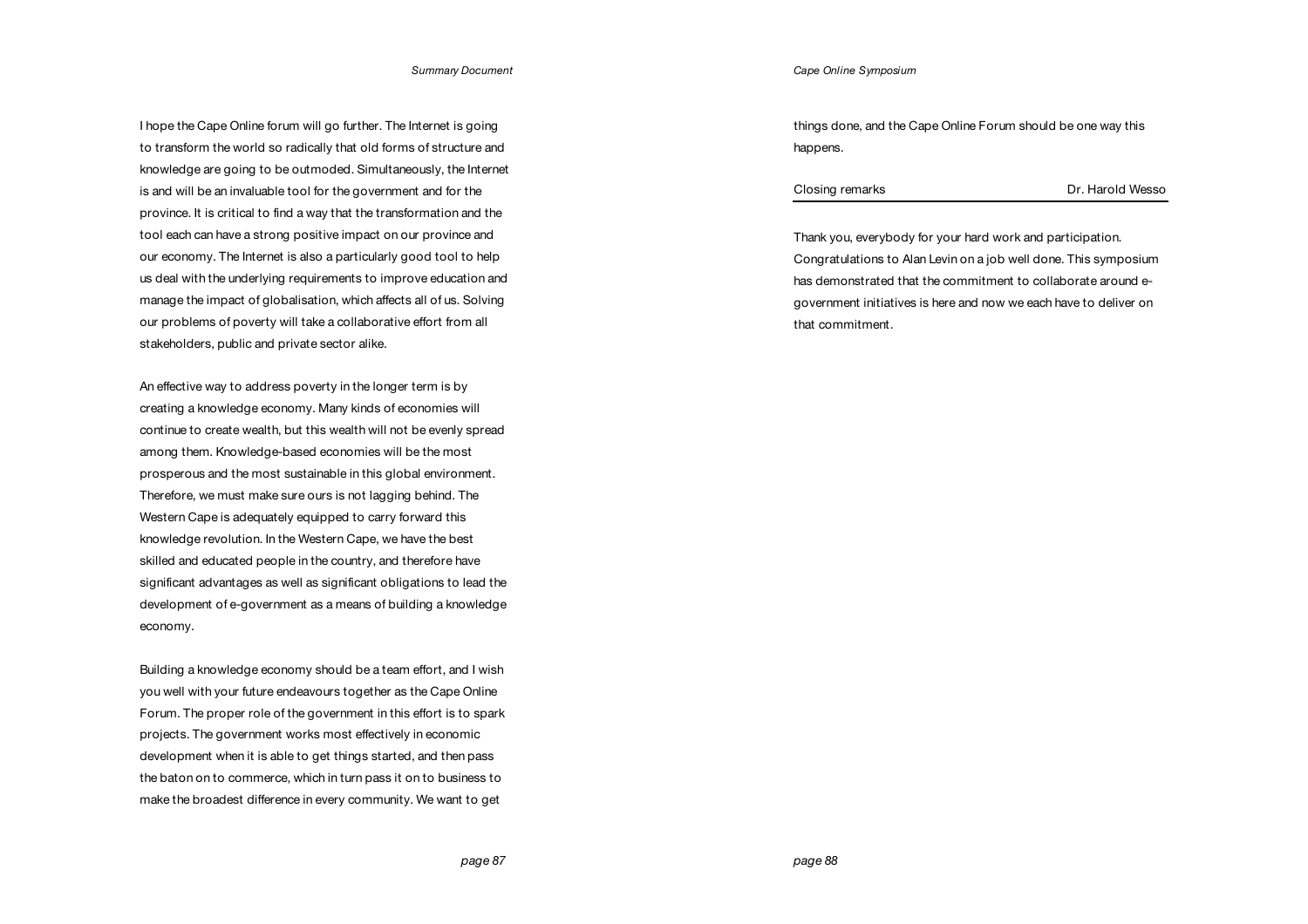I hope the Cape Online forum will go further. The Internet is going to transform the world so radically that old forms of structure and knowledge are going to be outmoded. Simultaneously, the Internet is and will be an invaluable tool for the government and for the province. It is critical to find a way that the transformation and the tool each can have a strong positive impact on our province and our economy. The Internet is also a particularly good tool to help us deal with the underlying requirements to improve education and manage the impact of globalisation, which affects all of us. Solving our problems of poverty will take a collaborative effort from all stakeholders, public and private sector alike.

An effective way to address poverty in the longer term is by creating a knowledge economy. Many kinds of economies will continue to create wealth, but this wealth will not be evenly spread among them. Knowledge-based economies will be the most prosperous and the most sustainable in this global environment. Therefore, we must make sure ours is not lagging behind. The Western Cape is adequately equipped to carry forward this knowledge revolution. In the Western Cape, we have the best skilled and educated people in the country, and therefore have significant advantages as well as significant obligations to lead the development of e-government as a means of building a knowledge economy.

Building a knowledge economy should be a team effort, and I wish you well with your future endeavours together as the Cape Online Forum. The proper role of the government in this effort is to spark projects. The government works most effectively in economic development when it is able to get things started, and then pass the baton on to commerce, which in turn pass it on to business to make the broadest difference in every community. We want to get

things done, and the Cape Online Forum should be one way this happens.

Thank you, everybody for your hard work and participation. Congratulations to Alan Levin on a job well done. This symposium has demonstrated that the commitment to collaborate around egovernment initiatives is here and now we each have to deliver on that commitment.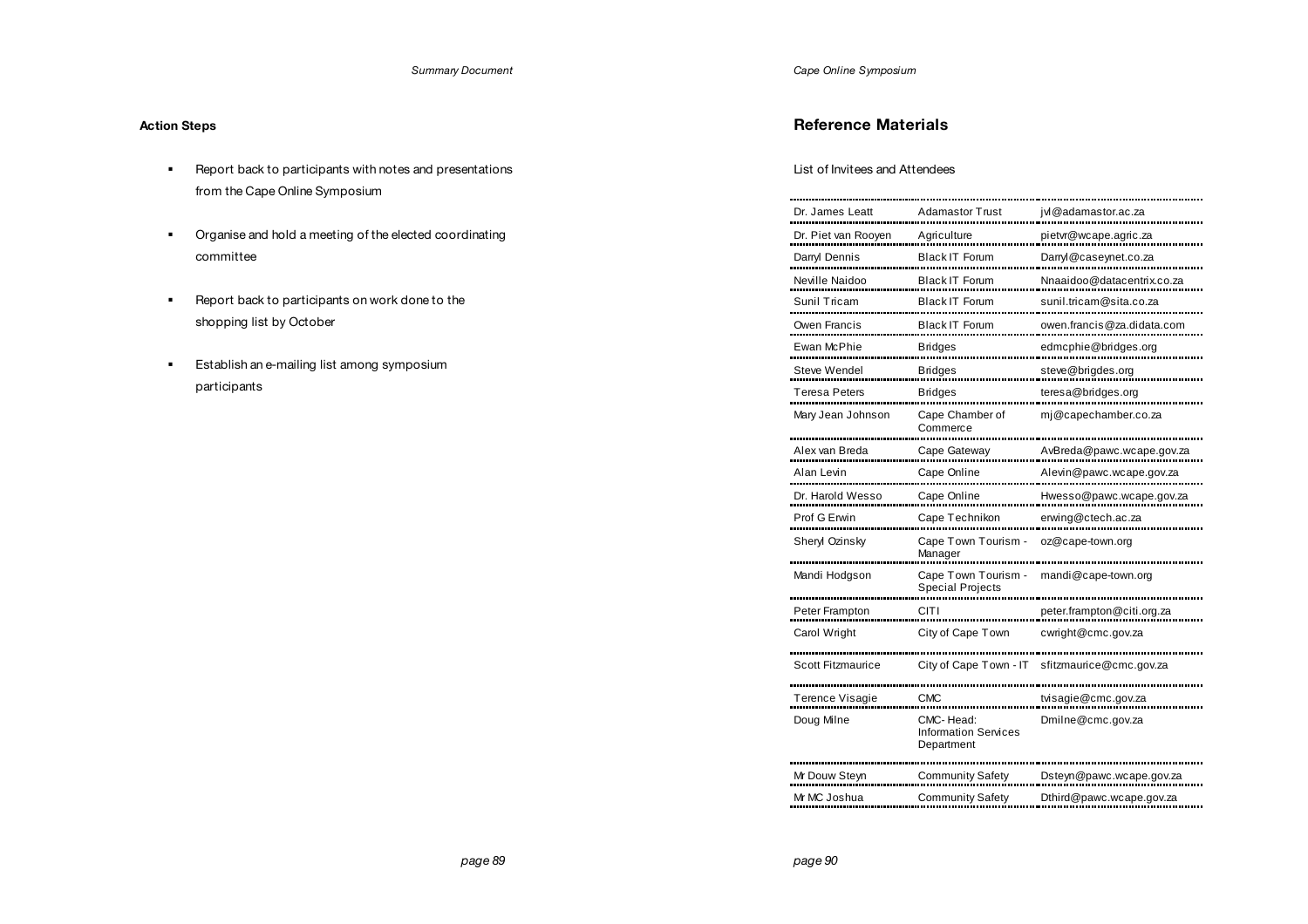# **Action Steps**

- ! Report back to participants with notes and presentations from the Cape Online Symposium
- ! Organise and hold a meeting of the elected coordinating committee
- ! Report back to participants on work done to the shopping list by October
- **Establish an e-mailing list among symposium** participants

*Cape Online Symposium*

# **Reference Materials**

# List of Invitees and Attendees

| Dr. James Leatt        | Adamastor Trust                                | jvl@adamastor.ac.za        |  |
|------------------------|------------------------------------------------|----------------------------|--|
| Dr. Piet van Rooyen    | Agriculture                                    | pietvr@wcape.agric.za      |  |
| Darryl Dennis          | <b>Black IT Forum</b>                          | Darryl@caseynet.co.za      |  |
| Neville Naidoo         | <b>Black IT Forum</b>                          | Nnaaidoo@datacentrix.co.za |  |
| Sunil Tricam           | <b>Black IT Forum</b>                          | sunil.tricam@sita.co.za    |  |
| Owen Francis           | <b>Black IT Forum</b>                          | owen.francis@za.didata.com |  |
| Ewan McPhie            | <b>Bridges</b>                                 | edmcphie@bridges.org       |  |
| Steve Wendel           | <b>Bridges</b>                                 | steve@brigdes.org          |  |
| Teresa Peters          | <b>Bridges</b>                                 | teresa@bridges.org         |  |
| Mary Jean Johnson      | Cape Chamber of<br>Commerce                    | mj@capechamber.co.za       |  |
| Alex van Breda         | Cape Gateway                                   | AvBreda@pawc.wcape.gov.za  |  |
| Alan Levin             | Cape Online                                    | Alevin@pawc.wcape.gov.za   |  |
| Dr. Harold Wesso       | Cape Online                                    | Hwesso@pawc.wcape.gov.za   |  |
| Prof G Erwin           | Cape Technikon                                 | erwing@ctech.ac.za         |  |
| Sheryl Ozinsky         | Cape Town Tourism -<br>Manager                 | oz@cape-town.org           |  |
| Mandi Hodgson          | Cape Town Tourism -<br><b>Special Projects</b> | mandi@cape-town.org        |  |
| Peter Frampton         | CITI                                           | peter.frampton@citi.org.za |  |
| Carol Wright           | City of Cape Town                              | cwright@cmc.gov.za         |  |
| Scott Fitzmaurice      | City of Cape Town - IT                         | sfitzmaurice@cmc.gov.za    |  |
| <b>Terence Visagie</b> | CMC                                            | tvisagie@cmc.gov.za        |  |
| Doug Milne             | CMC-Head:<br><b>Information Services</b>       | Dmilne@cmc.gov.za          |  |
|                        | Department                                     |                            |  |
| Mr Douw Steyn          | <b>Community Safety</b>                        | Dsteyn@pawc.wcape.gov.za   |  |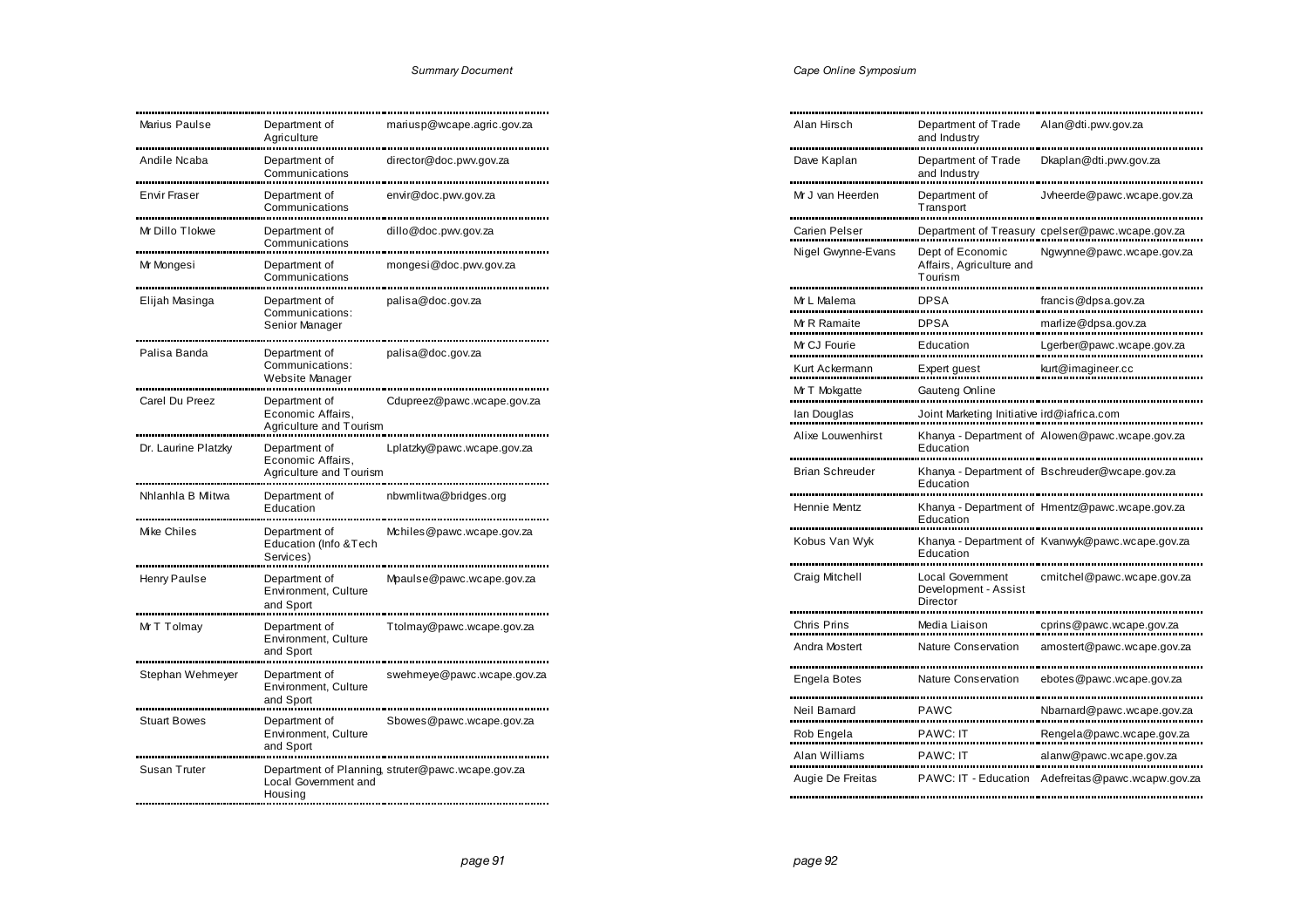|  | Cape Online Symposium |
|--|-----------------------|
|  |                       |

| Marius Paulse       | Department of<br>Agriculture                                  | mariusp@wcape.agric.gov.za                        |
|---------------------|---------------------------------------------------------------|---------------------------------------------------|
| Andile Ncaba        | Department of<br>Communications                               | director@doc.pwv.gov.za                           |
| Envir Fraser        | Department of<br>Communications                               | envir@doc.pwv.gov.za                              |
| Mr Dillo Tlokwe     | Department of<br>Communications                               | dillo@doc.pwv.gov.za                              |
| Mr Mongesi          | Department of<br>Communications                               | mongesi@doc.pwv.gov.za                            |
| Elijah Masinga      | Department of<br>Communications:<br>Senior Manager            | palisa@doc.gov.za                                 |
| Palisa Banda        | Department of<br>Communications:<br>Website Manager           | palisa@doc.gov.za                                 |
| Carel Du Preez      | Department of<br>Economic Affairs,<br>Agriculture and Tourism | Cdupreez@pawc.wcape.gov.za                        |
| Dr. Laurine Platzky | Department of<br>Economic Affairs,<br>Agriculture and Tourism | Lplatzky@pawc.wcape.gov.za                        |
| Nhlanhla B Mlitwa   | Department of<br>Education                                    | nbwmlitwa@bridges.org                             |
| Mike Chiles         | Department of<br>Education (Info & Tech<br>Services)          | Mchiles@pawc.wcape.gov.za                         |
| Henry Paulse        | Department of<br>Environment, Culture<br>and Sport            | Mpaulse@pawc.wcape.gov.za                         |
| Mr T Tolmay         | Department of<br>Environment, Culture<br>and Sport            | Ttolmay@pawc.wcape.gov.za                         |
| Stephan Wehmeyer    | Department of<br>Environment, Culture<br>and Sport            | swehmeye@pawc.wcape.gov.za                        |
| <b>Stuart Bowes</b> | Department of<br>Environment, Culture<br>and Sport            | Sbowes@pawc.wcape.gov.za                          |
| Susan Truter        | Local Government and<br>Housing                               | Department of Planning, struter@pawc.wcape.gov.za |

| Alan Hirsch            | Department of Trade<br>and Industry                         | Alan@dti.pwv.gov.za                              |
|------------------------|-------------------------------------------------------------|--------------------------------------------------|
| Dave Kaplan            | Department of Trade<br>and Industry                         | Dkaplan@dti.pwv.gov.za                           |
| Mr J van Heerden       | Department of<br>Transport                                  | Jyheerde@pawc.wcape.gov.za                       |
| Carien Pelser          |                                                             | Department of Treasury cpelser@pawc.wcape.gov.za |
|                        |                                                             |                                                  |
| Nigel Gwynne-Evans     | Dept of Economic<br>Affairs, Agriculture and<br>Tourism     | Ngwynne@pawc.wcape.gov.za                        |
| Mr L Malema            | <b>DPSA</b>                                                 | francis@dpsa.gov.za                              |
| Mr R Ramaite           | DPSA                                                        | marlize@dpsa.gov.za                              |
|                        |                                                             |                                                  |
| Mr CJ Fourie           | Education                                                   | Lgerber@pawc.wcape.gov.za                        |
| Kurt Ackermann         | Expert guest                                                | kurt@imagineer.cc                                |
| Mr T Mokgatte          | Gauteng Online                                              |                                                  |
| lan Douglas            | Joint Marketing Initiative ird@iafrica.com                  |                                                  |
| Alixe Louwenhirst      |                                                             | Khanya - Department of Alowen@pawc.wcape.gov.za  |
|                        | Education                                                   |                                                  |
| <b>Brian Schreuder</b> | Education                                                   | Khanya - Department of Bschreuder@wcape.gov.za   |
| Hennie Mentz           | Education                                                   | Khanya - Department of Hmentz@pawc.wcape.gov.za  |
| Kobus Van Wyk          | Education                                                   | Khanya - Department of Kvanwyk@pawc.wcape.gov.za |
| Craig Mitchell         | <b>Local Government</b><br>Development - Assist<br>Director | cmitchel@pawc.wcape.gov.za                       |
| Chris Prins            | Media Liaison                                               | cprins@pawc.wcape.gov.za                         |
| Andra Mostert          | Nature Conservation                                         | amostert@pawc.wcape.gov.za                       |
|                        |                                                             |                                                  |
| Engela Botes           | Nature Conservation                                         | ebotes@pawc.wcape.gov.za                         |
|                        |                                                             |                                                  |
| Neil Barnard           | PAWC                                                        | Nbamard@pawc.wcape.gov.za                        |
| Rob Engela             | <b>PAWC: IT</b>                                             | Rengela@pawc.wcape.gov.za                        |
| Alan Williams          | <b>PAWC: IT</b>                                             | alanw@pawc.wcape.gov.za                          |
| Augie De Freitas       | PAWC: IT - Education                                        | Adefreitas@pawc.wcapw.gov.za                     |
|                        |                                                             |                                                  |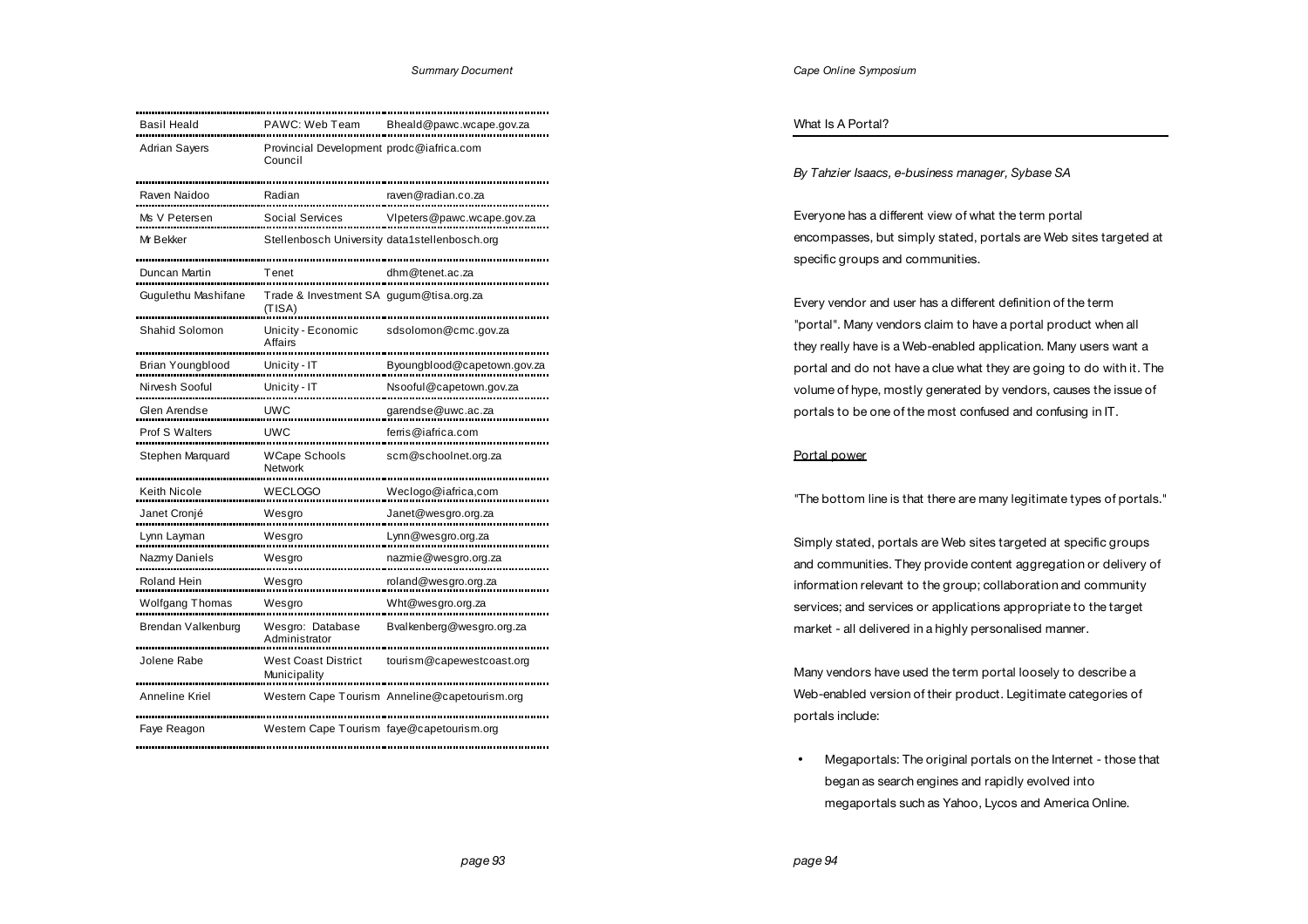| Basil Heald            | PAWC: Web Team                                      | Bheald@pawc.wcape.gov.za                      |
|------------------------|-----------------------------------------------------|-----------------------------------------------|
| <b>Adrian Sayers</b>   | Provincial Development prodc@iafrica.com<br>Council |                                               |
| Raven Naidoo           | Radian                                              | raven@radian.co.za                            |
| Ms V Petersen          | <b>Social Services</b>                              | VIpeters@pawc.wcape.gov.za                    |
| Mr Bekker              | Stellenbosch University data1stellenbosch.org       |                                               |
| Duncan Martin          | Tenet                                               | dhm@tenet.ac.za                               |
| Gugulethu Mashifane    | Trade & Investment SA gugum@tisa.org.za<br>(TISA)   |                                               |
| Shahid Solomon         | Unicity - Economic<br>Affairs                       | sdsolomon@cmc.gov.za                          |
| Brian Youngblood       | Unicity - IT                                        | Byoungblood@capetown.gov.za                   |
| Nirvesh Sooful         | Unicity - IT                                        | Nsooful@capetown.gov.za                       |
| Glen Arendse           | <b>UWC</b>                                          | garendse@uwc.ac.za                            |
| Prof S Walters         | <b>UWC</b>                                          | ferris@iafrica.com                            |
| Stephen Marquard       | <b>WCape Schools</b><br>Network                     | scm@schoolnet.org.za                          |
| Keith Nicole           | WECLOGO                                             | Weclogo@iafrica,com                           |
| Janet Cronjé           | Wesgro                                              | Janet@wesgro.org.za                           |
| Lynn Layman            | Wesgro                                              | Lynn@wesgro.org.za                            |
| Nazmy Daniels          | Wesgro                                              | nazmie@wesgro.org.za                          |
| Roland Hein            | Wesgro                                              | roland@wesgro.org.za                          |
| <b>Wolfgang Thomas</b> | Wesgro                                              | Wht@wesgro.org.za                             |
| Brendan Valkenburg     | Wesgro: Database<br>Administrator                   | Bvalkenberg@wesgro.org.za                     |
| Jolene Rabe            | <b>West Coast District</b><br>Municipality          | tourism@capewestcoast.org                     |
| Anneline Kriel         |                                                     | Western Cape Tourism Anneline@capetourism.org |
| Faye Reagon            | Western Cape Tourism faye@capetourism.org           |                                               |

### What Is A Portal?

*By Tahzier Isaacs, e-business manager, Sybase SA* 

Everyone has a different view of what the term portal encompasses, but simply stated, portals are Web sites targeted at specific groups and communities.

Every vendor and user has a different definition of the term "portal". Many vendors claim to have a portal product when all they really have is a Web-enabled application. Many users want a portal and do not have a clue what they are going to do with it. The volume of hype, mostly generated by vendors, causes the issue of portals to be one of the most confused and confusing in IT.

# Portal power

"The bottom line is that there are many legitimate types of portals."

Simply stated, portals are Web sites targeted at specific groups and communities. They provide content aggregation or delivery of information relevant to the group; collaboration and community services; and services or applications appropriate to the target market - all delivered in a highly personalised manner.

Many vendors have used the term portal loosely to describe a Web-enabled version of their product. Legitimate categories of portals include:

• Megaportals: The original portals on the Internet - those that began as search engines and rapidly evolved into megaportals such as Yahoo, Lycos and America Online.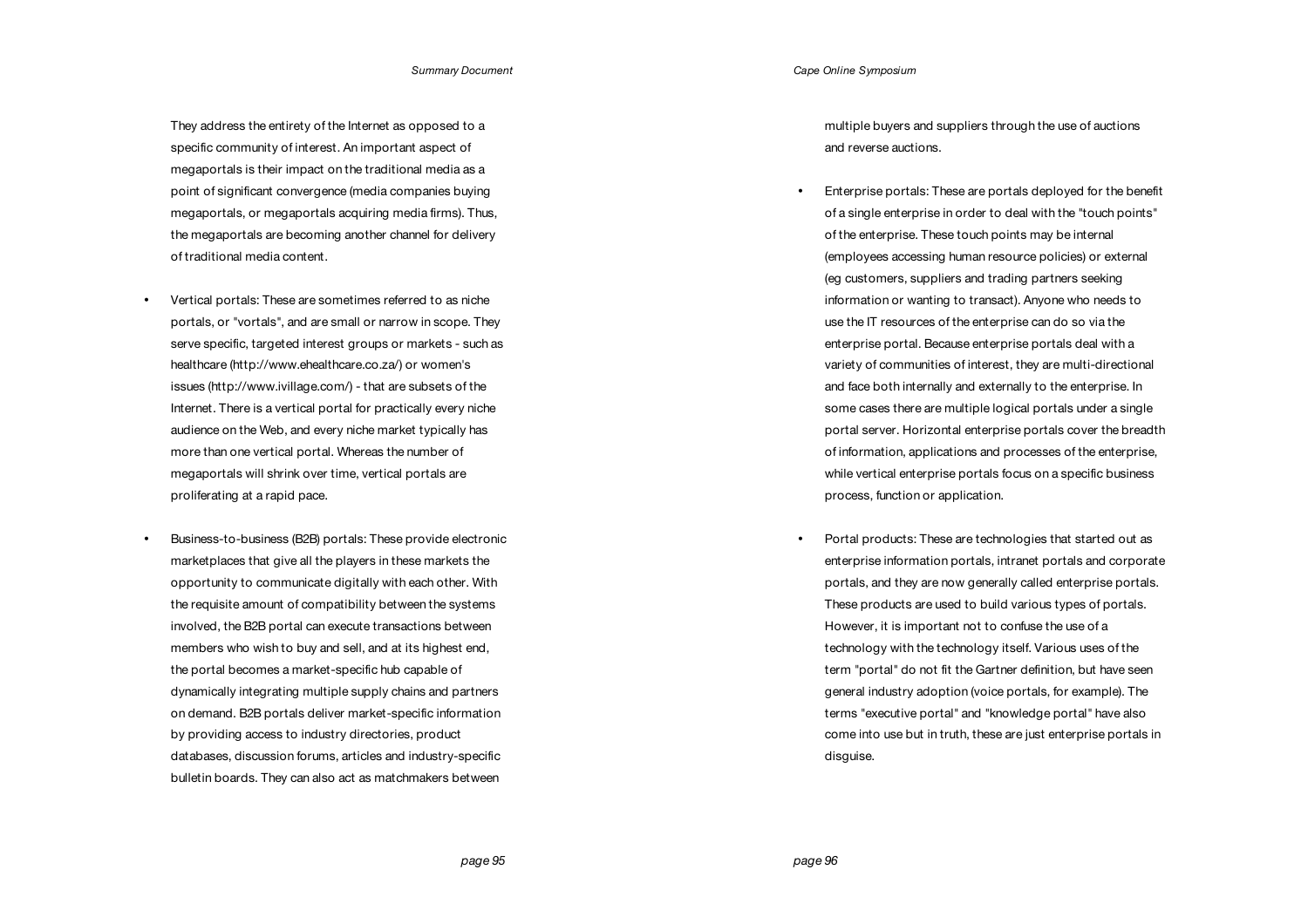They address the entirety of the Internet as opposed to a specific community of interest. An important aspect of megaportals is their impact on the traditional media as a point of significant convergence (media companies buying megaportals, or megaportals acquiring media firms). Thus, the megaportals are becoming another channel for delivery of traditional media content.

- Vertical portals: These are sometimes referred to as niche portals, or "vortals", and are small or narrow in scope. They serve specific, targeted interest groups or markets - such as healthcare (http://www.ehealthcare.co.za/) or women's issues (http://www.ivillage.com/) - that are subsets of the Internet. There is a vertical portal for practically every niche audience on the Web, and every niche market typically has more than one vertical portal. Whereas the number of megaportals will shrink over time, vertical portals are proliferating at a rapid pace.
- Business-to-business (B2B) portals: These provide electronic marketplaces that give all the players in these markets the opportunity to communicate digitally with each other. With the requisite amount of compatibility between the systems involved, the B2B portal can execute transactions between members who wish to buy and sell, and at its highest end, the portal becomes a market-specific hub capable of dynamically integrating multiple supply chains and partners on demand. B2B portals deliver market-specific information by providing access to industry directories, product databases, discussion forums, articles and industry-specific bulletin boards. They can also act as matchmakers between

multiple buyers and suppliers through the use of auctions and reverse auctions.

- Enterprise portals: These are portals deployed for the benefit of a single enterprise in order to deal with the "touch points" of the enterprise. These touch points may be internal (employees accessing human resource policies) or external (eg customers, suppliers and trading partners seeking information or wanting to transact). Anyone who needs to use the IT resources of the enterprise can do so via the enterprise portal. Because enterprise portals deal with a variety of communities of interest, they are multi-directional and face both internally and externally to the enterprise. In some cases there are multiple logical portals under a single portal server. Horizontal enterprise portals cover the breadth of information, applications and processes of the enterprise, while vertical enterprise portals focus on a specific business process, function or application.
- Portal products: These are technologies that started out as enterprise information portals, intranet portals and corporate portals, and they are now generally called enterprise portals. These products are used to build various types of portals. However, it is important not to confuse the use of a technology with the technology itself. Various uses of the term "portal" do not fit the Gartner definition, but have seen general industry adoption (voice portals, for example). The terms "executive portal" and "knowledge portal" have also come into use but in truth, these are just enterprise portals in disguise.